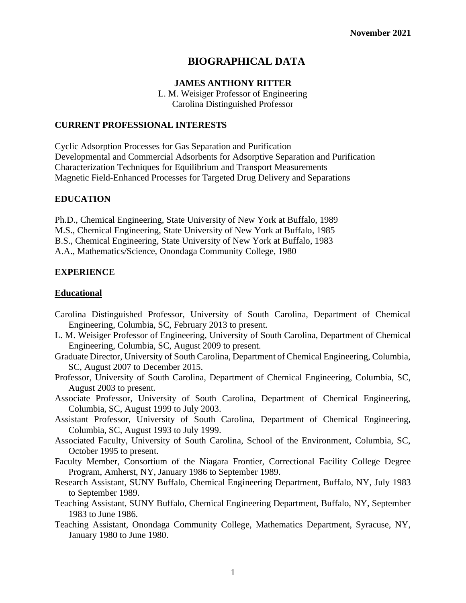# **BIOGRAPHICAL DATA**

### **JAMES ANTHONY RITTER**

L. M. Weisiger Professor of Engineering Carolina Distinguished Professor

### **CURRENT PROFESSIONAL INTERESTS**

Cyclic Adsorption Processes for Gas Separation and Purification Developmental and Commercial Adsorbents for Adsorptive Separation and Purification Characterization Techniques for Equilibrium and Transport Measurements Magnetic Field-Enhanced Processes for Targeted Drug Delivery and Separations

### **EDUCATION**

Ph.D., Chemical Engineering, State University of New York at Buffalo, 1989 M.S., Chemical Engineering, State University of New York at Buffalo, 1985 B.S., Chemical Engineering, State University of New York at Buffalo, 1983 A.A., Mathematics/Science, Onondaga Community College, 1980

## **EXPERIENCE**

### **Educational**

- Carolina Distinguished Professor, University of South Carolina, Department of Chemical Engineering, Columbia, SC, February 2013 to present.
- L. M. Weisiger Professor of Engineering, University of South Carolina, Department of Chemical Engineering, Columbia, SC, August 2009 to present.
- Graduate Director, University of South Carolina, Department of Chemical Engineering, Columbia, SC, August 2007 to December 2015.
- Professor, University of South Carolina, Department of Chemical Engineering, Columbia, SC, August 2003 to present.
- Associate Professor, University of South Carolina, Department of Chemical Engineering, Columbia, SC, August 1999 to July 2003.
- Assistant Professor, University of South Carolina, Department of Chemical Engineering, Columbia, SC, August 1993 to July 1999.
- Associated Faculty, University of South Carolina, School of the Environment, Columbia, SC, October 1995 to present.
- Faculty Member, Consortium of the Niagara Frontier, Correctional Facility College Degree Program, Amherst, NY, January 1986 to September 1989.
- Research Assistant, SUNY Buffalo, Chemical Engineering Department, Buffalo, NY, July 1983 to September 1989.
- Teaching Assistant, SUNY Buffalo, Chemical Engineering Department, Buffalo, NY, September 1983 to June 1986.
- Teaching Assistant, Onondaga Community College, Mathematics Department, Syracuse, NY, January 1980 to June 1980.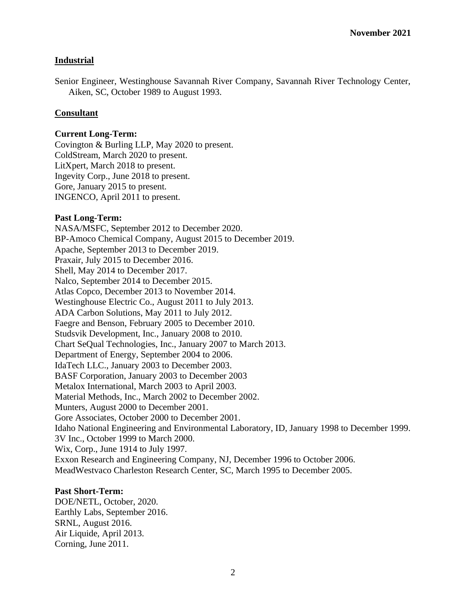# **Industrial**

Senior Engineer, Westinghouse Savannah River Company, Savannah River Technology Center, Aiken, SC, October 1989 to August 1993.

### **Consultant**

#### **Current Long-Term:**

Covington & Burling LLP, May 2020 to present. ColdStream, March 2020 to present. LitXpert, March 2018 to present. Ingevity Corp., June 2018 to present. Gore, January 2015 to present. INGENCO, April 2011 to present.

#### **Past Long-Term:**

NASA/MSFC, September 2012 to December 2020. BP-Amoco Chemical Company, August 2015 to December 2019. Apache, September 2013 to December 2019. Praxair, July 2015 to December 2016. Shell, May 2014 to December 2017. Nalco, September 2014 to December 2015. Atlas Copco, December 2013 to November 2014. Westinghouse Electric Co., August 2011 to July 2013. ADA Carbon Solutions, May 2011 to July 2012. Faegre and Benson, February 2005 to December 2010. Studsvik Development, Inc., January 2008 to 2010. Chart SeQual Technologies, Inc., January 2007 to March 2013. Department of Energy, September 2004 to 2006. IdaTech LLC., January 2003 to December 2003. BASF Corporation, January 2003 to December 2003 Metalox International, March 2003 to April 2003. Material Methods, Inc., March 2002 to December 2002. Munters, August 2000 to December 2001. Gore Associates, October 2000 to December 2001. Idaho National Engineering and Environmental Laboratory, ID, January 1998 to December 1999. 3V Inc., October 1999 to March 2000. Wix, Corp., June 1914 to July 1997. Exxon Research and Engineering Company, NJ, December 1996 to October 2006. MeadWestvaco Charleston Research Center, SC, March 1995 to December 2005.

# **Past Short-Term:**

DOE/NETL, October, 2020. Earthly Labs, September 2016. SRNL, August 2016. Air Liquide, April 2013. Corning, June 2011.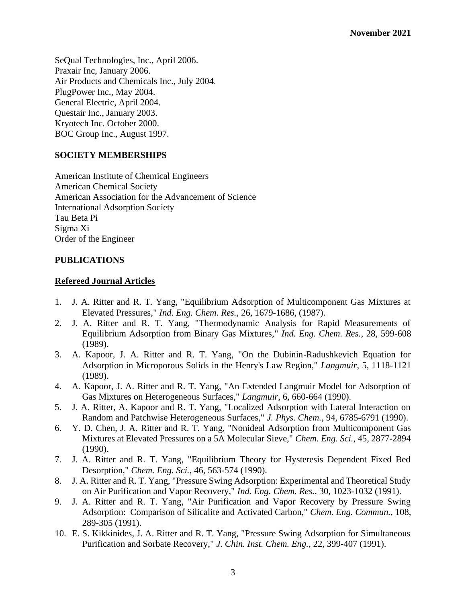SeQual Technologies, Inc., April 2006. Praxair Inc, January 2006. Air Products and Chemicals Inc., July 2004. PlugPower Inc., May 2004. General Electric, April 2004. Questair Inc., January 2003. Kryotech Inc. October 2000. BOC Group Inc., August 1997.

# **SOCIETY MEMBERSHIPS**

American Institute of Chemical Engineers American Chemical Society American Association for the Advancement of Science International Adsorption Society Tau Beta Pi Sigma Xi Order of the Engineer

## **PUBLICATIONS**

## **Refereed Journal Articles**

- 1. J. A. Ritter and R. T. Yang, "Equilibrium Adsorption of Multicomponent Gas Mixtures at Elevated Pressures," *Ind. Eng. Chem. Res.*, 26, 1679-1686, (1987).
- 2. J. A. Ritter and R. T. Yang, "Thermodynamic Analysis for Rapid Measurements of Equilibrium Adsorption from Binary Gas Mixtures," *Ind. Eng. Chem. Res.*, 28, 599-608 (1989).
- 3. A. Kapoor, J. A. Ritter and R. T. Yang, "On the Dubinin-Radushkevich Equation for Adsorption in Microporous Solids in the Henry's Law Region," *Langmuir*, 5, 1118-1121 (1989).
- 4. A. Kapoor, J. A. Ritter and R. T. Yang, "An Extended Langmuir Model for Adsorption of Gas Mixtures on Heterogeneous Surfaces," *Langmuir*, 6, 660-664 (1990).
- 5. J. A. Ritter, A. Kapoor and R. T. Yang, "Localized Adsorption with Lateral Interaction on Random and Patchwise Heterogeneous Surfaces," *J. Phys. Chem.*, 94, 6785-6791 (1990).
- 6. Y. D. Chen, J. A. Ritter and R. T. Yang, "Nonideal Adsorption from Multicomponent Gas Mixtures at Elevated Pressures on a 5A Molecular Sieve," *Chem. Eng. Sci.*, 45, 2877-2894 (1990).
- 7. J. A. Ritter and R. T. Yang, "Equilibrium Theory for Hysteresis Dependent Fixed Bed Desorption," *Chem. Eng. Sci.*, 46, 563-574 (1990).
- 8. J. A. Ritter and R. T. Yang, "Pressure Swing Adsorption: Experimental and Theoretical Study on Air Purification and Vapor Recovery," *Ind. Eng. Chem. Res.*, 30, 1023-1032 (1991).
- 9. J. A. Ritter and R. T. Yang, "Air Purification and Vapor Recovery by Pressure Swing Adsorption: Comparison of Silicalite and Activated Carbon," *Chem. Eng. Commun.*, 108, 289-305 (1991).
- 10. E. S. Kikkinides, J. A. Ritter and R. T. Yang, "Pressure Swing Adsorption for Simultaneous Purification and Sorbate Recovery," *J. Chin. Inst. Chem. Eng.*, 22, 399-407 (1991).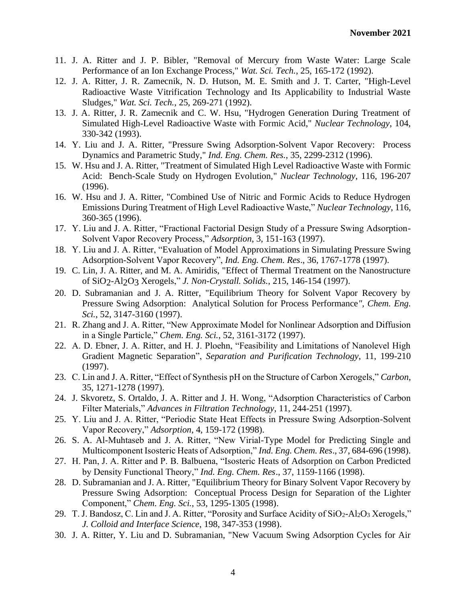- 11. J. A. Ritter and J. P. Bibler, "Removal of Mercury from Waste Water: Large Scale Performance of an Ion Exchange Process," *Wat. Sci. Tech.*, 25, 165-172 (1992).
- 12. J. A. Ritter, J. R. Zamecnik, N. D. Hutson, M. E. Smith and J. T. Carter, "High-Level Radioactive Waste Vitrification Technology and Its Applicability to Industrial Waste Sludges," *Wat. Sci. Tech.*, 25, 269-271 (1992).
- 13. J. A. Ritter, J. R. Zamecnik and C. W. Hsu, "Hydrogen Generation During Treatment of Simulated High-Level Radioactive Waste with Formic Acid," *Nuclear Technology*, 104, 330-342 (1993).
- 14. Y. Liu and J. A. Ritter, "Pressure Swing Adsorption-Solvent Vapor Recovery: Process Dynamics and Parametric Study," *Ind. Eng. Chem. Res.*, 35, 2299-2312 (1996).
- 15. W. Hsu and J. A. Ritter, "Treatment of Simulated High Level Radioactive Waste with Formic Acid: Bench-Scale Study on Hydrogen Evolution," *Nuclear Technology*, 116, 196-207 (1996).
- 16. W. Hsu and J. A. Ritter, "Combined Use of Nitric and Formic Acids to Reduce Hydrogen Emissions During Treatment of High Level Radioactive Waste," *Nuclear Technology*, 116, 360-365 (1996).
- 17. Y. Liu and J. A. Ritter, "Fractional Factorial Design Study of a Pressure Swing Adsorption-Solvent Vapor Recovery Process," *Adsorption*, 3, 151-163 (1997).
- 18. Y. Liu and J. A. Ritter, "Evaluation of Model Approximations in Simulating Pressure Swing Adsorption-Solvent Vapor Recovery", *Ind. Eng. Chem. Res*., 36, 1767-1778 (1997).
- 19. C. Lin, J. A. Ritter, and M. A. Amiridis, "Effect of Thermal Treatment on the Nanostructure of SiO2-Al2O3 Xerogels," *J. Non-Crystall. Solids.*, 215, 146-154 (1997).
- 20. D. Subramanian and J. A. Ritter, "Equilibrium Theory for Solvent Vapor Recovery by Pressure Swing Adsorption: Analytical Solution for Process Performance*", Chem. Eng. Sci.*, 52, 3147-3160 (1997).
- 21. R. Zhang and J. A. Ritter, "New Approximate Model for Nonlinear Adsorption and Diffusion in a Single Particle," *Chem. Eng. Sci.*, 52, 3161-3172 (1997).
- 22. A. D. Ebner, J. A. Ritter, and H. J. Ploehn, "Feasibility and Limitations of Nanolevel High Gradient Magnetic Separation", *Separation and Purification Technology*, 11, 199-210 (1997).
- 23. C. Lin and J. A. Ritter, "Effect of Synthesis pH on the Structure of Carbon Xerogels," *Carbon*, 35, 1271-1278 (1997).
- 24. J. Skvoretz, S. Ortaldo, J. A. Ritter and J. H. Wong, "Adsorption Characteristics of Carbon Filter Materials," *Advances in Filtration Technology*, 11, 244-251 (1997).
- 25. Y. Liu and J. A. Ritter, "Periodic State Heat Effects in Pressure Swing Adsorption-Solvent Vapor Recovery," *Adsorption*, 4, 159-172 (1998).
- 26. S. A. Al-Muhtaseb and J. A. Ritter, "New Virial-Type Model for Predicting Single and Multicomponent Isosteric Heats of Adsorption," *Ind. Eng. Chem. Res*., 37, 684-696 (1998).
- 27. H. Pan, J. A. Ritter and P. B. Balbuena, "Isosteric Heats of Adsorption on Carbon Predicted by Density Functional Theory," *Ind. Eng. Chem. Res*., 37, 1159-1166 (1998).
- 28. D. Subramanian and J. A. Ritter, "Equilibrium Theory for Binary Solvent Vapor Recovery by Pressure Swing Adsorption: Conceptual Process Design for Separation of the Lighter Component," *Chem. Eng. Sci.*, 53, 1295-1305 (1998).
- 29. T. J. Bandosz, C. Lin and J. A. Ritter, "Porosity and Surface Acidity of SiO2-Al2O3 Xerogels," *J. Colloid and Interface Science*, 198, 347-353 (1998).
- 30. J. A. Ritter, Y. Liu and D. Subramanian, "New Vacuum Swing Adsorption Cycles for Air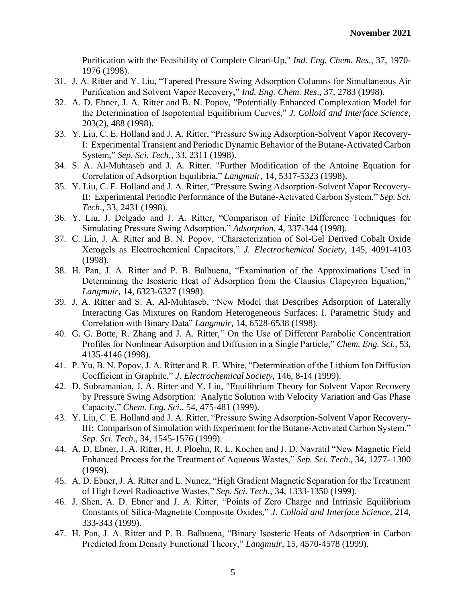Purification with the Feasibility of Complete Clean-Up," *Ind. Eng. Chem. Res*., 37, 1970- 1976 (1998).

- 31. J. A. Ritter and Y. Liu, "Tapered Pressure Swing Adsorption Columns for Simultaneous Air Purification and Solvent Vapor Recovery," *Ind. Eng. Chem. Res*., 37, 2783 (1998).
- 32. A. D. Ebner, J. A. Ritter and B. N. Popov, "Potentially Enhanced Complexation Model for the Determination of Isopotential Equilibrium Curves," *J. Colloid and Interface Science*, 203(2), 488 (1998).
- 33. Y. Liu, C. E. Holland and J. A. Ritter, "Pressure Swing Adsorption-Solvent Vapor Recovery-I: Experimental Transient and Periodic Dynamic Behavior of the Butane-Activated Carbon System," *Sep. Sci. Tech*., 33, 2311 (1998).
- 34. S. A. Al-Muhtaseb and J. A. Ritter. "Further Modification of the Antoine Equation for Correlation of Adsorption Equilibria," *Langmuir*, 14, 5317-5323 (1998).
- 35. Y. Liu, C. E. Holland and J. A. Ritter, "Pressure Swing Adsorption-Solvent Vapor Recovery-II: Experimental Periodic Performance of the Butane-Activated Carbon System," *Sep. Sci. Tech*., 33, 2431 (1998).
- 36. Y. Liu, J. Delgado and J. A. Ritter, "Comparison of Finite Difference Techniques for Simulating Pressure Swing Adsorption," *Adsorption*, 4, 337-344 (1998).
- 37. C. Lin, J. A. Ritter and B. N. Popov, "Characterization of Sol-Gel Derived Cobalt Oxide Xerogels as Electrochemical Capacitors," *J. Electrochemical Society*, 145, 4091-4103 (1998).
- 38. H. Pan, J. A. Ritter and P. B. Balbuena, "Examination of the Approximations Used in Determining the Isosteric Heat of Adsorption from the Clausius Clapeyron Equation," *Langmuir*, 14, 6323-6327 (1998).
- 39. J. A. Ritter and S. A. Al-Muhtaseb, "New Model that Describes Adsorption of Laterally Interacting Gas Mixtures on Random Heterogeneous Surfaces: I. Parametric Study and Correlation with Binary Data" *Langmuir*, 14, 6528-6538 (1998).
- 40. G. G. Botte, R. Zhang and J. A. Ritter," On the Use of Different Parabolic Concentration Profiles for Nonlinear Adsorption and Diffusion in a Single Particle," *Chem. Eng. Sci.*, 53, 4135-4146 (1998).
- 41. P. Yu, B. N. Popov, J. A. Ritter and R. E. White, "Determination of the Lithium Ion Diffusion Coefficient in Graphite," *J. Electrochemical Society*, 146, 8-14 (1999).
- 42. D. Subramanian, J. A. Ritter and Y. Liu, "Equilibrium Theory for Solvent Vapor Recovery by Pressure Swing Adsorption: Analytic Solution with Velocity Variation and Gas Phase Capacity," *Chem. Eng. Sci.*, 54, 475-481 (1999).
- 43. Y. Liu, C. E. Holland and J. A. Ritter, "Pressure Swing Adsorption-Solvent Vapor Recovery-III: Comparison of Simulation with Experiment for the Butane-Activated Carbon System," *Sep. Sci. Tech*., 34, 1545-1576 (1999).
- 44. A. D. Ebner, J. A. Ritter, H. J. Ploehn, R. L. Kochen and J. D. Navratil "New Magnetic Field Enhanced Process for the Treatment of Aqueous Wastes," *Sep. Sci. Tech*., 34, 1277- 1300 (1999).
- 45. A. D. Ebner, J. A. Ritter and L. Nunez, "High Gradient Magnetic Separation for the Treatment of High Level Radioactive Wastes," *Sep. Sci. Tech*., 34, 1333-1350 (1999).
- 46. J. Shen, A. D. Ebner and J. A. Ritter, "Points of Zero Charge and Intrinsic Equilibrium Constants of Silica-Magnetite Composite Oxides," *J. Colloid and Interface Science*, 214, 333-343 (1999).
- 47. H. Pan, J. A. Ritter and P. B. Balbuena, "Binary Isosteric Heats of Adsorption in Carbon Predicted from Density Functional Theory," *Langmuir*, 15, 4570-4578 (1999).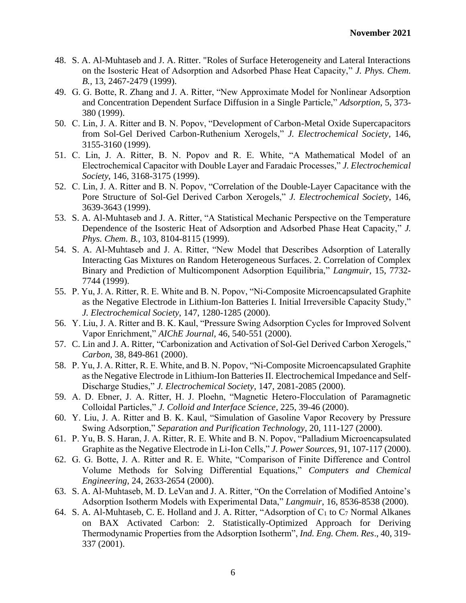- 48. S. A. Al-Muhtaseb and J. A. Ritter. "Roles of Surface Heterogeneity and Lateral Interactions on the Isosteric Heat of Adsorption and Adsorbed Phase Heat Capacity," *J. Phys. Chem. B.,* 13, 2467-2479 (1999).
- 49. G. G. Botte, R. Zhang and J. A. Ritter, "New Approximate Model for Nonlinear Adsorption and Concentration Dependent Surface Diffusion in a Single Particle," *Adsorption*, 5, 373- 380 (1999).
- 50. C. Lin, J. A. Ritter and B. N. Popov, "Development of Carbon-Metal Oxide Supercapacitors from Sol-Gel Derived Carbon-Ruthenium Xerogels," *J. Electrochemical Society*, 146, 3155-3160 (1999).
- 51. C. Lin, J. A. Ritter, B. N. Popov and R. E. White, "A Mathematical Model of an Electrochemical Capacitor with Double Layer and Faradaic Processes," *J. Electrochemical Society*, 146, 3168-3175 (1999).
- 52. C. Lin, J. A. Ritter and B. N. Popov, "Correlation of the Double-Layer Capacitance with the Pore Structure of Sol-Gel Derived Carbon Xerogels," *J. Electrochemical Society*, 146, 3639-3643 (1999).
- 53. S. A. Al-Muhtaseb and J. A. Ritter, "A Statistical Mechanic Perspective on the Temperature Dependence of the Isosteric Heat of Adsorption and Adsorbed Phase Heat Capacity," *J. Phys. Chem. B.,* 103, 8104-8115 (1999).
- 54. S. A. Al-Muhtaseb and J. A. Ritter, "New Model that Describes Adsorption of Laterally Interacting Gas Mixtures on Random Heterogeneous Surfaces. 2. Correlation of Complex Binary and Prediction of Multicomponent Adsorption Equilibria," *Langmuir*, 15, 7732- 7744 (1999).
- 55. P. Yu, J. A. Ritter, R. E. White and B. N. Popov, "Ni-Composite Microencapsulated Graphite as the Negative Electrode in Lithium-Ion Batteries I. Initial Irreversible Capacity Study," *J. Electrochemical Society*, 147, 1280-1285 (2000).
- 56. Y. Liu, J. A. Ritter and B. K. Kaul, "Pressure Swing Adsorption Cycles for Improved Solvent Vapor Enrichment," *AIChE Journal*, 46, 540-551 (2000).
- 57. C. Lin and J. A. Ritter, "Carbonization and Activation of Sol-Gel Derived Carbon Xerogels," *Carbon*, 38, 849-861 (2000).
- 58. P. Yu, J. A. Ritter, R. E. White, and B. N. Popov, "Ni-Composite Microencapsulated Graphite as the Negative Electrode in Lithium-Ion Batteries II. Electrochemical Impedance and Self-Discharge Studies," *J. Electrochemical Society*, 147, 2081-2085 (2000).
- 59. A. D. Ebner, J. A. Ritter, H. J. Ploehn, "Magnetic Hetero-Flocculation of Paramagnetic Colloidal Particles," *J. Colloid and Interface Science*, 225, 39-46 (2000).
- 60. Y. Liu, J. A. Ritter and B. K. Kaul, "Simulation of Gasoline Vapor Recovery by Pressure Swing Adsorption," *Separation and Purification Technology*, 20, 111-127 (2000).
- 61. P. Yu, B. S. Haran, J. A. Ritter, R. E. White and B. N. Popov, "Palladium Microencapsulated Graphite as the Negative Electrode in Li-Ion Cells," *J. Power Sources*, 91, 107-117 (2000).
- 62. G. G. Botte, J. A. Ritter and R. E. White, "Comparison of Finite Difference and Control Volume Methods for Solving Differential Equations," *Computers and Chemical Engineering*, 24, 2633-2654 (2000).
- 63. S. A. Al-Muhtaseb, M. D. LeVan and J. A. Ritter, "On the Correlation of Modified Antoine's Adsorption Isotherm Models with Experimental Data," *Langmuir*, 16, 8536-8538 (2000).
- 64. S. A. Al-Muhtaseb, C. E. Holland and J. A. Ritter, "Adsorption of C<sup>1</sup> to C<sup>7</sup> Normal Alkanes on BAX Activated Carbon: 2. Statistically-Optimized Approach for Deriving Thermodynamic Properties from the Adsorption Isotherm", *Ind. Eng. Chem. Res*., 40, 319- 337 (2001).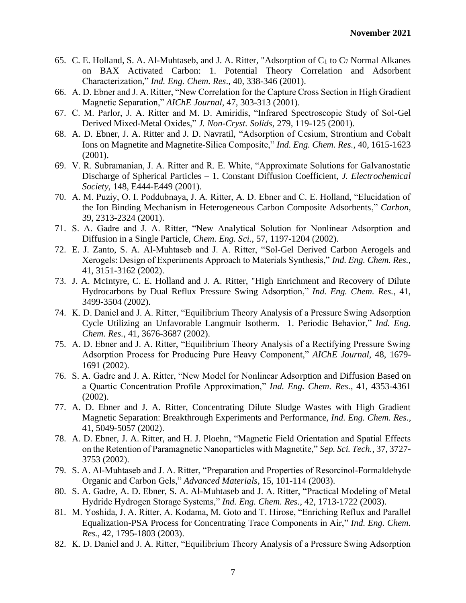- 65. C. E. Holland, S. A. Al-Muhtaseb, and J. A. Ritter, "Adsorption of C<sup>1</sup> to C<sup>7</sup> Normal Alkanes on BAX Activated Carbon: 1. Potential Theory Correlation and Adsorbent Characterization," *Ind. Eng. Chem. Res*., 40, 338-346 (2001).
- 66. A. D. Ebner and J. A. Ritter, "New Correlation for the Capture Cross Section in High Gradient Magnetic Separation," *AIChE Journal*, 47, 303-313 (2001).
- 67. C. M. Parlor, J. A. Ritter and M. D. Amiridis, "Infrared Spectroscopic Study of Sol-Gel Derived Mixed-Metal Oxides," *J. Non-Cryst. Solids*, 279, 119-125 (2001).
- 68. A. D. Ebner, J. A. Ritter and J. D. Navratil, "Adsorption of Cesium, Strontium and Cobalt Ions on Magnetite and Magnetite-Silica Composite," *Ind. Eng. Chem. Res.*, 40, 1615-1623 (2001).
- 69. V. R. Subramanian, J. A. Ritter and R. E. White, "Approximate Solutions for Galvanostatic Discharge of Spherical Particles – 1. Constant Diffusion Coefficient, *J. Electrochemical Society*, 148, E444-E449 (2001).
- 70. A. M. Puziy, O. I. Poddubnaya, J. A. Ritter, A. D. Ebner and C. E. Holland, "Elucidation of the Ion Binding Mechanism in Heterogeneous Carbon Composite Adsorbents," *Carbon*, 39, 2313-2324 (2001).
- 71. S. A. Gadre and J. A. Ritter, "New Analytical Solution for Nonlinear Adsorption and Diffusion in a Single Particle, *Chem. Eng. Sci.*, 57, 1197-1204 (2002).
- 72. E. J. Zanto, S. A. Al-Muhtaseb and J. A. Ritter, "Sol-Gel Derived Carbon Aerogels and Xerogels: Design of Experiments Approach to Materials Synthesis," *Ind. Eng. Chem. Res.*, 41, 3151-3162 (2002).
- 73. J. A. McIntyre, C. E. Holland and J. A. Ritter, "High Enrichment and Recovery of Dilute Hydrocarbons by Dual Reflux Pressure Swing Adsorption," *Ind. Eng. Chem. Res.*, 41, 3499-3504 (2002).
- 74. K. D. Daniel and J. A. Ritter, "Equilibrium Theory Analysis of a Pressure Swing Adsorption Cycle Utilizing an Unfavorable Langmuir Isotherm. 1. Periodic Behavior," *Ind. Eng. Chem. Res.*, 41, 3676-3687 (2002).
- 75. A. D. Ebner and J. A. Ritter, "Equilibrium Theory Analysis of a Rectifying Pressure Swing Adsorption Process for Producing Pure Heavy Component," *AIChE Journal*, 48, 1679- 1691 (2002).
- 76. S. A. Gadre and J. A. Ritter, "New Model for Nonlinear Adsorption and Diffusion Based on a Quartic Concentration Profile Approximation," *Ind. Eng. Chem. Res.*, 41, 4353-4361 (2002).
- 77. A. D. Ebner and J. A. Ritter, Concentrating Dilute Sludge Wastes with High Gradient Magnetic Separation: Breakthrough Experiments and Performance, *Ind. Eng. Chem. Res.*, 41, 5049-5057 (2002).
- 78. A. D. Ebner, J. A. Ritter, and H. J. Ploehn, "Magnetic Field Orientation and Spatial Effects on the Retention of Paramagnetic Nanoparticles with Magnetite," *Sep. Sci. Tech.*, 37, 3727- 3753 (2002).
- 79. S. A. Al-Muhtaseb and J. A. Ritter, "Preparation and Properties of Resorcinol-Formaldehyde Organic and Carbon Gels," *Advanced Materials*, 15, 101-114 (2003).
- 80. S. A. Gadre, A. D. Ebner, S. A. Al-Muhtaseb and J. A. Ritter, "Practical Modeling of Metal Hydride Hydrogen Storage Systems," *Ind. Eng. Chem. Res.*, 42, 1713-1722 (2003).
- 81. M. Yoshida, J. A. Ritter, A. Kodama, M. Goto and T. Hirose, "Enriching Reflux and Parallel Equalization-PSA Process for Concentrating Trace Components in Air," *Ind. Eng. Chem. Res.*, 42, 1795-1803 (2003).
- 82. K. D. Daniel and J. A. Ritter, "Equilibrium Theory Analysis of a Pressure Swing Adsorption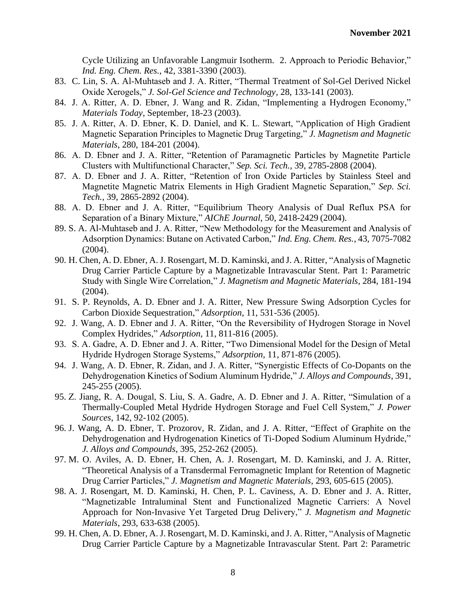Cycle Utilizing an Unfavorable Langmuir Isotherm. 2. Approach to Periodic Behavior," *Ind. Eng. Chem. Res.*, 42, 3381-3390 (2003).

- 83. C. Lin, S. A. Al-Muhtaseb and J. A. Ritter, "Thermal Treatment of Sol-Gel Derived Nickel Oxide Xerogels," *J. Sol-Gel Science and Technology*, 28, 133-141 (2003).
- 84. J. A. Ritter, A. D. Ebner, J. Wang and R. Zidan, "Implementing a Hydrogen Economy," *Materials Today*, September, 18-23 (2003).
- 85. J. A. Ritter, A. D. Ebner, K. D. Daniel, and K. L. Stewart, "Application of High Gradient Magnetic Separation Principles to Magnetic Drug Targeting," *J. Magnetism and Magnetic Materials*, 280, 184-201 (2004).
- 86. A. D. Ebner and J. A. Ritter, "Retention of Paramagnetic Particles by Magnetite Particle Clusters with Multifunctional Character," *Sep. Sci. Tech.*, 39, 2785-2808 (2004).
- 87. A. D. Ebner and J. A. Ritter, "Retention of Iron Oxide Particles by Stainless Steel and Magnetite Magnetic Matrix Elements in High Gradient Magnetic Separation," *Sep. Sci. Tech.*, 39, 2865-2892 (2004).
- 88. A. D. Ebner and J. A. Ritter, "Equilibrium Theory Analysis of Dual Reflux PSA for Separation of a Binary Mixture," *AIChE Journal*, 50, 2418-2429 (2004).
- 89. S. A. Al-Muhtaseb and J. A. Ritter, "New Methodology for the Measurement and Analysis of Adsorption Dynamics: Butane on Activated Carbon," *Ind. Eng. Chem. Res.*, 43, 7075-7082  $(2004)$ .
- 90. H. Chen, A. D. Ebner, A. J. Rosengart, M. D. Kaminski, and J. A. Ritter, "Analysis of Magnetic Drug Carrier Particle Capture by a Magnetizable Intravascular Stent. Part 1: Parametric Study with Single Wire Correlation," *J. Magnetism and Magnetic Materials*, 284, 181-194 (2004).
- 91. S. P. Reynolds, A. D. Ebner and J. A. Ritter, New Pressure Swing Adsorption Cycles for Carbon Dioxide Sequestration," *Adsorption*, 11, 531-536 (2005).
- 92. J. Wang, A. D. Ebner and J. A. Ritter, "On the Reversibility of Hydrogen Storage in Novel Complex Hydrides," *Adsorption*, 11, 811-816 (2005).
- 93. S. A. Gadre, A. D. Ebner and J. A. Ritter, "Two Dimensional Model for the Design of Metal Hydride Hydrogen Storage Systems," *Adsorption*, 11, 871-876 (2005).
- 94. J. Wang, A. D. Ebner, R. Zidan, and J. A. Ritter, "Synergistic Effects of Co-Dopants on the Dehydrogenation Kinetics of Sodium Aluminum Hydride," *J. Alloys and Compounds*, 391, 245-255 (2005).
- 95. Z. Jiang, R. A. Dougal, S. Liu, S. A. Gadre, A. D. Ebner and J. A. Ritter, "Simulation of a Thermally-Coupled Metal Hydride Hydrogen Storage and Fuel Cell System," *J. Power Sources*, 142, 92-102 (2005).
- 96. J. Wang, A. D. Ebner, T. Prozorov, R. Zidan, and J. A. Ritter, "Effect of Graphite on the Dehydrogenation and Hydrogenation Kinetics of Ti-Doped Sodium Aluminum Hydride," *J. Alloys and Compounds*, 395, 252-262 (2005).
- 97. M. O. Aviles, A. D. Ebner, H. Chen, A. J. Rosengart, M. D. Kaminski, and J. A. Ritter, "Theoretical Analysis of a Transdermal Ferromagnetic Implant for Retention of Magnetic Drug Carrier Particles," *J. Magnetism and Magnetic Materials*, 293, 605-615 (2005).
- 98. A. J. Rosengart, M. D. Kaminski, H. Chen, P. L. Caviness, A. D. Ebner and J. A. Ritter, "Magnetizable Intraluminal Stent and Functionalized Magnetic Carriers: A Novel Approach for Non-Invasive Yet Targeted Drug Delivery," *J. Magnetism and Magnetic Materials*, 293, 633-638 (2005).
- 99. H. Chen, A. D. Ebner, A. J. Rosengart, M. D. Kaminski, and J. A. Ritter, "Analysis of Magnetic Drug Carrier Particle Capture by a Magnetizable Intravascular Stent. Part 2: Parametric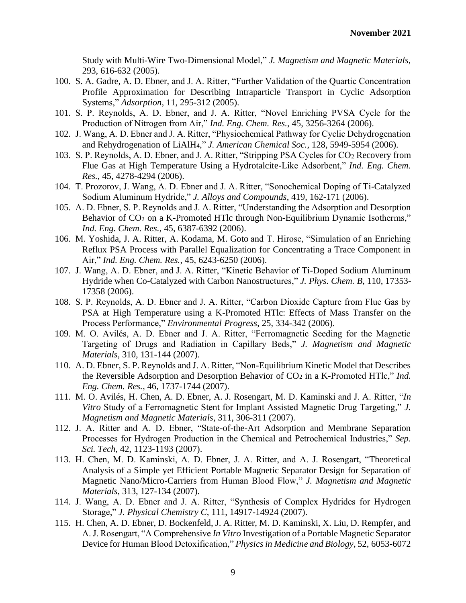Study with Multi-Wire Two-Dimensional Model," *J. Magnetism and Magnetic Materials*, 293, 616-632 (2005).

- 100. S. A. Gadre, A. D. Ebner, and J. A. Ritter, "Further Validation of the Quartic Concentration Profile Approximation for Describing Intraparticle Transport in Cyclic Adsorption Systems," *Adsorption*, 11, 295-312 (2005).
- 101. S. P. Reynolds, A. D. Ebner, and J. A. Ritter, "Novel Enriching PVSA Cycle for the Production of Nitrogen from Air," *Ind. Eng. Chem. Res.*, 45, 3256-3264 (2006).
- 102. J. Wang, A. D. Ebner and J. A. Ritter, "Physiochemical Pathway for Cyclic Dehydrogenation and Rehydrogenation of LiAlH4," *J. American Chemical Soc.*, 128, 5949-5954 (2006).
- 103. S. P. Reynolds, A. D. Ebner, and J. A. Ritter, "Stripping PSA Cycles for CO<sup>2</sup> Recovery from Flue Gas at High Temperature Using a Hydrotalcite-Like Adsorbent," *Ind. Eng. Chem. Res.*, 45, 4278-4294 (2006).
- 104. T. Prozorov, J. Wang, A. D. Ebner and J. A. Ritter, "Sonochemical Doping of Ti-Catalyzed Sodium Aluminum Hydride," *J. Alloys and Compounds*, 419, 162-171 (2006).
- 105. A. D. Ebner, S. P. Reynolds and J. A. Ritter, "Understanding the Adsorption and Desorption Behavior of CO<sub>2</sub> on a K-Promoted HTlc through Non-Equilibrium Dynamic Isotherms," *Ind. Eng. Chem. Res.*, 45, 6387-6392 (2006).
- 106. M. Yoshida, J. A. Ritter, A. Kodama, M. Goto and T. Hirose, "Simulation of an Enriching Reflux PSA Process with Parallel Equalization for Concentrating a Trace Component in Air," *Ind. Eng. Chem. Res.*, 45, 6243-6250 (2006).
- 107. J. Wang, A. D. Ebner, and J. A. Ritter, "Kinetic Behavior of Ti-Doped Sodium Aluminum Hydride when Co-Catalyzed with Carbon Nanostructures," *J. Phys. Chem. B*, 110, 17353- 17358 (2006).
- 108. S. P. Reynolds, A. D. Ebner and J. A. Ritter, "Carbon Dioxide Capture from Flue Gas by PSA at High Temperature using a K-Promoted HTlc: Effects of Mass Transfer on the Process Performance," *Environmental Progress*, 25, 334-342 (2006).
- 109. M. O. Avilés, A. D. Ebner and J. A. Ritter, "Ferromagnetic Seeding for the Magnetic Targeting of Drugs and Radiation in Capillary Beds," *J. Magnetism and Magnetic Materials*, 310, 131-144 (2007).
- 110. A. D. Ebner, S. P. Reynolds and J. A. Ritter, "Non-Equilibrium Kinetic Model that Describes the Reversible Adsorption and Desorption Behavior of CO<sub>2</sub> in a K-Promoted HTlc," *Ind. Eng. Chem. Res.*, 46, 1737-1744 (2007).
- 111. M. O. Avilés, H. Chen, A. D. Ebner, A. J. Rosengart, M. D. Kaminski and J. A. Ritter, "*In Vitro* Study of a Ferromagnetic Stent for Implant Assisted Magnetic Drug Targeting," *J. Magnetism and Magnetic Materials*, 311, 306-311 (2007).
- 112. J. A. Ritter and A. D. Ebner, "State-of-the-Art Adsorption and Membrane Separation Processes for Hydrogen Production in the Chemical and Petrochemical Industries," *Sep. Sci. Tech*, 42, 1123-1193 (2007).
- 113. H. Chen, M. D. Kaminski, A. D. Ebner, J. A. Ritter, and A. J. Rosengart, "Theoretical Analysis of a Simple yet Efficient Portable Magnetic Separator Design for Separation of Magnetic Nano/Micro-Carriers from Human Blood Flow," *J. Magnetism and Magnetic Materials*, 313, 127-134 (2007).
- 114. J. Wang, A. D. Ebner and J. A. Ritter, "Synthesis of Complex Hydrides for Hydrogen Storage," *J. Physical Chemistry C*, 111, 14917-14924 (2007).
- 115. H. Chen, A. D. Ebner, D. Bockenfeld, J. A. Ritter, M. D. Kaminski, X. Liu, D. Rempfer, and A. J. Rosengart, "A Comprehensive *In Vitro* Investigation of a Portable Magnetic Separator Device for Human Blood Detoxification," *Physics in Medicine and Biology*, 52, 6053-6072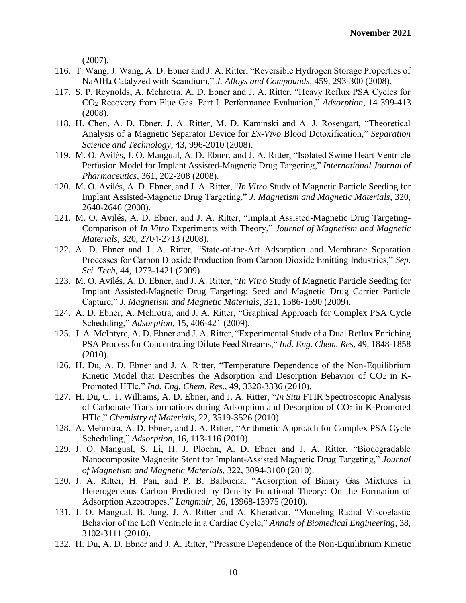(2007).

- 116. T. Wang, J. Wang, A. D. Ebner and J. A. Ritter, "Reversible Hydrogen Storage Properties of NaAlH<sup>4</sup> Catalyzed with Scandium," *J. Alloys and Compounds*, 459, 293-300 (2008).
- 117. S. P. Reynolds, A. Mehrotra, A. D. Ebner and J. A. Ritter, "Heavy Reflux PSA Cycles for CO<sup>2</sup> Recovery from Flue Gas. Part I. Performance Evaluation," *Adsorption*, 14 399-413 (2008).
- 118. H. Chen, A. D. Ebner, J. A. Ritter, M. D. Kaminski and A. J. Rosengart, "Theoretical Analysis of a Magnetic Separator Device for *Ex-Vivo* Blood Detoxification," *Separation Science and Technology*, 43, 996-2010 (2008).
- 119. M. O. Avilés, J. O. Mangual, A. D. Ebner, and J. A. Ritter, "Isolated Swine Heart Ventricle Perfusion Model for Implant Assisted-Magnetic Drug Targeting," *International Journal of Pharmaceutics*, 361, 202-208 (2008).
- 120. M. O. Avilés, A. D. Ebner, and J. A. Ritter, "*In Vitro* Study of Magnetic Particle Seeding for Implant Assisted-Magnetic Drug Targeting," *J. Magnetism and Magnetic Materials*, 320, 2640-2646 (2008).
- 121. M. O. Avilés, A. D. Ebner, and J. A. Ritter, "Implant Assisted-Magnetic Drug Targeting-Comparison of *In Vitro* Experiments with Theory," *Journal of Magnetism and Magnetic Materials*, 320, 2704-2713 (2008).
- 122. A. D. Ebner and J. A. Ritter, "State-of-the-Art Adsorption and Membrane Separation Processes for Carbon Dioxide Production from Carbon Dioxide Emitting Industries," *Sep. Sci. Tech*, 44, 1273-1421 (2009).
- 123. M. O. Avilés, A. D. Ebner, and J. A. Ritter, "*In Vitro* Study of Magnetic Particle Seeding for Implant Assisted-Magnetic Drug Targeting: Seed and Magnetic Drug Carrier Particle Capture," *J. Magnetism and Magnetic Materials*, 321, 1586-1590 (2009).
- 124. A. D. Ebner, A. Mehrotra, and J. A. Ritter, "Graphical Approach for Complex PSA Cycle Scheduling," *Adsorption*, 15, 406-421 (2009).
- 125. J. A. McIntyre, A. D. Ebner and J. A. Ritter, "Experimental Study of a Dual Reflux Enriching PSA Process for Concentrating Dilute Feed Streams," *Ind. Eng. Chem. Res*, 49, 1848-1858 (2010).
- 126. H. Du, A. D. Ebner and J. A. Ritter, "Temperature Dependence of the Non-Equilibrium Kinetic Model that Describes the Adsorption and Desorption Behavior of  $CO<sub>2</sub>$  in K-Promoted HTlc," *Ind. Eng. Chem. Res.*, 49, 3328-3336 (2010).
- 127. H. Du, C. T. Williams, A. D. Ebner, and J. A. Ritter, "*In Situ* FTIR Spectroscopic Analysis of Carbonate Transformations during Adsorption and Desorption of  $CO<sub>2</sub>$  in K-Promoted HTlc," *Chemistry of Materials*, 22, 3519-3526 (2010).
- 128. A. Mehrotra, A. D. Ebner, and J. A. Ritter, "Arithmetic Approach for Complex PSA Cycle Scheduling," *Adsorption*, 16, 113-116 (2010).
- 129. J. O. Mangual, S. Li, H. J. Ploehn, A. D. Ebner and J. A. Ritter, "Biodegradable Nanocomposite Magnetite Stent for Implant-Assisted Magnetic Drug Targeting," *Journal of Magnetism and Magnetic Materials*, 322, 3094-3100 (2010).
- 130. J. A. Ritter, H. Pan, and P. B. Balbuena, "Adsorption of Binary Gas Mixtures in Heterogeneous Carbon Predicted by Density Functional Theory: On the Formation of Adsorption Azeotropes," *Langmuir*, 26, 13968-13975 (2010).
- 131. J. O. Mangual, B. Jung, J. A. Ritter and A. Kheradvar, "Modeling Radial Viscoelastic Behavior of the Left Ventricle in a Cardiac Cycle," *Annals of Biomedical Engineering*, 38, 3102-3111 (2010).
- 132. H. Du, A. D. Ebner and J. A. Ritter, "Pressure Dependence of the Non-Equilibrium Kinetic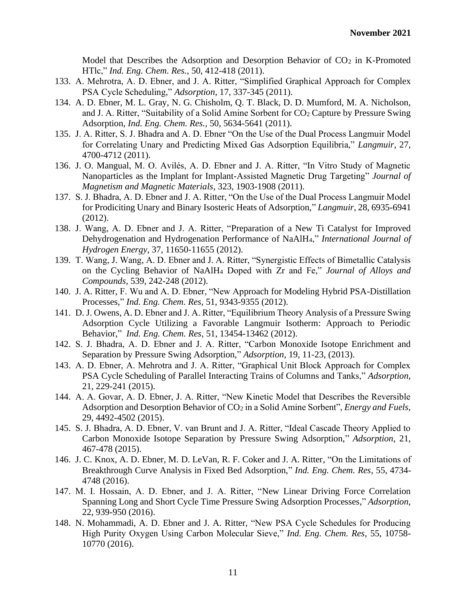Model that Describes the Adsorption and Desorption Behavior of CO<sub>2</sub> in K-Promoted HTlc," *Ind. Eng. Chem. Res.*, 50, 412-418 (2011).

- 133. A. Mehrotra, A. D. Ebner, and J. A. Ritter, "Simplified Graphical Approach for Complex PSA Cycle Scheduling," *Adsorption*, 17, 337-345 (2011).
- 134. A. D. Ebner, M. L. Gray, N. G. Chisholm, Q. T. Black, D. D. Mumford, M. A. Nicholson, and J. A. Ritter, "Suitability of a Solid Amine Sorbent for CO<sub>2</sub> Capture by Pressure Swing Adsorption, *Ind. Eng. Chem. Res.*, 50, 5634-5641 (2011).
- 135. J. A. Ritter, S. J. Bhadra and A. D. Ebner "On the Use of the Dual Process Langmuir Model for Correlating Unary and Predicting Mixed Gas Adsorption Equilibria," *Langmuir*, 27, 4700-4712 (2011).
- 136. J. O. Mangual, M. O. Avilés, A. D. Ebner and J. A. Ritter, "In Vitro Study of Magnetic Nanoparticles as the Implant for Implant-Assisted Magnetic Drug Targeting" *Journal of Magnetism and Magnetic Materials*, 323, 1903-1908 (2011).
- 137. S. J. Bhadra, A. D. Ebner and J. A. Ritter, "On the Use of the Dual Process Langmuir Model for Prodiciting Unary and Binary Isosteric Heats of Adsorption," *Langmuir*, 28, 6935-6941 (2012).
- 138. J. Wang, A. D. Ebner and J. A. Ritter, "Preparation of a New Ti Catalyst for Improved Dehydrogenation and Hydrogenation Performance of NaAlH4," *International Journal of Hydrogen Energy*, 37, 11650-11655 (2012).
- 139. T. Wang, J. Wang, A. D. Ebner and J. A. Ritter, "Synergistic Effects of Bimetallic Catalysis on the Cycling Behavior of NaAlH<sup>4</sup> Doped with Zr and Fe," *Journal of Alloys and Compounds*, 539, 242-248 (2012).
- 140. J. A. Ritter, F. Wu and A. D. Ebner, "New Approach for Modeling Hybrid PSA-Distillation Processes," *Ind. Eng. Chem. Res*, 51, 9343-9355 (2012).
- 141. D. J. Owens, A. D. Ebner and J. A. Ritter, "Equilibrium Theory Analysis of a Pressure Swing Adsorption Cycle Utilizing a Favorable Langmuir Isotherm: Approach to Periodic Behavior," *Ind. Eng. Chem. Res*, 51, 13454-13462 (2012).
- 142. S. J. Bhadra, A. D. Ebner and J. A. Ritter, "Carbon Monoxide Isotope Enrichment and Separation by Pressure Swing Adsorption," *Adsorption*, 19, 11-23, (2013).
- 143. A. D. Ebner, A. Mehrotra and J. A. Ritter, "Graphical Unit Block Approach for Complex PSA Cycle Scheduling of Parallel Interacting Trains of Columns and Tanks," *Adsorption*, 21, 229-241 (2015).
- 144. A. A. Govar, A. D. Ebner, J. A. Ritter, "New Kinetic Model that Describes the Reversible Adsorption and Desorption Behavior of CO<sub>2</sub> in a Solid Amine Sorbent", *Energy and Fuels*, 29, 4492-4502 (2015).
- 145. S. J. Bhadra, A. D. Ebner, V. van Brunt and J. A. Ritter, "Ideal Cascade Theory Applied to Carbon Monoxide Isotope Separation by Pressure Swing Adsorption," *Adsorption*, 21, 467-478 (2015).
- 146. J. C. Knox, A. D. Ebner, M. D. LeVan, R. F. Coker and J. A. Ritter, "On the Limitations of Breakthrough Curve Analysis in Fixed Bed Adsorption," *Ind. Eng. Chem. Res*, 55, 4734- 4748 (2016).
- 147. M. I. Hossain, A. D. Ebner, and J. A. Ritter, "New Linear Driving Force Correlation Spanning Long and Short Cycle Time Pressure Swing Adsorption Processes," *Adsorption*, 22, 939-950 (2016).
- 148. N. Mohammadi, A. D. Ebner and J. A. Ritter, "New PSA Cycle Schedules for Producing High Purity Oxygen Using Carbon Molecular Sieve," *Ind. Eng. Chem. Res*, 55, 10758- 10770 (2016).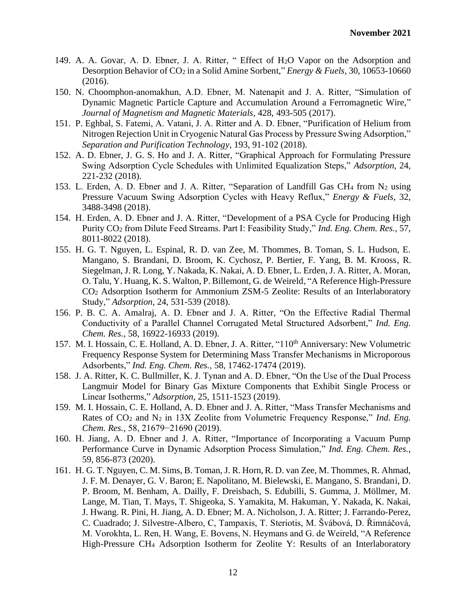- 149. A. A. Govar, A. D. Ebner, J. A. Ritter, " Effect of H2O Vapor on the Adsorption and Desorption Behavior of CO<sup>2</sup> in a Solid Amine Sorbent," *Energy & Fuels*, 30, 10653-10660 (2016).
- 150. N. Choomphon-anomakhun, A.D. Ebner, M. Natenapit and J. A. Ritter, "Simulation of Dynamic Magnetic Particle Capture and Accumulation Around a Ferromagnetic Wire," *Journal of Magnetism and Magnetic Materials*, 428, 493-505 (2017).
- 151. P. Eghbal, S. Fatemi, A. Vatani, J. A. Ritter and A. D. Ebner, "Purification of Helium from Nitrogen Rejection Unit in Cryogenic Natural Gas Process by Pressure Swing Adsorption," *Separation and Purification Technology*, 193, 91-102 (2018).
- 152. A. D. Ebner, J. G. S. Ho and J. A. Ritter, "Graphical Approach for Formulating Pressure Swing Adsorption Cycle Schedules with Unlimited Equalization Steps," *Adsorption,* 24, 221-232 (2018).
- 153. L. Erden, A. D. Ebner and J. A. Ritter, "Separation of Landfill Gas CH<sup>4</sup> from N<sup>2</sup> using Pressure Vacuum Swing Adsorption Cycles with Heavy Reflux," *Energy & Fuels*, 32, 3488-3498 (2018).
- 154. H. Erden, A. D. Ebner and J. A. Ritter, "Development of a PSA Cycle for Producing High Purity CO<sup>2</sup> from Dilute Feed Streams. Part I: Feasibility Study," *Ind. Eng. Chem. Res.*, 57, 8011-8022 (2018).
- 155. H. G. T. Nguyen, L. Espinal, R. D. van Zee, M. Thommes, B. Toman, S. L. Hudson, E. Mangano, S. Brandani, D. Broom, K. Cychosz, P. Bertier, F. Yang, B. M. Krooss, R. Siegelman, J. R. Long, Y. Nakada, K. Nakai, A. D. Ebner, L. Erden, J. A. Ritter, A. Moran, O. Talu, Y. Huang, K. S. Walton, P. Billemont, G. de Weireld, "A Reference High-Pressure CO<sup>2</sup> Adsorption Isotherm for Ammonium ZSM-5 Zeolite: Results of an Interlaboratory Study," *Adsorption,* 24, 531-539 (2018).
- 156. P. B. C. A. Amalraj, A. D. Ebner and J. A. Ritter, "On the Effective Radial Thermal Conductivity of a Parallel Channel Corrugated Metal Structured Adsorbent," *Ind. Eng. Chem. Res.,* 58, 16922-16933 (2019).
- 157. M. I. Hossain, C. E. Holland, A. D. Ebner, J. A. Ritter, "110<sup>th</sup> Anniversary: New Volumetric Frequency Response System for Determining Mass Transfer Mechanisms in Microporous Adsorbents," *Ind. Eng. Chem. Res.,* 58, 17462-17474 (2019).
- 158. J. A. Ritter, K. C. Bullmiller, K. J. Tynan and A. D. Ebner, "On the Use of the Dual Process Langmuir Model for Binary Gas Mixture Components that Exhibit Single Process or Linear Isotherms," *Adsorption*, 25, 1511-1523 (2019).
- 159. M. I. Hossain, C. E. Holland, A. D. Ebner and J. A. Ritter, "Mass Transfer Mechanisms and Rates of CO<sup>2</sup> and N<sup>2</sup> in 13X Zeolite from Volumetric Frequency Response," *Ind. Eng. Chem. Res.,* 58, 21679−21690 (2019).
- 160. H. Jiang, A. D. Ebner and J. A. Ritter, "Importance of Incorporating a Vacuum Pump Performance Curve in Dynamic Adsorption Process Simulation," *Ind. Eng. Chem. Res.*, 59, 856-873 (2020).
- 161. H. G. T. Nguyen, C. M. Sims, B. Toman, J. R. Horn, R. D. van Zee, M. Thommes, R. Ahmad, J. F. M. Denayer, G. V. Baron; E. Napolitano, M. Bielewski, E. Mangano, S. Brandani, D. P. Broom, M. Benham, A. Dailly, F. Dreisbach, S. Edubilli, S. Gumma, J. Möllmer, M. Lange, M. Tian, T. Mays, T. Shigeoka, S. Yamakita, M. Hakuman, Y. Nakada, K. Nakai, J. Hwang. R. Pini, H. Jiang, A. D. Ebner; M. A. Nicholson, J. A. Ritter; J. Farrando-Perez, C. Cuadrado; J. Silvestre-Albero, C, Tampaxis, T. Steriotis, M. Švábová, D. Řimnáčová, M. Vorokhta, L. Ren, H. Wang, E. Bovens, N. Heymans and G. de Weireld, "A Reference High-Pressure CH<sup>4</sup> Adsorption Isotherm for Zeolite Y: Results of an Interlaboratory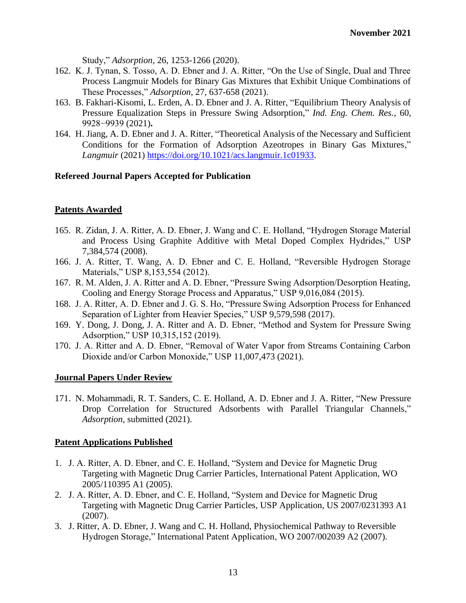Study," *Adsorption*, 26, 1253-1266 (2020).

- 162. K. J. Tynan, S. Tosso, A. D. Ebner and J. A. Ritter, "On the Use of Single, Dual and Three Process Langmuir Models for Binary Gas Mixtures that Exhibit Unique Combinations of These Processes," *Adsorption*, 27, 637-658 (2021).
- 163. B. Fakhari-Kisomi, L. Erden, A. D. Ebner and J. A. Ritter, "Equilibrium Theory Analysis of Pressure Equalization Steps in Pressure Swing Adsorption," *Ind. Eng. Chem. Res.*, 60, 9928−9939 (2021)**.**
- 164. H. Jiang, A. D. Ebner and J. A. Ritter, "Theoretical Analysis of the Necessary and Sufficient Conditions for the Formation of Adsorption Azeotropes in Binary Gas Mixtures," *Langmuir* (2021) [https://doi.org/10.1021/acs.langmuir.1c01933.](https://doi.org/10.1021/acs.langmuir.1c01933)

## **Refereed Journal Papers Accepted for Publication**

## **Patents Awarded**

- 165. R. Zidan, J. A. Ritter, A. D. Ebner, J. Wang and C. E. Holland, "Hydrogen Storage Material and Process Using Graphite Additive with Metal Doped Complex Hydrides," USP 7,384,574 (2008).
- 166. J. A. Ritter, T. Wang, A. D. Ebner and C. E. Holland, "Reversible Hydrogen Storage Materials," USP 8,153,554 (2012).
- 167. R. M. Alden, J. A. Ritter and A. D. Ebner, "Pressure Swing Adsorption/Desorption Heating, Cooling and Energy Storage Process and Apparatus," USP 9,016,084 (2015).
- 168. J. A. Ritter, A. D. Ebner and J. G. S. Ho, "Pressure Swing Adsorption Process for Enhanced Separation of Lighter from Heavier Species," USP 9,579,598 (2017).
- 169. Y. Dong, J. Dong, J. A. Ritter and A. D. Ebner, "Method and System for Pressure Swing Adsorption," USP 10,315,152 (2019).
- 170. J. A. Ritter and A. D. Ebner, "Removal of Water Vapor from Streams Containing Carbon Dioxide and/or Carbon Monoxide," USP 11,007,473 (2021).

### **Journal Papers Under Review**

171. N. Mohammadi, R. T. Sanders, C. E. Holland, A. D. Ebner and J. A. Ritter, "New Pressure Drop Correlation for Structured Adsorbents with Parallel Triangular Channels," *Adsorption*, submitted (2021).

### **Patent Applications Published**

- 1. J. A. Ritter, A. D. Ebner, and C. E. Holland, "System and Device for Magnetic Drug Targeting with Magnetic Drug Carrier Particles, International Patent Application, WO 2005/110395 A1 (2005).
- 2. J. A. Ritter, A. D. Ebner, and C. E. Holland, "System and Device for Magnetic Drug Targeting with Magnetic Drug Carrier Particles, USP Application, US 2007/0231393 A1 (2007).
- 3. J. Ritter, A. D. Ebner, J. Wang and C. H. Holland, Physiochemical Pathway to Reversible Hydrogen Storage," International Patent Application, WO 2007/002039 A2 (2007).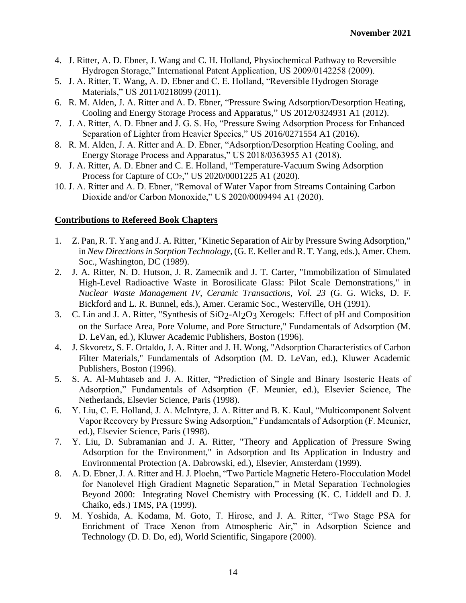- 4. J. Ritter, A. D. Ebner, J. Wang and C. H. Holland, Physiochemical Pathway to Reversible Hydrogen Storage," International Patent Application, US 2009/0142258 (2009).
- 5. J. A. Ritter, T. Wang, A. D. Ebner and C. E. Holland, "Reversible Hydrogen Storage Materials," US 2011/0218099 (2011).
- 6. R. M. Alden, J. A. Ritter and A. D. Ebner, "Pressure Swing Adsorption/Desorption Heating, Cooling and Energy Storage Process and Apparatus," US 2012/0324931 A1 (2012).
- 7. J. A. Ritter, A. D. Ebner and J. G. S. Ho, "Pressure Swing Adsorption Process for Enhanced Separation of Lighter from Heavier Species," US 2016/0271554 A1 (2016).
- 8. R. M. Alden, J. A. Ritter and A. D. Ebner, "Adsorption/Desorption Heating Cooling, and Energy Storage Process and Apparatus," US 2018/0363955 A1 (2018).
- 9. J. A. Ritter, A. D. Ebner and C. E. Holland, "Temperature-Vacuum Swing Adsorption Process for Capture of CO2," US 2020/0001225 A1 (2020).
- 10. J. A. Ritter and A. D. Ebner, "Removal of Water Vapor from Streams Containing Carbon Dioxide and/or Carbon Monoxide," US 2020/0009494 A1 (2020).

# **Contributions to Refereed Book Chapters**

- 1. Z. Pan, R. T. Yang and J. A. Ritter, "Kinetic Separation of Air by Pressure Swing Adsorption," in *New Directions in Sorption Technology*, (G. E. Keller and R. T. Yang, eds.), Amer. Chem. Soc., Washington, DC (1989).
- 2. J. A. Ritter, N. D. Hutson, J. R. Zamecnik and J. T. Carter, "Immobilization of Simulated High-Level Radioactive Waste in Borosilicate Glass: Pilot Scale Demonstrations," in *Nuclear Waste Management IV, Ceramic Transactions, Vol. 23* (G. G. Wicks, D. F. Bickford and L. R. Bunnel, eds.), Amer. Ceramic Soc., Westerville, OH (1991).
- 3. C. Lin and J. A. Ritter, "Synthesis of SiO2-Al2O3 Xerogels: Effect of pH and Composition on the Surface Area, Pore Volume, and Pore Structure," Fundamentals of Adsorption (M. D. LeVan, ed.), Kluwer Academic Publishers, Boston (1996).
- 4. J. Skvoretz, S. F. Ortaldo, J. A. Ritter and J. H. Wong, "Adsorption Characteristics of Carbon Filter Materials," Fundamentals of Adsorption (M. D. LeVan, ed.), Kluwer Academic Publishers, Boston (1996).
- 5. S. A. Al-Muhtaseb and J. A. Ritter, "Prediction of Single and Binary Isosteric Heats of Adsorption," Fundamentals of Adsorption (F. Meunier, ed.), Elsevier Science, The Netherlands, Elsevier Science, Paris (1998).
- 6. Y. Liu, C. E. Holland, J. A. McIntyre, J. A. Ritter and B. K. Kaul, "Multicomponent Solvent Vapor Recovery by Pressure Swing Adsorption," Fundamentals of Adsorption (F. Meunier, ed.), Elsevier Science, Paris (1998).
- 7. Y. Liu, D. Subramanian and J. A. Ritter, "Theory and Application of Pressure Swing Adsorption for the Environment," in Adsorption and Its Application in Industry and Environmental Protection (A. Dabrowski, ed.), Elsevier, Amsterdam (1999).
- 8. A. D. Ebner, J. A. Ritter and H. J. Ploehn, "Two Particle Magnetic Hetero-Flocculation Model for Nanolevel High Gradient Magnetic Separation," in Metal Separation Technologies Beyond 2000: Integrating Novel Chemistry with Processing (K. C. Liddell and D. J. Chaiko, eds.) TMS, PA (1999).
- 9. M. Yoshida, A. Kodama, M. Goto, T. Hirose, and J. A. Ritter, "Two Stage PSA for Enrichment of Trace Xenon from Atmospheric Air," in Adsorption Science and Technology (D. D. Do, ed), World Scientific, Singapore (2000).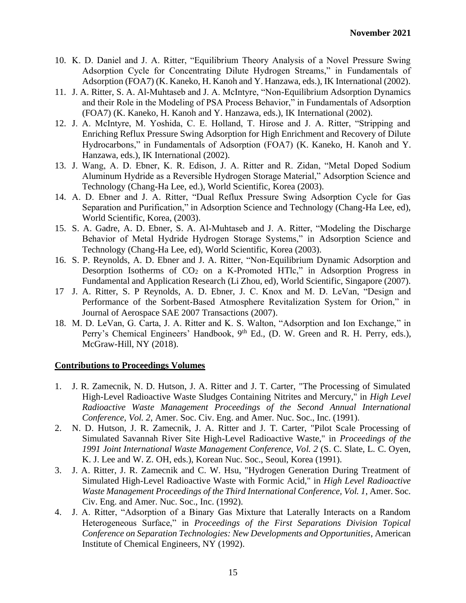- 10. K. D. Daniel and J. A. Ritter, "Equilibrium Theory Analysis of a Novel Pressure Swing Adsorption Cycle for Concentrating Dilute Hydrogen Streams," in Fundamentals of Adsorption (FOA7) (K. Kaneko, H. Kanoh and Y. Hanzawa, eds.), IK International (2002).
- 11. J. A. Ritter, S. A. Al-Muhtaseb and J. A. McIntyre, "Non-Equilibrium Adsorption Dynamics and their Role in the Modeling of PSA Process Behavior," in Fundamentals of Adsorption (FOA7) (K. Kaneko, H. Kanoh and Y. Hanzawa, eds.), IK International (2002).
- 12. J. A. McIntyre, M. Yoshida, C. E. Holland, T. Hirose and J. A. Ritter, "Stripping and Enriching Reflux Pressure Swing Adsorption for High Enrichment and Recovery of Dilute Hydrocarbons," in Fundamentals of Adsorption (FOA7) (K. Kaneko, H. Kanoh and Y. Hanzawa, eds.), IK International (2002).
- 13. J. Wang, A. D. Ebner, K. R. Edison, J. A. Ritter and R. Zidan, "Metal Doped Sodium Aluminum Hydride as a Reversible Hydrogen Storage Material," Adsorption Science and Technology (Chang-Ha Lee, ed.), World Scientific, Korea (2003).
- 14. A. D. Ebner and J. A. Ritter, "Dual Reflux Pressure Swing Adsorption Cycle for Gas Separation and Purification," in Adsorption Science and Technology (Chang-Ha Lee, ed), World Scientific, Korea, (2003).
- 15. S. A. Gadre, A. D. Ebner, S. A. Al-Muhtaseb and J. A. Ritter, "Modeling the Discharge Behavior of Metal Hydride Hydrogen Storage Systems," in Adsorption Science and Technology (Chang-Ha Lee, ed), World Scientific, Korea (2003).
- 16. S. P. Reynolds, A. D. Ebner and J. A. Ritter, "Non-Equilibrium Dynamic Adsorption and Desorption Isotherms of  $CO<sub>2</sub>$  on a K-Promoted HTlc," in Adsorption Progress in Fundamental and Application Research (Li Zhou, ed), World Scientific, Singapore (2007).
- 17 J. A. Ritter, S. P Reynolds, A. D. Ebner, J. C. Knox and M. D. LeVan, "Design and Performance of the Sorbent-Based Atmosphere Revitalization System for Orion," in Journal of Aerospace SAE 2007 Transactions (2007).
- 18. M. D. LeVan, G. Carta, J. A. Ritter and K. S. Walton, "Adsorption and Ion Exchange," in Perry's Chemical Engineers' Handbook, 9<sup>th</sup> Ed., (D. W. Green and R. H. Perry, eds.), McGraw-Hill, NY (2018).

### **Contributions to Proceedings Volumes**

- 1. J. R. Zamecnik, N. D. Hutson, J. A. Ritter and J. T. Carter, "The Processing of Simulated High-Level Radioactive Waste Sludges Containing Nitrites and Mercury," in *High Level Radioactive Waste Management Proceedings of the Second Annual International Conference, Vol. 2*, Amer. Soc. Civ. Eng. and Amer. Nuc. Soc., Inc. (1991).
- 2. N. D. Hutson, J. R. Zamecnik, J. A. Ritter and J. T. Carter, "Pilot Scale Processing of Simulated Savannah River Site High-Level Radioactive Waste," in *Proceedings of the 1991 Joint International Waste Management Conference, Vol. 2* (S. C. Slate, L. C. Oyen, K. J. Lee and W. Z. OH, eds.), Korean Nuc. Soc., Seoul, Korea (1991).
- 3. J. A. Ritter, J. R. Zamecnik and C. W. Hsu, "Hydrogen Generation During Treatment of Simulated High-Level Radioactive Waste with Formic Acid," in *High Level Radioactive Waste Management Proceedings of the Third International Conference, Vol. 1*, Amer. Soc. Civ. Eng. and Amer. Nuc. Soc., Inc. (1992).
- 4. J. A. Ritter, "Adsorption of a Binary Gas Mixture that Laterally Interacts on a Random Heterogeneous Surface," in *Proceedings of the First Separations Division Topical Conference on Separation Technologies: New Developments and Opportunities*, American Institute of Chemical Engineers, NY (1992).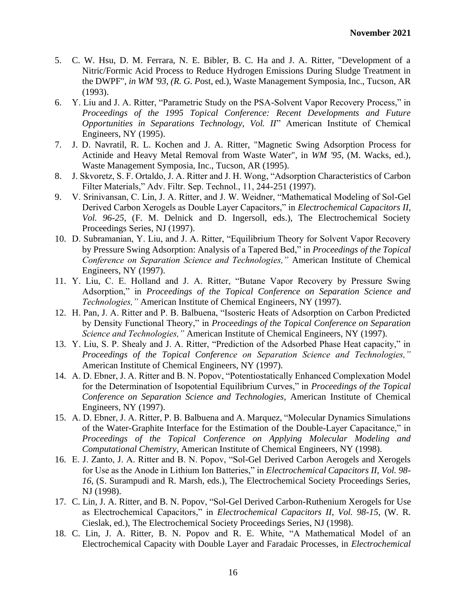- 5. C. W. Hsu, D. M. Ferrara, N. E. Bibler, B. C. Ha and J. A. Ritter, "Development of a Nitric/Formic Acid Process to Reduce Hydrogen Emissions During Sludge Treatment in the DWPF", *in WM '93, (R. G. P*ost, ed.), Waste Management Symposia, Inc., Tucson, AR (1993).
- 6. Y. Liu and J. A. Ritter, "Parametric Study on the PSA-Solvent Vapor Recovery Process," in *Proceedings of the 1995 Topical Conference: Recent Developments and Future Opportunities in Separations Technology, Vol. II*" American Institute of Chemical Engineers, NY (1995).
- 7. J. D. Navratil, R. L. Kochen and J. A. Ritter, "Magnetic Swing Adsorption Process for Actinide and Heavy Metal Removal from Waste Water", in *WM '95,* (M. Wacks, ed.), Waste Management Symposia, Inc., Tucson, AR (1995).
- 8. J. Skvoretz, S. F. Ortaldo, J. A. Ritter and J. H. Wong, "Adsorption Characteristics of Carbon Filter Materials," Adv. Filtr. Sep. Technol., 11, 244-251 (1997).
- 9. V. Srinivansan, C. Lin, J. A. Ritter, and J. W. Weidner, "Mathematical Modeling of Sol-Gel Derived Carbon Xerogels as Double Layer Capacitors," in *Electrochemical Capacitors II, Vol. 96-25*, (F. M. Delnick and D. Ingersoll, eds.), The Electrochemical Society Proceedings Series, NJ (1997).
- 10. D. Subramanian, Y. Liu, and J. A. Ritter, "Equilibrium Theory for Solvent Vapor Recovery by Pressure Swing Adsorption: Analysis of a Tapered Bed," in *Proceedings of the Topical Conference on Separation Science and Technologies,"* American Institute of Chemical Engineers, NY (1997).
- 11. Y. Liu, C. E. Holland and J. A. Ritter, "Butane Vapor Recovery by Pressure Swing Adsorption," in *Proceedings of the Topical Conference on Separation Science and Technologies,"* American Institute of Chemical Engineers, NY (1997).
- 12. H. Pan, J. A. Ritter and P. B. Balbuena, "Isosteric Heats of Adsorption on Carbon Predicted by Density Functional Theory," in *Proceedings of the Topical Conference on Separation Science and Technologies,"* American Institute of Chemical Engineers, NY (1997).
- 13. Y. Liu, S. P. Shealy and J. A. Ritter, "Prediction of the Adsorbed Phase Heat capacity," in *Proceedings of the Topical Conference on Separation Science and Technologies,"* American Institute of Chemical Engineers, NY (1997).
- 14. A. D. Ebner, J. A. Ritter and B. N. Popov, "Potentiostatically Enhanced Complexation Model for the Determination of Isopotential Equilibrium Curves," in *Proceedings of the Topical Conference on Separation Science and Technologies,* American Institute of Chemical Engineers, NY (1997).
- 15. A. D. Ebner, J. A. Ritter, P. B. Balbuena and A. Marquez, "Molecular Dynamics Simulations of the Water-Graphite Interface for the Estimation of the Double-Layer Capacitance," in *Proceedings of the Topical Conference on Applying Molecular Modeling and Computational Chemistry,* American Institute of Chemical Engineers, NY (1998).
- 16. E. J. Zanto, J. A. Ritter and B. N. Popov, "Sol-Gel Derived Carbon Aerogels and Xerogels for Use as the Anode in Lithium Ion Batteries," in *Electrochemical Capacitors II, Vol. 98- 16*, (S. Surampudi and R. Marsh, eds.), The Electrochemical Society Proceedings Series, NJ (1998).
- 17. C. Lin, J. A. Ritter, and B. N. Popov, "Sol-Gel Derived Carbon-Ruthenium Xerogels for Use as Electrochemical Capacitors," in *Electrochemical Capacitors II, Vol. 98-15*, (W. R. Cieslak, ed.), The Electrochemical Society Proceedings Series, NJ (1998).
- 18. C. Lin, J. A. Ritter, B. N. Popov and R. E. White, "A Mathematical Model of an Electrochemical Capacity with Double Layer and Faradaic Processes, in *Electrochemical*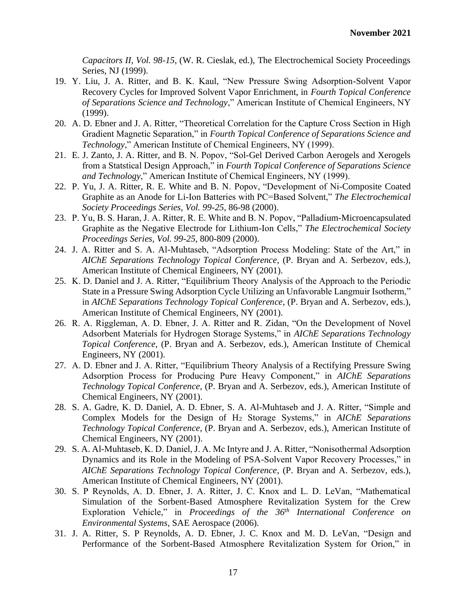*Capacitors II, Vol. 98-15*, (W. R. Cieslak, ed.), The Electrochemical Society Proceedings Series, NJ (1999).

- 19. Y. Liu, J. A. Ritter, and B. K. Kaul, "New Pressure Swing Adsorption-Solvent Vapor Recovery Cycles for Improved Solvent Vapor Enrichment, in *Fourth Topical Conference of Separations Science and Technology*," American Institute of Chemical Engineers, NY (1999).
- 20. A. D. Ebner and J. A. Ritter, "Theoretical Correlation for the Capture Cross Section in High Gradient Magnetic Separation," in *Fourth Topical Conference of Separations Science and Technology*," American Institute of Chemical Engineers, NY (1999).
- 21. E. J. Zanto, J. A. Ritter, and B. N. Popov, "Sol-Gel Derived Carbon Aerogels and Xerogels from a Statstical Design Approach," in *Fourth Topical Conference of Separations Science and Technology*," American Institute of Chemical Engineers, NY (1999).
- 22. P. Yu, J. A. Ritter, R. E. White and B. N. Popov, "Development of Ni-Composite Coated Graphite as an Anode for Li-Ion Batteries with PC=Based Solvent," *The Electrochemical Society Proceedings Series, Vol. 99-25*, 86-98 (2000).
- 23. P. Yu, B. S. Haran, J. A. Ritter, R. E. White and B. N. Popov, "Palladium-Microencapsulated Graphite as the Negative Electrode for Lithium-Ion Cells," *The Electrochemical Society Proceedings Series, Vol. 99-25*, 800-809 (2000).
- 24. J. A. Ritter and S. A. Al-Muhtaseb, "Adsorption Process Modeling: State of the Art," in *AIChE Separations Technology Topical Conference*, (P. Bryan and A. Serbezov, eds.), American Institute of Chemical Engineers, NY (2001).
- 25. K. D. Daniel and J. A. Ritter, "Equilibrium Theory Analysis of the Approach to the Periodic State in a Pressure Swing Adsorption Cycle Utilizing an Unfavorable Langmuir Isotherm," in *AIChE Separations Technology Topical Conference*, (P. Bryan and A. Serbezov, eds.), American Institute of Chemical Engineers, NY (2001).
- 26. R. A. Riggleman, A. D. Ebner, J. A. Ritter and R. Zidan, "On the Development of Novel Adsorbent Materials for Hydrogen Storage Systems," in *AIChE Separations Technology Topical Conference*, (P. Bryan and A. Serbezov, eds.), American Institute of Chemical Engineers, NY (2001).
- 27. A. D. Ebner and J. A. Ritter, "Equilibrium Theory Analysis of a Rectifying Pressure Swing Adsorption Process for Producing Pure Heavy Component," in *AIChE Separations Technology Topical Conference*, (P. Bryan and A. Serbezov, eds.), American Institute of Chemical Engineers, NY (2001).
- 28. S. A. Gadre, K. D. Daniel, A. D. Ebner, S. A. Al-Muhtaseb and J. A. Ritter, "Simple and Complex Models for the Design of H<sup>2</sup> Storage Systems," in *AIChE Separations Technology Topical Conference*, (P. Bryan and A. Serbezov, eds.), American Institute of Chemical Engineers, NY (2001).
- 29. S. A. Al-Muhtaseb, K. D. Daniel, J. A. Mc Intyre and J. A. Ritter, "Nonisothermal Adsorption Dynamics and its Role in the Modeling of PSA-Solvent Vapor Recovery Processes," in *AIChE Separations Technology Topical Conference*, (P. Bryan and A. Serbezov, eds.), American Institute of Chemical Engineers, NY (2001).
- 30. S. P Reynolds, A. D. Ebner, J. A. Ritter, J. C. Knox and L. D. LeVan, "Mathematical Simulation of the Sorbent-Based Atmosphere Revitalization System for the Crew Exploration Vehicle," in *Proceedings of the 36th International Conference on Environmental Systems*, SAE Aerospace (2006).
- 31. J. A. Ritter, S. P Reynolds, A. D. Ebner, J. C. Knox and M. D. LeVan, "Design and Performance of the Sorbent-Based Atmosphere Revitalization System for Orion," in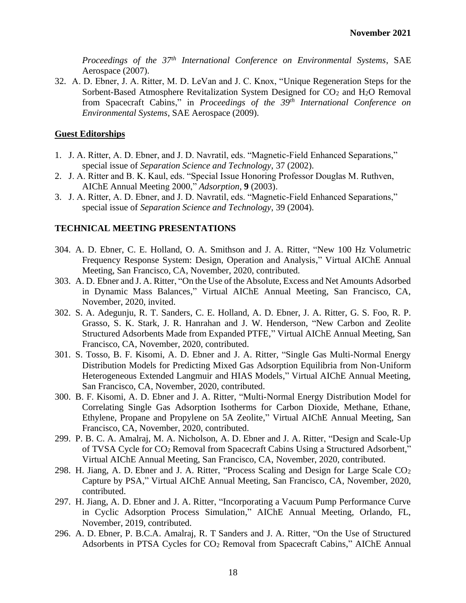*Proceedings of the 37th International Conference on Environmental Systems*, SAE Aerospace (2007).

32. A. D. Ebner, J. A. Ritter, M. D. LeVan and J. C. Knox, "Unique Regeneration Steps for the Sorbent-Based Atmosphere Revitalization System Designed for CO<sub>2</sub> and H<sub>2</sub>O Removal from Spacecraft Cabins," in *Proceedings of the 39th International Conference on Environmental Systems*, SAE Aerospace (2009).

#### **Guest Editorships**

- 1. J. A. Ritter, A. D. Ebner, and J. D. Navratil, eds. "Magnetic-Field Enhanced Separations," special issue of *Separation Science and Technology*, 37 (2002).
- 2. J. A. Ritter and B. K. Kaul, eds. "Special Issue Honoring Professor Douglas M. Ruthven, AIChE Annual Meeting 2000," *Adsorption*, **9** (2003).
- 3. J. A. Ritter, A. D. Ebner, and J. D. Navratil, eds. "Magnetic-Field Enhanced Separations," special issue of *Separation Science and Technology*, 39 (2004).

#### **TECHNICAL MEETING PRESENTATIONS**

- 304. A. D. Ebner, C. E. Holland, O. A. Smithson and J. A. Ritter, "New 100 Hz Volumetric Frequency Response System: Design, Operation and Analysis," Virtual AIChE Annual Meeting, San Francisco, CA, November, 2020, contributed.
- 303. A. D. Ebner and J. A. Ritter, "On the Use of the Absolute, Excess and Net Amounts Adsorbed in Dynamic Mass Balances," Virtual AIChE Annual Meeting, San Francisco, CA, November, 2020, invited.
- 302. S. A. Adegunju, R. T. Sanders, C. E. Holland, A. D. Ebner, J. A. Ritter, G. S. Foo, R. P. Grasso, S. K. Stark, J. R. Hanrahan and J. W. Henderson, "New Carbon and Zeolite Structured Adsorbents Made from Expanded PTFE," Virtual AIChE Annual Meeting, San Francisco, CA, November, 2020, contributed.
- 301. S. Tosso, B. F. Kisomi, A. D. Ebner and J. A. Ritter, "Single Gas Multi-Normal Energy Distribution Models for Predicting Mixed Gas Adsorption Equilibria from Non-Uniform Heterogeneous Extended Langmuir and HIAS Models," Virtual AIChE Annual Meeting, San Francisco, CA, November, 2020, contributed.
- 300. B. F. Kisomi, A. D. Ebner and J. A. Ritter, "Multi-Normal Energy Distribution Model for Correlating Single Gas Adsorption Isotherms for Carbon Dioxide, Methane, Ethane, Ethylene, Propane and Propylene on 5A Zeolite," Virtual AIChE Annual Meeting, San Francisco, CA, November, 2020, contributed.
- 299. P. B. C. A. Amalraj, M. A. Nicholson, A. D. Ebner and J. A. Ritter, "Design and Scale-Up of TVSA Cycle for CO<sup>2</sup> Removal from Spacecraft Cabins Using a Structured Adsorbent," Virtual AIChE Annual Meeting, San Francisco, CA, November, 2020, contributed.
- 298. H. Jiang, A. D. Ebner and J. A. Ritter, "Process Scaling and Design for Large Scale CO<sup>2</sup> Capture by PSA," Virtual AIChE Annual Meeting, San Francisco, CA, November, 2020, contributed.
- 297. H. Jiang, A. D. Ebner and J. A. Ritter, "Incorporating a Vacuum Pump Performance Curve in Cyclic Adsorption Process Simulation," AIChE Annual Meeting, Orlando, FL, November, 2019, contributed.
- 296. A. D. Ebner, P. B.C.A. Amalraj, R. T Sanders and J. A. Ritter, "On the Use of Structured Adsorbents in PTSA Cycles for CO<sup>2</sup> Removal from Spacecraft Cabins," AIChE Annual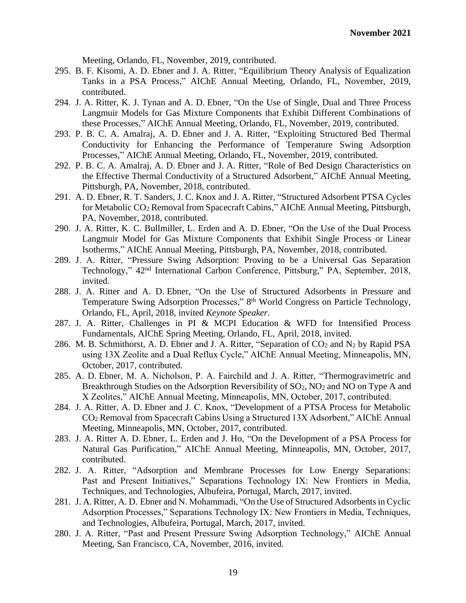Meeting, Orlando, FL, November, 2019, contributed.

- 295. B. F. Kisomi, A. D. Ebner and J. A. Ritter, "Equilibrium Theory Analysis of Equalization Tanks in a PSA Process," AIChE Annual Meeting, Orlando, FL, November, 2019, contributed.
- 294. J. A. Ritter, K. J. Tynan and A. D. Ebner, "On the Use of Single, Dual and Three Process Langmuir Models for Gas Mixture Components that Exhibit Different Combinations of these Processes," AIChE Annual Meeting, Orlando, FL, November, 2019, contributed.
- 293. P. B. C. A. Amalraj, A. D. Ebner and J. A. Ritter, "Exploiting Structured Bed Thermal Conductivity for Enhancing the Performance of Temperature Swing Adsorption Processes," AIChE Annual Meeting, Orlando, FL, November, 2019, contributed.
- 292. P. B. C. A. Amalraj, A. D. Ebner and J. A. Ritter, "Role of Bed Design Characteristics on the Effective Thermal Conductivity of a Structured Adsorbent," AIChE Annual Meeting, Pittsburgh, PA, November, 2018, contributed.
- 291. A. D. Ebner, R. T. Sanders, J. C. Knox and J. A. Ritter, "Structured Adsorbent PTSA Cycles for Metabolic CO<sup>2</sup> Removal from Spacecraft Cabins," AIChE Annual Meeting, Pittsburgh, PA, November, 2018, contributed.
- 290. J. A. Ritter, K. C. Bullmiller, L. Erden and A. D. Ebner, "On the Use of the Dual Process Langmuir Model for Gas Mixture Components that Exhibit Single Process or Linear Isotherms," AIChE Annual Meeting, Pittsburgh, PA, November, 2018, contributed.
- 289. J. A. Ritter, "Pressure Swing Adsorption: Proving to be a Universal Gas Separation Technology," 42<sup>nd</sup> International Carbon Conference, Pittsburg," PA, September, 2018, invited.
- 288. J. A. Ritter and A. D. Ebner, "On the Use of Structured Adsorbents in Pressure and Temperature Swing Adsorption Processes," 8<sup>th</sup> World Congress on Particle Technology, Orlando, FL, April, 2018, invited *Keynote Speaker*.
- 287. J. A. Ritter, Challenges in PI & MCPI Education & WFD for Intensified Process Fundamentals, AIChE Spring Meeting, Orlando, FL, April, 2018, invited.
- 286. M. B. Schmithorst, A. D. Ebner and J. A. Ritter, "Separation of CO<sup>2</sup> and N<sup>2</sup> by Rapid PSA using 13X Zeolite and a Dual Reflux Cycle," AIChE Annual Meeting, Minneapolis, MN, October, 2017, contributed.
- 285. A. D. Ebner, M. A. Nicholson, P. A. Fairchild and J. A. Ritter, "Thermogravimetric and Breakthrough Studies on the Adsorption Reversibility of SO<sub>2</sub>, NO<sub>2</sub> and NO on Type A and X Zeolites," AIChE Annual Meeting, Minneapolis, MN, October, 2017, contributed.
- 284. J. A. Ritter, A. D. Ebner and J. C. Knox, "Development of a PTSA Process for Metabolic CO<sup>2</sup> Removal from Spacecraft Cabins Using a Structured 13X Adsorbent," AIChE Annual Meeting, Minneapolis, MN, October, 2017, contributed.
- 283. J. A. Ritter A. D. Ebner, L. Erden and J. Ho, "On the Development of a PSA Process for Natural Gas Purification," AIChE Annual Meeting, Minneapolis, MN, October, 2017, contributed.
- 282. J. A. Ritter, "Adsorption and Membrane Processes for Low Energy Separations: Past and Present Initiatives," Separations Technology IX: New Frontiers in Media, Techniques, and Technologies, Albufeira, Portugal, March, 2017, invited.
- 281. J. A. Ritter, A. D. Ebner and N. Mohammadi, "On the Use of Structured Adsorbents in Cyclic Adsorption Processes," Separations Technology IX: New Frontiers in Media, Techniques, and Technologies, Albufeira, Portugal, March, 2017, invited.
- 280. J. A. Ritter, "Past and Present Pressure Swing Adsorption Technology," AIChE Annual Meeting, San Francisco, CA, November, 2016, invited.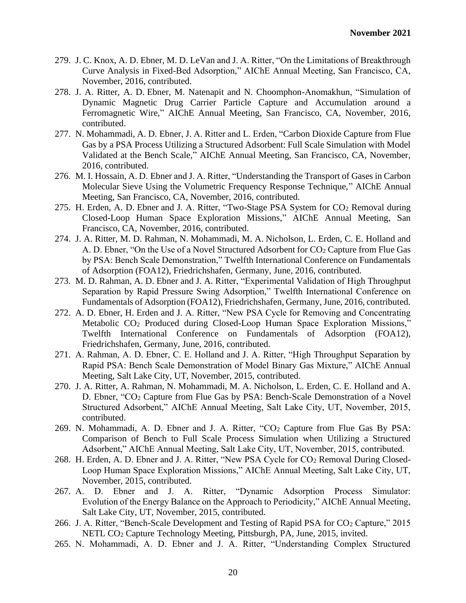- 279. J. C. Knox, A. D. Ebner, M. D. LeVan and J. A. Ritter, "On the Limitations of Breakthrough Curve Analysis in Fixed-Bed Adsorption," AIChE Annual Meeting, San Francisco, CA, November, 2016, contributed.
- 278. J. A. Ritter, A. D. Ebner, M. Natenapit and N. Choomphon-Anomakhun, "Simulation of Dynamic Magnetic Drug Carrier Particle Capture and Accumulation around a Ferromagnetic Wire," AIChE Annual Meeting, San Francisco, CA, November, 2016, contributed.
- 277. N. Mohammadi, A. D. Ebner, J. A. Ritter and L. Erden, "Carbon Dioxide Capture from Flue Gas by a PSA Process Utilizing a Structured Adsorbent: Full Scale Simulation with Model Validated at the Bench Scale," AIChE Annual Meeting, San Francisco, CA, November, 2016, contributed.
- 276. M. I. Hossain, A. D. Ebner and J. A. Ritter, "Understanding the Transport of Gases in Carbon Molecular Sieve Using the Volumetric Frequency Response Technique," AIChE Annual Meeting, San Francisco, CA, November, 2016, contributed.
- 275. H. Erden, A. D. Ebner and J. A. Ritter, "Two-Stage PSA System for CO<sup>2</sup> Removal during Closed-Loop Human Space Exploration Missions," AIChE Annual Meeting, San Francisco, CA, November, 2016, contributed.
- 274. J. A. Ritter, M. D. Rahman, N. Mohammadi, M. A. Nicholson, L. Erden, C. E. Holland and A. D. Ebner, "On the Use of a Novel Structured Adsorbent for CO<sub>2</sub> Capture from Flue Gas by PSA: Bench Scale Demonstration," Twelfth International Conference on Fundamentals of Adsorption (FOA12), Friedrichshafen, Germany, June, 2016, contributed.
- 273. M. D. Rahman, A. D. Ebner and J. A. Ritter, "Experimental Validation of High Throughput Separation by Rapid Pressure Swing Adsorption," Twelfth International Conference on Fundamentals of Adsorption (FOA12), Friedrichshafen, Germany, June, 2016, contributed.
- 272. A. D. Ebner, H. Erden and J. A. Ritter, "New PSA Cycle for Removing and Concentrating Metabolic CO<sub>2</sub> Produced during Closed-Loop Human Space Exploration Missions," Twelfth International Conference on Fundamentals of Adsorption (FOA12), Friedrichshafen, Germany, June, 2016, contributed.
- 271. A. Rahman, A. D. Ebner, C. E. Holland and J. A. Ritter, "High Throughput Separation by Rapid PSA: Bench Scale Demonstration of Model Binary Gas Mixture," AIChE Annual Meeting, Salt Lake City, UT, November, 2015, contributed.
- 270. J. A. Ritter, A. Rahman, N. Mohammadi, M. A. Nicholson, L. Erden, C. E. Holland and A. D. Ebner, "CO<sup>2</sup> Capture from Flue Gas by PSA: Bench-Scale Demonstration of a Novel Structured Adsorbent," AIChE Annual Meeting, Salt Lake City, UT, November, 2015, contributed.
- 269. N. Mohammadi, A. D. Ebner and J. A. Ritter, "CO<sup>2</sup> Capture from Flue Gas By PSA: Comparison of Bench to Full Scale Process Simulation when Utilizing a Structured Adsorbent," AIChE Annual Meeting, Salt Lake City, UT, November, 2015, contributed.
- 268. H. Erden, A. D. Ebner and J. A. Ritter, "New PSA Cycle for CO<sub>2</sub> Removal During Closed-Loop Human Space Exploration Missions," AIChE Annual Meeting, Salt Lake City, UT, November, 2015, contributed.
- 267. A. D. Ebner and J. A. Ritter, "Dynamic Adsorption Process Simulator: Evolution of the Energy Balance on the Approach to Periodicity," AIChE Annual Meeting, Salt Lake City, UT, November, 2015, contributed.
- 266. J. A. Ritter, "Bench-Scale Development and Testing of Rapid PSA for CO<sub>2</sub> Capture," 2015 NETL CO<sup>2</sup> Capture Technology Meeting, Pittsburgh, PA, June, 2015, invited.
- 265. N. Mohammadi, A. D. Ebner and J. A. Ritter, "Understanding Complex Structured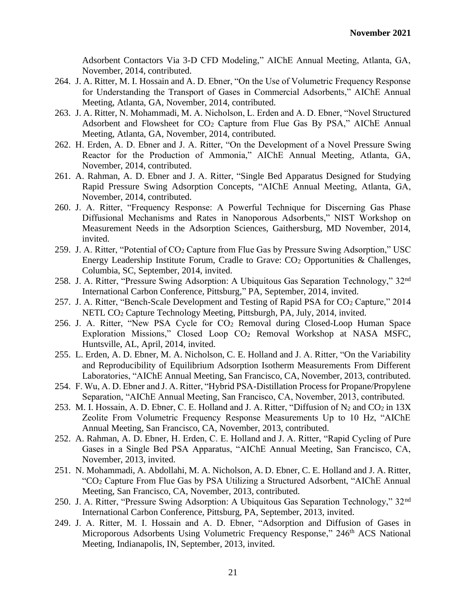Adsorbent Contactors Via 3-D CFD Modeling," AIChE Annual Meeting, Atlanta, GA, November, 2014, contributed.

- 264. J. A. Ritter, M. I. Hossain and A. D. Ebner, "On the Use of Volumetric Frequency Response for Understanding the Transport of Gases in Commercial Adsorbents," AIChE Annual Meeting, Atlanta, GA, November, 2014, contributed.
- 263. J. A. Ritter, N. Mohammadi, M. A. Nicholson, L. Erden and A. D. Ebner, "Novel Structured Adsorbent and Flowsheet for CO<sup>2</sup> Capture from Flue Gas By PSA," AIChE Annual Meeting, Atlanta, GA, November, 2014, contributed.
- 262. H. Erden, A. D. Ebner and J. A. Ritter, "On the Development of a Novel Pressure Swing Reactor for the Production of Ammonia," AIChE Annual Meeting, Atlanta, GA, November, 2014, contributed.
- 261. A. Rahman, A. D. Ebner and J. A. Ritter, "Single Bed Apparatus Designed for Studying Rapid Pressure Swing Adsorption Concepts, "AIChE Annual Meeting, Atlanta, GA, November, 2014, contributed.
- 260. J. A. Ritter, "Frequency Response: A Powerful Technique for Discerning Gas Phase Diffusional Mechanisms and Rates in Nanoporous Adsorbents," NIST Workshop on Measurement Needs in the Adsorption Sciences, Gaithersburg, MD November, 2014, invited.
- 259. J. A. Ritter, "Potential of CO<sup>2</sup> Capture from Flue Gas by Pressure Swing Adsorption," USC Energy Leadership Institute Forum, Cradle to Grave: CO<sup>2</sup> Opportunities & Challenges, Columbia, SC, September, 2014, invited.
- 258. J. A. Ritter, "Pressure Swing Adsorption: A Ubiquitous Gas Separation Technology," 32nd International Carbon Conference, Pittsburg," PA, September, 2014, invited.
- 257. J. A. Ritter, "Bench-Scale Development and Testing of Rapid PSA for  $CO<sub>2</sub>$  Capture," 2014 NETL CO<sup>2</sup> Capture Technology Meeting, Pittsburgh, PA, July, 2014, invited.
- 256. J. A. Ritter, "New PSA Cycle for  $CO<sub>2</sub>$  Removal during Closed-Loop Human Space Exploration Missions," Closed Loop CO<sup>2</sup> Removal Workshop at NASA MSFC, Huntsville, AL, April, 2014, invited.
- 255. L. Erden, A. D. Ebner, M. A. Nicholson, C. E. Holland and J. A. Ritter, "On the Variability and Reproducibility of Equilibrium Adsorption Isotherm Measurements From Different Laboratories, "AIChE Annual Meeting, San Francisco, CA, November, 2013, contributed.
- 254. F. Wu, A. D. Ebner and J. A. Ritter, "Hybrid PSA-Distillation Process for Propane/Propylene Separation, "AIChE Annual Meeting, San Francisco, CA, November, 2013, contributed.
- 253. M. I. Hossain, A. D. Ebner, C. E. Holland and J. A. Ritter, "Diffusion of  $N_2$  and  $CO_2$  in 13X Zeolite From Volumetric Frequency Response Measurements Up to 10 Hz, "AIChE Annual Meeting, San Francisco, CA, November, 2013, contributed.
- 252. A. Rahman, A. D. Ebner, H. Erden, C. E. Holland and J. A. Ritter, "Rapid Cycling of Pure Gases in a Single Bed PSA Apparatus, "AIChE Annual Meeting, San Francisco, CA, November, 2013, invited.
- 251. N. Mohammadi, A. Abdollahi, M. A. Nicholson, A. D. Ebner, C. E. Holland and J. A. Ritter, "CO<sup>2</sup> Capture From Flue Gas by PSA Utilizing a Structured Adsorbent, "AIChE Annual Meeting, San Francisco, CA, November, 2013, contributed.
- 250. J. A. Ritter, "Pressure Swing Adsorption: A Ubiquitous Gas Separation Technology," 32nd International Carbon Conference, Pittsburg, PA, September, 2013, invited.
- 249. J. A. Ritter, M. I. Hossain and A. D. Ebner, "Adsorption and Diffusion of Gases in Microporous Adsorbents Using Volumetric Frequency Response," 246<sup>th</sup> ACS National Meeting, Indianapolis, IN, September, 2013, invited.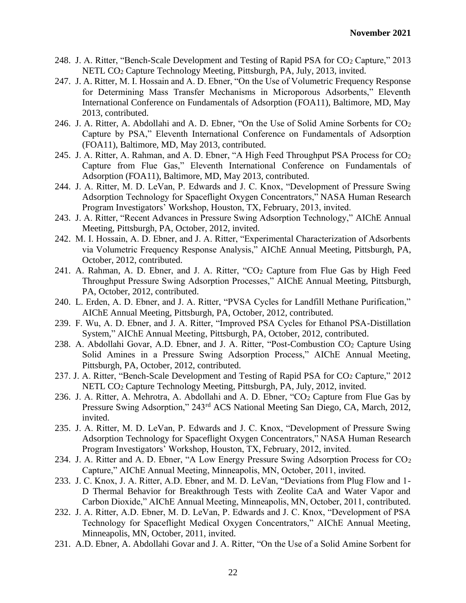- 248. J. A. Ritter, "Bench-Scale Development and Testing of Rapid PSA for CO<sup>2</sup> Capture," 2013 NETL CO<sup>2</sup> Capture Technology Meeting, Pittsburgh, PA, July, 2013, invited.
- 247. J. A. Ritter, M. I. Hossain and A. D. Ebner, "On the Use of Volumetric Frequency Response for Determining Mass Transfer Mechanisms in Microporous Adsorbents," Eleventh International Conference on Fundamentals of Adsorption (FOA11), Baltimore, MD, May 2013, contributed.
- 246. J. A. Ritter, A. Abdollahi and A. D. Ebner, "On the Use of Solid Amine Sorbents for CO<sup>2</sup> Capture by PSA," Eleventh International Conference on Fundamentals of Adsorption (FOA11), Baltimore, MD, May 2013, contributed.
- 245. J. A. Ritter, A. Rahman, and A. D. Ebner, "A High Feed Throughput PSA Process for CO<sup>2</sup> Capture from Flue Gas," Eleventh International Conference on Fundamentals of Adsorption (FOA11), Baltimore, MD, May 2013, contributed.
- 244. J. A. Ritter, M. D. LeVan, P. Edwards and J. C. Knox, "Development of Pressure Swing Adsorption Technology for Spaceflight Oxygen Concentrators," NASA Human Research Program Investigators' Workshop, Houston, TX, February, 2013, invited.
- 243. J. A. Ritter, "Recent Advances in Pressure Swing Adsorption Technology," AIChE Annual Meeting, Pittsburgh, PA, October, 2012, invited.
- 242. M. I. Hossain, A. D. Ebner, and J. A. Ritter, "Experimental Characterization of Adsorbents via Volumetric Frequency Response Analysis," AIChE Annual Meeting, Pittsburgh, PA, October, 2012, contributed.
- 241. A. Rahman, A. D. Ebner, and J. A. Ritter, " $CO<sub>2</sub>$  Capture from Flue Gas by High Feed Throughput Pressure Swing Adsorption Processes," AIChE Annual Meeting, Pittsburgh, PA, October, 2012, contributed.
- 240. L. Erden, A. D. Ebner, and J. A. Ritter, "PVSA Cycles for Landfill Methane Purification," AIChE Annual Meeting, Pittsburgh, PA, October, 2012, contributed.
- 239. F. Wu, A. D. Ebner, and J. A. Ritter, "Improved PSA Cycles for Ethanol PSA-Distillation System," AIChE Annual Meeting, Pittsburgh, PA, October, 2012, contributed.
- 238. A. Abdollahi Govar, A.D. Ebner, and J. A. Ritter, "Post-Combustion CO<sup>2</sup> Capture Using Solid Amines in a Pressure Swing Adsorption Process," AIChE Annual Meeting, Pittsburgh, PA, October, 2012, contributed.
- 237. J. A. Ritter, "Bench-Scale Development and Testing of Rapid PSA for  $CO<sub>2</sub>$  Capture," 2012 NETL CO<sup>2</sup> Capture Technology Meeting, Pittsburgh, PA, July, 2012, invited.
- 236. J. A. Ritter, A. Mehrotra, A. Abdollahi and A. D. Ebner, "CO<sup>2</sup> Capture from Flue Gas by Pressure Swing Adsorption," 243<sup>rd</sup> ACS National Meeting San Diego, CA, March, 2012, invited.
- 235. J. A. Ritter, M. D. LeVan, P. Edwards and J. C. Knox, "Development of Pressure Swing Adsorption Technology for Spaceflight Oxygen Concentrators," NASA Human Research Program Investigators' Workshop, Houston, TX, February, 2012, invited.
- 234. J. A. Ritter and A. D. Ebner, "A Low Energy Pressure Swing Adsorption Process for CO<sup>2</sup> Capture," AIChE Annual Meeting, Minneapolis, MN, October, 2011, invited.
- 233. J. C. Knox, J. A. Ritter, A.D. Ebner, and M. D. LeVan, "Deviations from Plug Flow and 1- D Thermal Behavior for Breakthrough Tests with Zeolite CaA and Water Vapor and Carbon Dioxide," AIChE Annual Meeting, Minneapolis, MN, October, 2011, contributed.
- 232. J. A. Ritter, A.D. Ebner, M. D. LeVan, P. Edwards and J. C. Knox, "Development of PSA Technology for Spaceflight Medical Oxygen Concentrators," AIChE Annual Meeting, Minneapolis, MN, October, 2011, invited.
- 231. A.D. Ebner, A. Abdollahi Govar and J. A. Ritter, "On the Use of a Solid Amine Sorbent for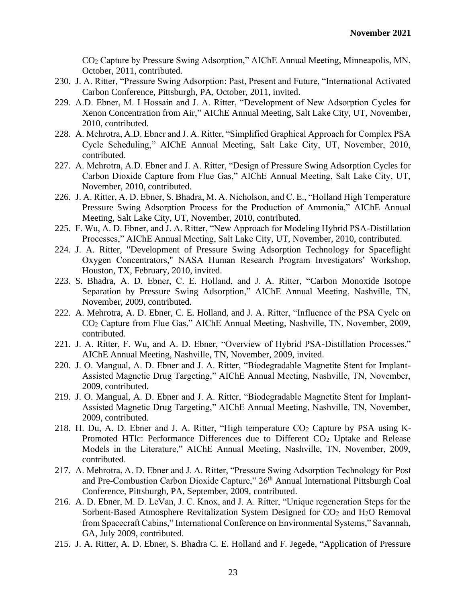CO<sup>2</sup> Capture by Pressure Swing Adsorption," AIChE Annual Meeting, Minneapolis, MN, October, 2011, contributed.

- 230. J. A. Ritter, "Pressure Swing Adsorption: Past, Present and Future, "International Activated Carbon Conference, Pittsburgh, PA, October, 2011, invited.
- 229. A.D. Ebner, M. I Hossain and J. A. Ritter, "Development of New Adsorption Cycles for Xenon Concentration from Air," AIChE Annual Meeting, Salt Lake City, UT, November, 2010, contributed.
- 228. A. Mehrotra, A.D. Ebner and J. A. Ritter, "Simplified Graphical Approach for Complex PSA Cycle Scheduling," AIChE Annual Meeting, Salt Lake City, UT, November, 2010, contributed.
- 227. A. Mehrotra, A.D. Ebner and J. A. Ritter, "Design of Pressure Swing Adsorption Cycles for Carbon Dioxide Capture from Flue Gas," AIChE Annual Meeting, Salt Lake City, UT, November, 2010, contributed.
- 226. J. A. Ritter, A. D. Ebner, S. Bhadra, M. A. Nicholson, and C. E., "Holland High Temperature Pressure Swing Adsorption Process for the Production of Ammonia," AIChE Annual Meeting, Salt Lake City, UT, November, 2010, contributed.
- 225. F. Wu, A. D. Ebner, and J. A. Ritter, "New Approach for Modeling Hybrid PSA-Distillation Processes," AIChE Annual Meeting, Salt Lake City, UT, November, 2010, contributed.
- 224. J. A. Ritter, "Development of Pressure Swing Adsorption Technology for Spaceflight Oxygen Concentrators," NASA Human Research Program Investigators' Workshop, Houston, TX, February, 2010, invited.
- 223. S. Bhadra, A. D. Ebner, C. E. Holland, and J. A. Ritter, "Carbon Monoxide Isotope Separation by Pressure Swing Adsorption," AIChE Annual Meeting, Nashville, TN, November, 2009, contributed.
- 222. A. Mehrotra, A. D. Ebner, C. E. Holland, and J. A. Ritter, "Influence of the PSA Cycle on CO<sup>2</sup> Capture from Flue Gas," AIChE Annual Meeting, Nashville, TN, November, 2009, contributed.
- 221. J. A. Ritter, F. Wu, and A. D. Ebner, "Overview of Hybrid PSA-Distillation Processes," AIChE Annual Meeting, Nashville, TN, November, 2009, invited.
- 220. J. O. Mangual, A. D. Ebner and J. A. Ritter, "Biodegradable Magnetite Stent for Implant-Assisted Magnetic Drug Targeting," AIChE Annual Meeting, Nashville, TN, November, 2009, contributed.
- 219. J. O. Mangual, A. D. Ebner and J. A. Ritter, "Biodegradable Magnetite Stent for Implant-Assisted Magnetic Drug Targeting," AIChE Annual Meeting, Nashville, TN, November, 2009, contributed.
- 218. H. Du, A. D. Ebner and J. A. Ritter, "High temperature  $CO<sub>2</sub>$  Capture by PSA using K-Promoted HTlc: Performance Differences due to Different CO<sub>2</sub> Uptake and Release Models in the Literature," AIChE Annual Meeting, Nashville, TN, November, 2009, contributed.
- 217. A. Mehrotra, A. D. Ebner and J. A. Ritter, "Pressure Swing Adsorption Technology for Post and Pre-Combustion Carbon Dioxide Capture," 26<sup>th</sup> Annual International Pittsburgh Coal Conference, Pittsburgh, PA, September, 2009, contributed.
- 216. A. D. Ebner, M. D. LeVan, J. C. Knox, and J. A. Ritter, "Unique regeneration Steps for the Sorbent-Based Atmosphere Revitalization System Designed for CO<sub>2</sub> and H<sub>2</sub>O Removal from Spacecraft Cabins," International Conference on Environmental Systems," Savannah, GA, July 2009, contributed.
- 215. J. A. Ritter, A. D. Ebner, S. Bhadra C. E. Holland and F. Jegede, "Application of Pressure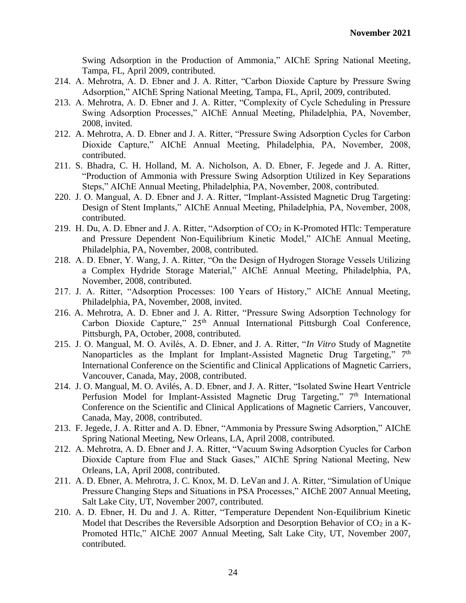Swing Adsorption in the Production of Ammonia," AIChE Spring National Meeting, Tampa, FL, April 2009, contributed.

- 214. A. Mehrotra, A. D. Ebner and J. A. Ritter, "Carbon Dioxide Capture by Pressure Swing Adsorption," AIChE Spring National Meeting, Tampa, FL, April, 2009, contributed.
- 213. A. Mehrotra, A. D. Ebner and J. A. Ritter, "Complexity of Cycle Scheduling in Pressure Swing Adsorption Processes," AIChE Annual Meeting, Philadelphia, PA, November, 2008, invited.
- 212. A. Mehrotra, A. D. Ebner and J. A. Ritter, "Pressure Swing Adsorption Cycles for Carbon Dioxide Capture," AIChE Annual Meeting, Philadelphia, PA, November, 2008, contributed.
- 211. S. Bhadra, C. H. Holland, M. A. Nicholson, A. D. Ebner, F. Jegede and J. A. Ritter, "Production of Ammonia with Pressure Swing Adsorption Utilized in Key Separations Steps," AIChE Annual Meeting, Philadelphia, PA, November, 2008, contributed.
- 220. J. O. Mangual, A. D. Ebner and J. A. Ritter, "Implant-Assisted Magnetic Drug Targeting: Design of Stent Implants," AIChE Annual Meeting, Philadelphia, PA, November, 2008, contributed.
- 219. H. Du, A. D. Ebner and J. A. Ritter, "Adsorption of CO<sub>2</sub> in K-Promoted HTlc: Temperature and Pressure Dependent Non-Equilibrium Kinetic Model," AIChE Annual Meeting, Philadelphia, PA, November, 2008, contributed.
- 218. A. D. Ebner, Y. Wang, J. A. Ritter, "On the Design of Hydrogen Storage Vessels Utilizing a Complex Hydride Storage Material," AIChE Annual Meeting, Philadelphia, PA, November, 2008, contributed.
- 217. J. A. Ritter, "Adsorption Processes: 100 Years of History," AIChE Annual Meeting, Philadelphia, PA, November, 2008, invited.
- 216. A. Mehrotra, A. D. Ebner and J. A. Ritter, "Pressure Swing Adsorption Technology for Carbon Dioxide Capture," 25<sup>th</sup> Annual International Pittsburgh Coal Conference, Pittsburgh, PA, October, 2008, contributed.
- 215. J. O. Mangual, M. O. Avilés, A. D. Ebner, and J. A. Ritter, "*In Vitro* Study of Magnetite Nanoparticles as the Implant for Implant-Assisted Magnetic Drug Targeting," 7<sup>th</sup> International Conference on the Scientific and Clinical Applications of Magnetic Carriers, Vancouver, Canada, May, 2008, contributed.
- 214. J. O. Mangual, M. O. Avilés, A. D. Ebner, and J. A. Ritter, "Isolated Swine Heart Ventricle Perfusion Model for Implant-Assisted Magnetic Drug Targeting," 7<sup>th</sup> International Conference on the Scientific and Clinical Applications of Magnetic Carriers, Vancouver, Canada, May, 2008, contributed.
- 213. F. Jegede, J. A. Ritter and A. D. Ebner, "Ammonia by Pressure Swing Adsorption," AIChE Spring National Meeting, New Orleans, LA, April 2008, contributed.
- 212. A. Mehrotra, A. D. Ebner and J. A. Ritter, "Vacuum Swing Adsorption Cyucles for Carbon Dioxide Capture from Flue and Stack Gases," AIChE Spring National Meeting, New Orleans, LA, April 2008, contributed.
- 211. A. D. Ebner, A. Mehrotra, J. C. Knox, M. D. LeVan and J. A. Ritter, "Simulation of Unique Pressure Changing Steps and Situations in PSA Processes," AIChE 2007 Annual Meeting, Salt Lake City, UT, November 2007, contributed.
- 210. A. D. Ebner, H. Du and J. A. Ritter, "Temperature Dependent Non-Equilibrium Kinetic Model that Describes the Reversible Adsorption and Desorption Behavior of  $CO<sub>2</sub>$  in a K-Promoted HTlc," AIChE 2007 Annual Meeting, Salt Lake City, UT, November 2007, contributed.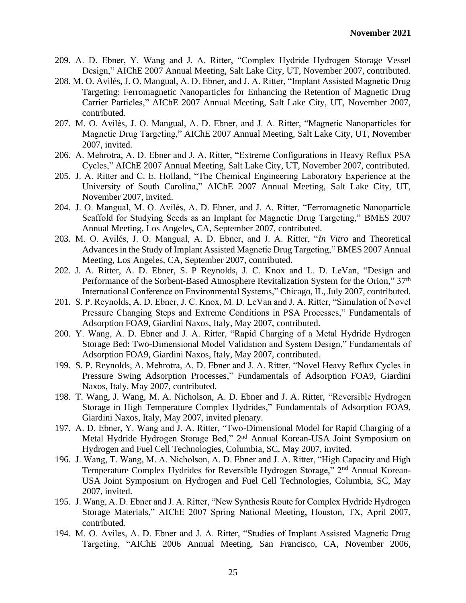- 209. A. D. Ebner, Y. Wang and J. A. Ritter, "Complex Hydride Hydrogen Storage Vessel Design," AIChE 2007 Annual Meeting, Salt Lake City, UT, November 2007, contributed.
- 208. M. O. Avilés, J. O. Mangual, A. D. Ebner, and J. A. Ritter, "Implant Assisted Magnetic Drug Targeting: Ferromagnetic Nanoparticles for Enhancing the Retention of Magnetic Drug Carrier Particles," AIChE 2007 Annual Meeting, Salt Lake City, UT, November 2007, contributed.
- 207. M. O. Avilés, J. O. Mangual, A. D. Ebner, and J. A. Ritter, "Magnetic Nanoparticles for Magnetic Drug Targeting," AIChE 2007 Annual Meeting, Salt Lake City, UT, November 2007, invited.
- 206. A. Mehrotra, A. D. Ebner and J. A. Ritter, "Extreme Configurations in Heavy Reflux PSA Cycles," AIChE 2007 Annual Meeting, Salt Lake City, UT, November 2007, contributed.
- 205. J. A. Ritter and C. E. Holland, "The Chemical Engineering Laboratory Experience at the University of South Carolina," AIChE 2007 Annual Meeting, Salt Lake City, UT, November 2007, invited.
- 204. J. O. Mangual, M. O. Avilés, A. D. Ebner, and J. A. Ritter, "Ferromagnetic Nanoparticle Scaffold for Studying Seeds as an Implant for Magnetic Drug Targeting," BMES 2007 Annual Meeting, Los Angeles, CA, September 2007, contributed.
- 203. M. O. Avilés, J. O. Mangual, A. D. Ebner, and J. A. Ritter, "*In Vitro* and Theoretical Advances in the Study of Implant Assisted Magnetic Drug Targeting," BMES 2007 Annual Meeting, Los Angeles, CA, September 2007, contributed.
- 202. J. A. Ritter, A. D. Ebner, S. P Reynolds, J. C. Knox and L. D. LeVan, "Design and Performance of the Sorbent-Based Atmosphere Revitalization System for the Orion," 37<sup>th</sup> International Conference on Environmental Systems," Chicago, IL, July 2007, contributed.
- 201. S. P. Reynolds, A. D. Ebner, J. C. Knox, M. D. LeVan and J. A. Ritter, "Simulation of Novel Pressure Changing Steps and Extreme Conditions in PSA Processes," Fundamentals of Adsorption FOA9, Giardini Naxos, Italy, May 2007, contributed.
- 200. Y. Wang, A. D. Ebner and J. A. Ritter, "Rapid Charging of a Metal Hydride Hydrogen Storage Bed: Two-Dimensional Model Validation and System Design," Fundamentals of Adsorption FOA9, Giardini Naxos, Italy, May 2007, contributed.
- 199. S. P. Reynolds, A. Mehrotra, A. D. Ebner and J. A. Ritter, "Novel Heavy Reflux Cycles in Pressure Swing Adsorption Processes," Fundamentals of Adsorption FOA9, Giardini Naxos, Italy, May 2007, contributed.
- 198. T. Wang, J. Wang, M. A. Nicholson, A. D. Ebner and J. A. Ritter, "Reversible Hydrogen Storage in High Temperature Complex Hydrides," Fundamentals of Adsorption FOA9, Giardini Naxos, Italy, May 2007, invited plenary.
- 197. A. D. Ebner, Y. Wang and J. A. Ritter, "Two-Dimensional Model for Rapid Charging of a Metal Hydride Hydrogen Storage Bed," 2<sup>nd</sup> Annual Korean-USA Joint Symposium on Hydrogen and Fuel Cell Technologies, Columbia, SC, May 2007, invited.
- 196. J. Wang, T. Wang, M. A. Nicholson, A. D. Ebner and J. A. Ritter, "High Capacity and High Temperature Complex Hydrides for Reversible Hydrogen Storage," 2<sup>nd</sup> Annual Korean-USA Joint Symposium on Hydrogen and Fuel Cell Technologies, Columbia, SC, May 2007, invited.
- 195. J. Wang, A. D. Ebner and J. A. Ritter, "New Synthesis Route for Complex Hydride Hydrogen Storage Materials," AIChE 2007 Spring National Meeting, Houston, TX, April 2007, contributed.
- 194. M. O. Aviles, A. D. Ebner and J. A. Ritter, "Studies of Implant Assisted Magnetic Drug Targeting, "AIChE 2006 Annual Meeting, San Francisco, CA, November 2006,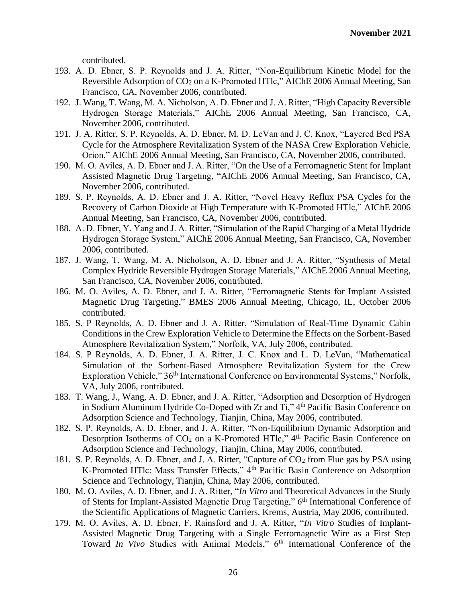contributed.

- 193. A. D. Ebner, S. P. Reynolds and J. A. Ritter, "Non-Equilibrium Kinetic Model for the Reversible Adsorption of CO<sub>2</sub> on a K-Promoted HTlc," AIChE 2006 Annual Meeting, San Francisco, CA, November 2006, contributed.
- 192. J. Wang, T. Wang, M. A. Nicholson, A. D. Ebner and J. A. Ritter, "High Capacity Reversible Hydrogen Storage Materials," AIChE 2006 Annual Meeting, San Francisco, CA, November 2006, contributed.
- 191. J. A. Ritter, S. P. Reynolds, A. D. Ebner, M. D. LeVan and J. C. Knox, "Layered Bed PSA Cycle for the Atmosphere Revitalization System of the NASA Crew Exploration Vehicle, Orion," AIChE 2006 Annual Meeting, San Francisco, CA, November 2006, contributed.
- 190. M. O. Aviles, A. D. Ebner and J. A. Ritter, "On the Use of a Ferromagnetic Stent for Implant Assisted Magnetic Drug Targeting, "AIChE 2006 Annual Meeting, San Francisco, CA, November 2006, contributed.
- 189. S. P. Reynolds, A. D. Ebner and J. A. Ritter, "Novel Heavy Reflux PSA Cycles for the Recovery of Carbon Dioxide at High Temperature with K-Promoted HTlc," AIChE 2006 Annual Meeting, San Francisco, CA, November 2006, contributed.
- 188. A. D. Ebner, Y. Yang and J. A. Ritter, "Simulation of the Rapid Charging of a Metal Hydride Hydrogen Storage System," AIChE 2006 Annual Meeting, San Francisco, CA, November 2006, contributed.
- 187. J. Wang, T. Wang, M. A. Nicholson, A. D. Ebner and J. A. Ritter, "Synthesis of Metal Complex Hydride Reversible Hydrogen Storage Materials," AIChE 2006 Annual Meeting, San Francisco, CA, November 2006, contributed.
- 186. M. O. Aviles, A. D. Ebner, and J. A. Ritter, "Ferromagnetic Stents for Implant Assisted Magnetic Drug Targeting," BMES 2006 Annual Meeting, Chicago, IL, October 2006 contributed.
- 185. S. P Reynolds, A. D. Ebner and J. A. Ritter, "Simulation of Real-Time Dynamic Cabin Conditions in the Crew Exploration Vehicle to Determine the Effects on the Sorbent-Based Atmosphere Revitalization System," Norfolk, VA, July 2006, contributed.
- 184. S. P Reynolds, A. D. Ebner, J. A. Ritter, J. C. Knox and L. D. LeVan, "Mathematical Simulation of the Sorbent-Based Atmosphere Revitalization System for the Crew Exploration Vehicle," 36<sup>th</sup> International Conference on Environmental Systems," Norfolk, VA, July 2006, contributed.
- 183. T. Wang, J., Wang, A. D. Ebner, and J. A. Ritter, "Adsorption and Desorption of Hydrogen in Sodium Aluminum Hydride Co-Doped with Zr and Ti," 4<sup>th</sup> Pacific Basin Conference on Adsorption Science and Technology, Tianjin, China, May 2006, contributed.
- 182. S. P. Reynolds, A. D. Ebner, and J. A. Ritter, "Non-Equilibrium Dynamic Adsorption and Desorption Isotherms of CO<sub>2</sub> on a K-Promoted HTlc," 4<sup>th</sup> Pacific Basin Conference on Adsorption Science and Technology, Tianjin, China, May 2006, contributed.
- 181. S. P. Reynolds, A. D. Ebner, and J. A. Ritter, "Capture of CO<sup>2</sup> from Flue gas by PSA using K-Promoted HTlc: Mass Transfer Effects," 4th Pacific Basin Conference on Adsorption Science and Technology, Tianjin, China, May 2006, contributed.
- 180. M. O. Aviles, A. D. Ebner, and J. A. Ritter, "*In Vitro* and Theoretical Advances in the Study of Stents for Implant-Assisted Magnetic Drug Targeting," 6th International Conference of the Scientific Applications of Magnetic Carriers, Krems, Austria, May 2006, contributed.
- 179. M. O. Aviles, A. D. Ebner, F. Rainsford and J. A. Ritter, "*In Vitro* Studies of Implant-Assisted Magnetic Drug Targeting with a Single Ferromagnetic Wire as a First Step Toward *In Vivo* Studies with Animal Models," 6<sup>th</sup> International Conference of the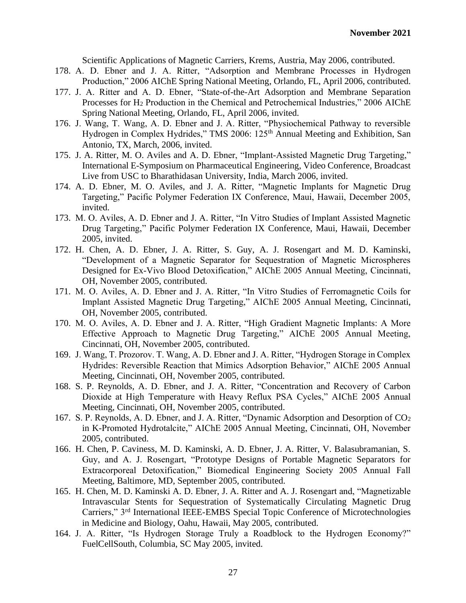Scientific Applications of Magnetic Carriers, Krems, Austria, May 2006, contributed.

- 178. A. D. Ebner and J. A. Ritter, "Adsorption and Membrane Processes in Hydrogen Production," 2006 AIChE Spring National Meeting, Orlando, FL, April 2006, contributed.
- 177. J. A. Ritter and A. D. Ebner, "State-of-the-Art Adsorption and Membrane Separation Processes for H<sup>2</sup> Production in the Chemical and Petrochemical Industries," 2006 AIChE Spring National Meeting, Orlando, FL, April 2006, invited.
- 176. J. Wang, T. Wang, A. D. Ebner and J. A. Ritter, "Physiochemical Pathway to reversible Hydrogen in Complex Hydrides," TMS 2006: 125<sup>th</sup> Annual Meeting and Exhibition, San Antonio, TX, March, 2006, invited.
- 175. J. A. Ritter, M. O. Aviles and A. D. Ebner, "Implant-Assisted Magnetic Drug Targeting," International E-Symposium on Pharmaceutical Engineering, Video Conference, Broadcast Live from USC to Bharathidasan University, India, March 2006, invited.
- 174. A. D. Ebner, M. O. Aviles, and J. A. Ritter, "Magnetic Implants for Magnetic Drug Targeting," Pacific Polymer Federation IX Conference, Maui, Hawaii, December 2005, invited.
- 173. M. O. Aviles, A. D. Ebner and J. A. Ritter, "In Vitro Studies of Implant Assisted Magnetic Drug Targeting," Pacific Polymer Federation IX Conference, Maui, Hawaii, December 2005, invited.
- 172. H. Chen, A. D. Ebner, J. A. Ritter, S. Guy, A. J. Rosengart and M. D. Kaminski, "Development of a Magnetic Separator for Sequestration of Magnetic Microspheres Designed for Ex-Vivo Blood Detoxification," AIChE 2005 Annual Meeting, Cincinnati, OH, November 2005, contributed.
- 171. M. O. Aviles, A. D. Ebner and J. A. Ritter, "In Vitro Studies of Ferromagnetic Coils for Implant Assisted Magnetic Drug Targeting," AIChE 2005 Annual Meeting, Cincinnati, OH, November 2005, contributed.
- 170. M. O. Aviles, A. D. Ebner and J. A. Ritter, "High Gradient Magnetic Implants: A More Effective Approach to Magnetic Drug Targeting," AIChE 2005 Annual Meeting, Cincinnati, OH, November 2005, contributed.
- 169. J. Wang, T. Prozorov. T. Wang, A. D. Ebner and J. A. Ritter, "Hydrogen Storage in Complex Hydrides: Reversible Reaction that Mimics Adsorption Behavior," AIChE 2005 Annual Meeting, Cincinnati, OH, November 2005, contributed.
- 168. S. P. Reynolds, A. D. Ebner, and J. A. Ritter, "Concentration and Recovery of Carbon Dioxide at High Temperature with Heavy Reflux PSA Cycles," AIChE 2005 Annual Meeting, Cincinnati, OH, November 2005, contributed.
- 167. S. P. Reynolds, A. D. Ebner, and J. A. Ritter, "Dynamic Adsorption and Desorption of CO<sup>2</sup> in K-Promoted Hydrotalcite," AIChE 2005 Annual Meeting, Cincinnati, OH, November 2005, contributed.
- 166. H. Chen, P. Caviness, M. D. Kaminski, A. D. Ebner, J. A. Ritter, V. Balasubramanian, S. Guy, and A. J. Rosengart, "Prototype Designs of Portable Magnetic Separators for Extracorporeal Detoxification," Biomedical Engineering Society 2005 Annual Fall Meeting, Baltimore, MD, September 2005, contributed.
- 165. H. Chen, M. D. Kaminski A. D. Ebner, J. A. Ritter and A. J. Rosengart and, "Magnetizable Intravascular Stents for Sequestration of Systematically Circulating Magnetic Drug Carriers," 3rd International IEEE-EMBS Special Topic Conference of Microtechnologies in Medicine and Biology, Oahu, Hawaii, May 2005, contributed.
- 164. J. A. Ritter, "Is Hydrogen Storage Truly a Roadblock to the Hydrogen Economy?" FuelCellSouth, Columbia, SC May 2005, invited.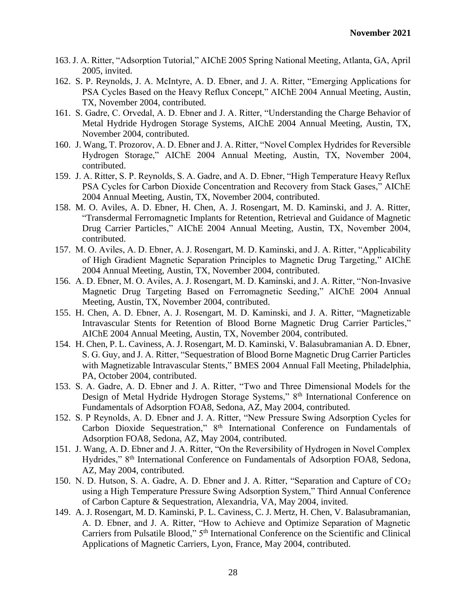- 163. J. A. Ritter, "Adsorption Tutorial," AIChE 2005 Spring National Meeting, Atlanta, GA, April 2005, invited.
- 162. S. P. Reynolds, J. A. McIntyre, A. D. Ebner, and J. A. Ritter, "Emerging Applications for PSA Cycles Based on the Heavy Reflux Concept," AIChE 2004 Annual Meeting, Austin, TX, November 2004, contributed.
- 161. S. Gadre, C. Orvedal, A. D. Ebner and J. A. Ritter, "Understanding the Charge Behavior of Metal Hydride Hydrogen Storage Systems, AIChE 2004 Annual Meeting, Austin, TX, November 2004, contributed.
- 160. J. Wang, T. Prozorov, A. D. Ebner and J. A. Ritter, "Novel Complex Hydrides for Reversible Hydrogen Storage," AIChE 2004 Annual Meeting, Austin, TX, November 2004, contributed.
- 159. J. A. Ritter, S. P. Reynolds, S. A. Gadre, and A. D. Ebner, "High Temperature Heavy Reflux PSA Cycles for Carbon Dioxide Concentration and Recovery from Stack Gases," AIChE 2004 Annual Meeting, Austin, TX, November 2004, contributed.
- 158. M. O. Aviles, A. D. Ebner, H. Chen, A. J. Rosengart, M. D. Kaminski, and J. A. Ritter, "Transdermal Ferromagnetic Implants for Retention, Retrieval and Guidance of Magnetic Drug Carrier Particles," AIChE 2004 Annual Meeting, Austin, TX, November 2004, contributed.
- 157. M. O. Aviles, A. D. Ebner, A. J. Rosengart, M. D. Kaminski, and J. A. Ritter, "Applicability of High Gradient Magnetic Separation Principles to Magnetic Drug Targeting," AIChE 2004 Annual Meeting, Austin, TX, November 2004, contributed.
- 156. A. D. Ebner, M. O. Aviles, A. J. Rosengart, M. D. Kaminski, and J. A. Ritter, "Non-Invasive Magnetic Drug Targeting Based on Ferromagnetic Seeding," AIChE 2004 Annual Meeting, Austin, TX, November 2004, contributed.
- 155. H. Chen, A. D. Ebner, A. J. Rosengart, M. D. Kaminski, and J. A. Ritter, "Magnetizable Intravascular Stents for Retention of Blood Borne Magnetic Drug Carrier Particles," AIChE 2004 Annual Meeting, Austin, TX, November 2004, contributed.
- 154. H. Chen, P. L. Caviness, A. J. Rosengart, M. D. Kaminski, V. Balasubramanian A. D. Ebner, S. G. Guy, and J. A. Ritter, "Sequestration of Blood Borne Magnetic Drug Carrier Particles with Magnetizable Intravascular Stents," BMES 2004 Annual Fall Meeting, Philadelphia, PA, October 2004, contributed.
- 153. S. A. Gadre, A. D. Ebner and J. A. Ritter, "Two and Three Dimensional Models for the Design of Metal Hydride Hydrogen Storage Systems," 8<sup>th</sup> International Conference on Fundamentals of Adsorption FOA8, Sedona, AZ, May 2004, contributed.
- 152. S. P Reynolds, A. D. Ebner and J. A. Ritter, "New Pressure Swing Adsorption Cycles for Carbon Dioxide Sequestration," 8th International Conference on Fundamentals of Adsorption FOA8, Sedona, AZ, May 2004, contributed.
- 151. J. Wang, A. D. Ebner and J. A. Ritter, "On the Reversibility of Hydrogen in Novel Complex Hydrides," 8th International Conference on Fundamentals of Adsorption FOA8, Sedona, AZ, May 2004, contributed.
- 150. N. D. Hutson, S. A. Gadre, A. D. Ebner and J. A. Ritter, "Separation and Capture of CO<sup>2</sup> using a High Temperature Pressure Swing Adsorption System," Third Annual Conference of Carbon Capture & Sequestration, Alexandria, VA, May 2004, invited.
- 149. A. J. Rosengart, M. D. Kaminski, P. L. Caviness, C. J. Mertz, H. Chen, V. Balasubramanian, A. D. Ebner, and J. A. Ritter, "How to Achieve and Optimize Separation of Magnetic Carriers from Pulsatile Blood," 5<sup>th</sup> International Conference on the Scientific and Clinical Applications of Magnetic Carriers, Lyon, France, May 2004, contributed.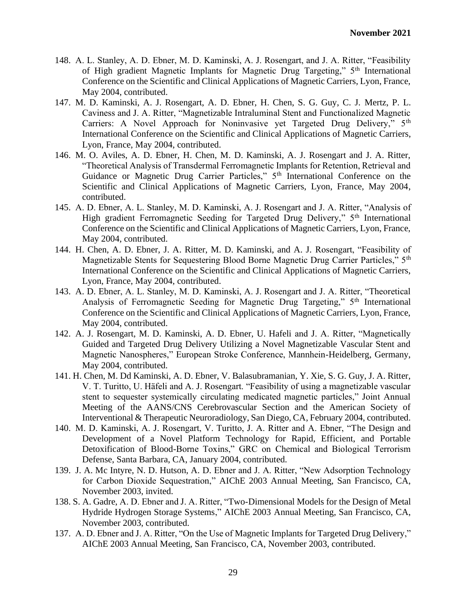- 148. A. L. Stanley, A. D. Ebner, M. D. Kaminski, A. J. Rosengart, and J. A. Ritter, "Feasibility of High gradient Magnetic Implants for Magnetic Drug Targeting," 5<sup>th</sup> International Conference on the Scientific and Clinical Applications of Magnetic Carriers, Lyon, France, May 2004, contributed.
- 147. M. D. Kaminski, A. J. Rosengart, A. D. Ebner, H. Chen, S. G. Guy, C. J. Mertz, P. L. Caviness and J. A. Ritter, "Magnetizable Intraluminal Stent and Functionalized Magnetic Carriers: A Novel Approach for Noninvasive yet Targeted Drug Delivery," 5<sup>th</sup> International Conference on the Scientific and Clinical Applications of Magnetic Carriers, Lyon, France, May 2004, contributed.
- 146. M. O. Aviles, A. D. Ebner, H. Chen, M. D. Kaminski, A. J. Rosengart and J. A. Ritter, "Theoretical Analysis of Transdermal Ferromagnetic Implants for Retention, Retrieval and Guidance or Magnetic Drug Carrier Particles," 5<sup>th</sup> International Conference on the Scientific and Clinical Applications of Magnetic Carriers, Lyon, France, May 2004, contributed.
- 145. A. D. Ebner, A. L. Stanley, M. D. Kaminski, A. J. Rosengart and J. A. Ritter, "Analysis of High gradient Ferromagnetic Seeding for Targeted Drug Delivery," 5<sup>th</sup> International Conference on the Scientific and Clinical Applications of Magnetic Carriers, Lyon, France, May 2004, contributed.
- 144. H. Chen, A. D. Ebner, J. A. Ritter, M. D. Kaminski, and A. J. Rosengart, "Feasibility of Magnetizable Stents for Sequestering Blood Borne Magnetic Drug Carrier Particles," 5<sup>th</sup> International Conference on the Scientific and Clinical Applications of Magnetic Carriers, Lyon, France, May 2004, contributed.
- 143. A. D. Ebner, A. L. Stanley, M. D. Kaminski, A. J. Rosengart and J. A. Ritter, "Theoretical Analysis of Ferromagnetic Seeding for Magnetic Drug Targeting," 5th International Conference on the Scientific and Clinical Applications of Magnetic Carriers, Lyon, France, May 2004, contributed.
- 142. A. J. Rosengart, M. D. Kaminski, A. D. Ebner, U. Hafeli and J. A. Ritter, "Magnetically Guided and Targeted Drug Delivery Utilizing a Novel Magnetizable Vascular Stent and Magnetic Nanospheres," European Stroke Conference, Mannhein-Heidelberg, Germany, May 2004, contributed.
- 141. H. Chen, M. Dd Kaminski, A. D. Ebner, V. Balasubramanian, Y. Xie, S. G. Guy, J. A. Ritter, V. T. Turitto, U. Häfeli and A. J. Rosengart. "Feasibility of using a magnetizable vascular stent to sequester systemically circulating medicated magnetic particles," Joint Annual Meeting of the AANS/CNS Cerebrovascular Section and the American Society of Interventional & Therapeutic Neuroradiology, San Diego, CA, February 2004, contributed.
- 140. M. D. Kaminski, A. J. Rosengart, V. Turitto, J. A. Ritter and A. Ebner, "The Design and Development of a Novel Platform Technology for Rapid, Efficient, and Portable Detoxification of Blood-Borne Toxins," GRC on Chemical and Biological Terrorism Defense, Santa Barbara, CA, January 2004, contributed.
- 139. J. A. Mc Intyre, N. D. Hutson, A. D. Ebner and J. A. Ritter, "New Adsorption Technology for Carbon Dioxide Sequestration," AIChE 2003 Annual Meeting, San Francisco, CA, November 2003, invited.
- 138. S. A. Gadre, A. D. Ebner and J. A. Ritter, "Two-Dimensional Models for the Design of Metal Hydride Hydrogen Storage Systems," AIChE 2003 Annual Meeting, San Francisco, CA, November 2003, contributed.
- 137. A. D. Ebner and J. A. Ritter, "On the Use of Magnetic Implants for Targeted Drug Delivery," AIChE 2003 Annual Meeting, San Francisco, CA, November 2003, contributed.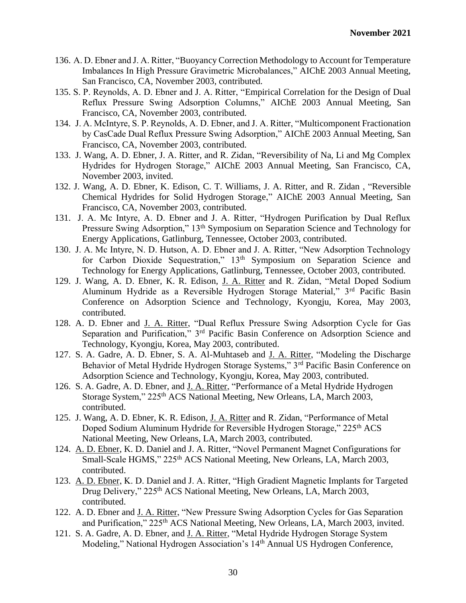- 136. A. D. Ebner and J. A. Ritter, "Buoyancy Correction Methodology to Account for Temperature Imbalances In High Pressure Gravimetric Microbalances," AIChE 2003 Annual Meeting, San Francisco, CA, November 2003, contributed.
- 135. S. P. Reynolds, A. D. Ebner and J. A. Ritter, "Empirical Correlation for the Design of Dual Reflux Pressure Swing Adsorption Columns," AIChE 2003 Annual Meeting, San Francisco, CA, November 2003, contributed.
- 134. J. A. McIntyre, S. P. Reynolds, A. D. Ebner, and J. A. Ritter, "Multicomponent Fractionation by CasCade Dual Reflux Pressure Swing Adsorption," AIChE 2003 Annual Meeting, San Francisco, CA, November 2003, contributed.
- 133. J. Wang, A. D. Ebner, J. A. Ritter, and R. Zidan, "Reversibility of Na, Li and Mg Complex Hydrides for Hydrogen Storage," AIChE 2003 Annual Meeting, San Francisco, CA, November 2003, invited.
- 132. J. Wang, A. D. Ebner, K. Edison, C. T. Williams, J. A. Ritter, and R. Zidan , "Reversible Chemical Hydrides for Solid Hydrogen Storage," AIChE 2003 Annual Meeting, San Francisco, CA, November 2003, contributed.
- 131. J. A. Mc Intyre, A. D. Ebner and J. A. Ritter, "Hydrogen Purification by Dual Reflux Pressure Swing Adsorption," 13<sup>th</sup> Symposium on Separation Science and Technology for Energy Applications, Gatlinburg, Tennessee, October 2003, contributed.
- 130. J. A. Mc Intyre, N. D. Hutson, A. D. Ebner and J. A. Ritter, "New Adsorption Technology for Carbon Dioxide Sequestration," 13<sup>th</sup> Symposium on Separation Science and Technology for Energy Applications, Gatlinburg, Tennessee, October 2003, contributed.
- 129. J. Wang, A. D. Ebner, K. R. Edison, J. A. Ritter and R. Zidan, "Metal Doped Sodium Aluminum Hydride as a Reversible Hydrogen Storage Material," 3rd Pacific Basin Conference on Adsorption Science and Technology, Kyongju, Korea, May 2003, contributed.
- 128. A. D. Ebner and J. A. Ritter, "Dual Reflux Pressure Swing Adsorption Cycle for Gas Separation and Purification," 3<sup>rd</sup> Pacific Basin Conference on Adsorption Science and Technology, Kyongju, Korea, May 2003, contributed.
- 127. S. A. Gadre, A. D. Ebner, S. A. Al-Muhtaseb and J. A. Ritter, "Modeling the Discharge Behavior of Metal Hydride Hydrogen Storage Systems," 3<sup>rd</sup> Pacific Basin Conference on Adsorption Science and Technology, Kyongju, Korea, May 2003, contributed.
- 126. S. A. Gadre, A. D. Ebner, and J. A. Ritter, "Performance of a Metal Hydride Hydrogen Storage System," 225<sup>th</sup> ACS National Meeting, New Orleans, LA, March 2003, contributed.
- 125. J. Wang, A. D. Ebner, K. R. Edison, J. A. Ritter and R. Zidan, "Performance of Metal Doped Sodium Aluminum Hydride for Reversible Hydrogen Storage," 225<sup>th</sup> ACS National Meeting, New Orleans, LA, March 2003, contributed.
- 124. A. D. Ebner, K. D. Daniel and J. A. Ritter, "Novel Permanent Magnet Configurations for Small-Scale HGMS," 225<sup>th</sup> ACS National Meeting, New Orleans, LA, March 2003, contributed.
- 123. A. D. Ebner, K. D. Daniel and J. A. Ritter, "High Gradient Magnetic Implants for Targeted Drug Delivery," 225<sup>th</sup> ACS National Meeting, New Orleans, LA, March 2003, contributed.
- 122. A. D. Ebner and J. A. Ritter, "New Pressure Swing Adsorption Cycles for Gas Separation and Purification," 225<sup>th</sup> ACS National Meeting, New Orleans, LA, March 2003, invited.
- 121. S. A. Gadre, A. D. Ebner, and J. A. Ritter, "Metal Hydride Hydrogen Storage System Modeling," National Hydrogen Association's 14<sup>th</sup> Annual US Hydrogen Conference,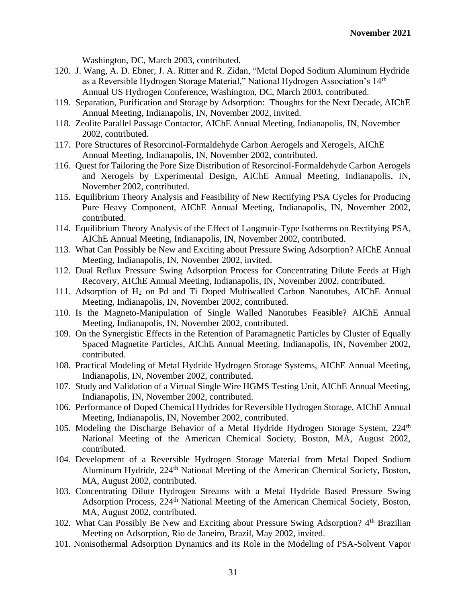Washington, DC, March 2003, contributed.

- 120. J. Wang, A. D. Ebner, J. A. Ritter and R. Zidan, "Metal Doped Sodium Aluminum Hydride as a Reversible Hydrogen Storage Material," National Hydrogen Association's 14<sup>th</sup> Annual US Hydrogen Conference, Washington, DC, March 2003, contributed.
- 119. Separation, Purification and Storage by Adsorption: Thoughts for the Next Decade, AIChE Annual Meeting, Indianapolis, IN, November 2002, invited.
- 118. Zeolite Parallel Passage Contactor, AIChE Annual Meeting, Indianapolis, IN, November 2002, contributed.
- 117. Pore Structures of Resorcinol-Formaldehyde Carbon Aerogels and Xerogels, AIChE Annual Meeting, Indianapolis, IN, November 2002, contributed.
- 116. Quest for Tailoring the Pore Size Distribution of Resorcinol-Formaldehyde Carbon Aerogels and Xerogels by Experimental Design, AIChE Annual Meeting, Indianapolis, IN, November 2002, contributed.
- 115. Equilibrium Theory Analysis and Feasibility of New Rectifying PSA Cycles for Producing Pure Heavy Component, AIChE Annual Meeting, Indianapolis, IN, November 2002, contributed.
- 114. Equilibrium Theory Analysis of the Effect of Langmuir-Type Isotherms on Rectifying PSA, AIChE Annual Meeting, Indianapolis, IN, November 2002, contributed.
- 113. What Can Possibly be New and Exciting about Pressure Swing Adsorption? AIChE Annual Meeting, Indianapolis, IN, November 2002, invited.
- 112. Dual Reflux Pressure Swing Adsorption Process for Concentrating Dilute Feeds at High Recovery, AIChE Annual Meeting, Indianapolis, IN, November 2002, contributed.
- 111. Adsorption of H<sup>2</sup> on Pd and Ti Doped Multiwalled Carbon Nanotubes, AIChE Annual Meeting, Indianapolis, IN, November 2002, contributed.
- 110. Is the Magneto-Manipulation of Single Walled Nanotubes Feasible? AIChE Annual Meeting, Indianapolis, IN, November 2002, contributed.
- 109. On the Synergistic Effects in the Retention of Paramagnetic Particles by Cluster of Equally Spaced Magnetite Particles, AIChE Annual Meeting, Indianapolis, IN, November 2002, contributed.
- 108. Practical Modeling of Metal Hydride Hydrogen Storage Systems, AIChE Annual Meeting, Indianapolis, IN, November 2002, contributed.
- 107. Study and Validation of a Virtual Single Wire HGMS Testing Unit, AIChE Annual Meeting, Indianapolis, IN, November 2002, contributed.
- 106. Performance of Doped Chemical Hydrides for Reversible Hydrogen Storage, AIChE Annual Meeting, Indianapolis, IN, November 2002, contributed.
- 105. Modeling the Discharge Behavior of a Metal Hydride Hydrogen Storage System,  $224<sup>th</sup>$ National Meeting of the American Chemical Society, Boston, MA, August 2002, contributed.
- 104. Development of a Reversible Hydrogen Storage Material from Metal Doped Sodium Aluminum Hydride, 224<sup>th</sup> National Meeting of the American Chemical Society, Boston, MA, August 2002, contributed.
- 103. Concentrating Dilute Hydrogen Streams with a Metal Hydride Based Pressure Swing Adsorption Process, 224th National Meeting of the American Chemical Society, Boston, MA, August 2002, contributed.
- 102. What Can Possibly Be New and Exciting about Pressure Swing Adsorption? 4<sup>th</sup> Brazilian Meeting on Adsorption, Rio de Janeiro, Brazil, May 2002, invited.
- 101. Nonisothermal Adsorption Dynamics and its Role in the Modeling of PSA-Solvent Vapor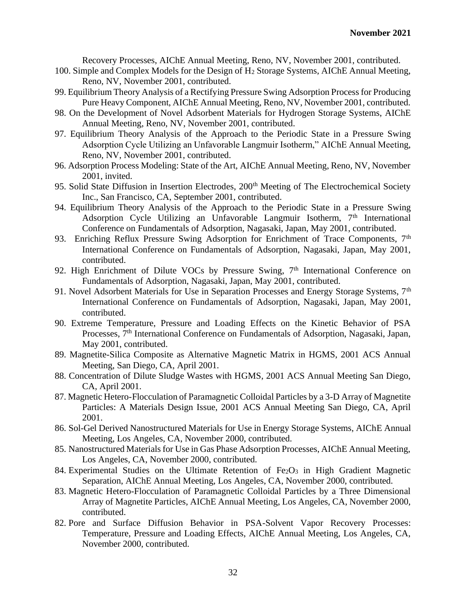Recovery Processes, AIChE Annual Meeting, Reno, NV, November 2001, contributed.

- 100. Simple and Complex Models for the Design of H<sup>2</sup> Storage Systems, AIChE Annual Meeting, Reno, NV, November 2001, contributed.
- 99. Equilibrium Theory Analysis of a Rectifying Pressure Swing Adsorption Process for Producing Pure Heavy Component, AIChE Annual Meeting, Reno, NV, November 2001, contributed.
- 98. On the Development of Novel Adsorbent Materials for Hydrogen Storage Systems, AIChE Annual Meeting, Reno, NV, November 2001, contributed.
- 97. Equilibrium Theory Analysis of the Approach to the Periodic State in a Pressure Swing Adsorption Cycle Utilizing an Unfavorable Langmuir Isotherm," AIChE Annual Meeting, Reno, NV, November 2001, contributed.
- 96. Adsorption Process Modeling: State of the Art, AIChE Annual Meeting, Reno, NV, November 2001, invited.
- 95. Solid State Diffusion in Insertion Electrodes, 200<sup>th</sup> Meeting of The Electrochemical Society Inc., San Francisco, CA, September 2001, contributed.
- 94. Equilibrium Theory Analysis of the Approach to the Periodic State in a Pressure Swing Adsorption Cycle Utilizing an Unfavorable Langmuir Isotherm, 7<sup>th</sup> International Conference on Fundamentals of Adsorption, Nagasaki, Japan, May 2001, contributed.
- 93. Enriching Reflux Pressure Swing Adsorption for Enrichment of Trace Components, 7<sup>th</sup> International Conference on Fundamentals of Adsorption, Nagasaki, Japan, May 2001, contributed.
- 92. High Enrichment of Dilute VOCs by Pressure Swing, 7<sup>th</sup> International Conference on Fundamentals of Adsorption, Nagasaki, Japan, May 2001, contributed.
- 91. Novel Adsorbent Materials for Use in Separation Processes and Energy Storage Systems, 7<sup>th</sup> International Conference on Fundamentals of Adsorption, Nagasaki, Japan, May 2001, contributed.
- 90. Extreme Temperature, Pressure and Loading Effects on the Kinetic Behavior of PSA Processes, 7<sup>th</sup> International Conference on Fundamentals of Adsorption, Nagasaki, Japan, May 2001, contributed.
- 89. Magnetite-Silica Composite as Alternative Magnetic Matrix in HGMS, 2001 ACS Annual Meeting, San Diego, CA, April 2001.
- 88. Concentration of Dilute Sludge Wastes with HGMS, 2001 ACS Annual Meeting San Diego, CA, April 2001.
- 87. Magnetic Hetero-Flocculation of Paramagnetic Colloidal Particles by a 3-D Array of Magnetite Particles: A Materials Design Issue, 2001 ACS Annual Meeting San Diego, CA, April 2001.
- 86. Sol-Gel Derived Nanostructured Materials for Use in Energy Storage Systems, AIChE Annual Meeting, Los Angeles, CA, November 2000, contributed.
- 85. Nanostructured Materials for Use in Gas Phase Adsorption Processes, AIChE Annual Meeting, Los Angeles, CA, November 2000, contributed.
- 84. Experimental Studies on the Ultimate Retention of Fe<sub>2</sub>O<sub>3</sub> in High Gradient Magnetic Separation, AIChE Annual Meeting, Los Angeles, CA, November 2000, contributed.
- 83. Magnetic Hetero-Flocculation of Paramagnetic Colloidal Particles by a Three Dimensional Array of Magnetite Particles, AIChE Annual Meeting, Los Angeles, CA, November 2000, contributed.
- 82. Pore and Surface Diffusion Behavior in PSA-Solvent Vapor Recovery Processes: Temperature, Pressure and Loading Effects, AIChE Annual Meeting, Los Angeles, CA, November 2000, contributed.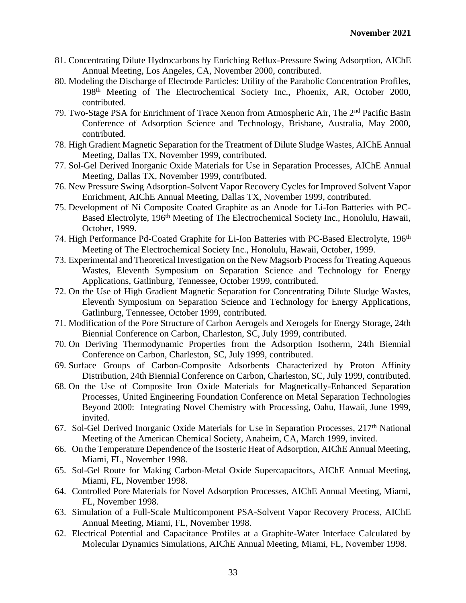- 81. Concentrating Dilute Hydrocarbons by Enriching Reflux-Pressure Swing Adsorption, AIChE Annual Meeting, Los Angeles, CA, November 2000, contributed.
- 80. Modeling the Discharge of Electrode Particles: Utility of the Parabolic Concentration Profiles, 198th Meeting of The Electrochemical Society Inc., Phoenix, AR, October 2000, contributed.
- 79. Two-Stage PSA for Enrichment of Trace Xenon from Atmospheric Air, The 2nd Pacific Basin Conference of Adsorption Science and Technology, Brisbane, Australia, May 2000, contributed.
- 78. High Gradient Magnetic Separation for the Treatment of Dilute Sludge Wastes, AIChE Annual Meeting, Dallas TX, November 1999, contributed.
- 77. Sol-Gel Derived Inorganic Oxide Materials for Use in Separation Processes, AIChE Annual Meeting, Dallas TX, November 1999, contributed.
- 76. New Pressure Swing Adsorption-Solvent Vapor Recovery Cycles for Improved Solvent Vapor Enrichment, AIChE Annual Meeting, Dallas TX, November 1999, contributed.
- 75. Development of Ni Composite Coated Graphite as an Anode for Li-Ion Batteries with PC-Based Electrolyte, 196<sup>th</sup> Meeting of The Electrochemical Society Inc., Honolulu, Hawaii, October, 1999.
- 74. High Performance Pd-Coated Graphite for Li-Ion Batteries with PC-Based Electrolyte, 196<sup>th</sup> Meeting of The Electrochemical Society Inc., Honolulu, Hawaii, October, 1999.
- 73. Experimental and Theoretical Investigation on the New Magsorb Process for Treating Aqueous Wastes, Eleventh Symposium on Separation Science and Technology for Energy Applications, Gatlinburg, Tennessee, October 1999, contributed.
- 72. On the Use of High Gradient Magnetic Separation for Concentrating Dilute Sludge Wastes, Eleventh Symposium on Separation Science and Technology for Energy Applications, Gatlinburg, Tennessee, October 1999, contributed.
- 71. Modification of the Pore Structure of Carbon Aerogels and Xerogels for Energy Storage, 24th Biennial Conference on Carbon, Charleston, SC, July 1999, contributed.
- 70. On Deriving Thermodynamic Properties from the Adsorption Isotherm, 24th Biennial Conference on Carbon, Charleston, SC, July 1999, contributed.
- 69. Surface Groups of Carbon-Composite Adsorbents Characterized by Proton Affinity Distribution, 24th Biennial Conference on Carbon, Charleston, SC, July 1999, contributed.
- 68. On the Use of Composite Iron Oxide Materials for Magnetically-Enhanced Separation Processes, United Engineering Foundation Conference on Metal Separation Technologies Beyond 2000: Integrating Novel Chemistry with Processing, Oahu, Hawaii, June 1999, invited.
- 67. Sol-Gel Derived Inorganic Oxide Materials for Use in Separation Processes, 217<sup>th</sup> National Meeting of the American Chemical Society, Anaheim, CA, March 1999, invited.
- 66. On the Temperature Dependence of the Isosteric Heat of Adsorption, AIChE Annual Meeting, Miami, FL, November 1998.
- 65. Sol-Gel Route for Making Carbon-Metal Oxide Supercapacitors, AIChE Annual Meeting, Miami, FL, November 1998.
- 64. Controlled Pore Materials for Novel Adsorption Processes, AIChE Annual Meeting, Miami, FL, November 1998.
- 63. Simulation of a Full-Scale Multicomponent PSA-Solvent Vapor Recovery Process, AIChE Annual Meeting, Miami, FL, November 1998.
- 62. Electrical Potential and Capacitance Profiles at a Graphite-Water Interface Calculated by Molecular Dynamics Simulations, AIChE Annual Meeting, Miami, FL, November 1998.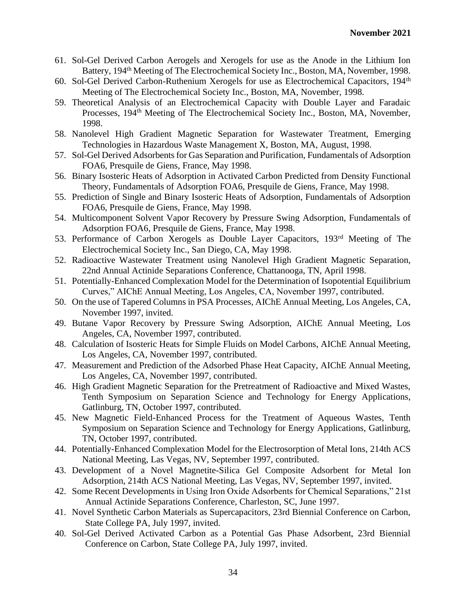- 61. Sol-Gel Derived Carbon Aerogels and Xerogels for use as the Anode in the Lithium Ion Battery, 194<sup>th</sup> Meeting of The Electrochemical Society Inc., Boston, MA, November, 1998.
- 60. Sol-Gel Derived Carbon-Ruthenium Xerogels for use as Electrochemical Capacitors, 194<sup>th</sup> Meeting of The Electrochemical Society Inc., Boston, MA, November, 1998.
- 59. Theoretical Analysis of an Electrochemical Capacity with Double Layer and Faradaic Processes, 194<sup>th</sup> Meeting of The Electrochemical Society Inc., Boston, MA, November, 1998.
- 58. Nanolevel High Gradient Magnetic Separation for Wastewater Treatment, Emerging Technologies in Hazardous Waste Management X, Boston, MA, August, 1998.
- 57. Sol-Gel Derived Adsorbents for Gas Separation and Purification, Fundamentals of Adsorption FOA6, Presquile de Giens, France, May 1998.
- 56. Binary Isosteric Heats of Adsorption in Activated Carbon Predicted from Density Functional Theory, Fundamentals of Adsorption FOA6, Presquile de Giens, France, May 1998.
- 55. Prediction of Single and Binary Isosteric Heats of Adsorption, Fundamentals of Adsorption FOA6, Presquile de Giens, France, May 1998.
- 54. Multicomponent Solvent Vapor Recovery by Pressure Swing Adsorption, Fundamentals of Adsorption FOA6, Presquile de Giens, France, May 1998.
- 53. Performance of Carbon Xerogels as Double Layer Capacitors, 193rd Meeting of The Electrochemical Society Inc., San Diego, CA, May 1998.
- 52. Radioactive Wastewater Treatment using Nanolevel High Gradient Magnetic Separation, 22nd Annual Actinide Separations Conference, Chattanooga, TN, April 1998.
- 51. Potentially-Enhanced Complexation Model for the Determination of Isopotential Equilibrium Curves," AIChE Annual Meeting, Los Angeles, CA, November 1997, contributed.
- 50. On the use of Tapered Columns in PSA Processes, AIChE Annual Meeting, Los Angeles, CA, November 1997, invited.
- 49. Butane Vapor Recovery by Pressure Swing Adsorption, AIChE Annual Meeting, Los Angeles, CA, November 1997, contributed.
- 48. Calculation of Isosteric Heats for Simple Fluids on Model Carbons, AIChE Annual Meeting, Los Angeles, CA, November 1997, contributed.
- 47. Measurement and Prediction of the Adsorbed Phase Heat Capacity, AIChE Annual Meeting, Los Angeles, CA, November 1997, contributed.
- 46. High Gradient Magnetic Separation for the Pretreatment of Radioactive and Mixed Wastes, Tenth Symposium on Separation Science and Technology for Energy Applications, Gatlinburg, TN, October 1997, contributed.
- 45. New Magnetic Field-Enhanced Process for the Treatment of Aqueous Wastes, Tenth Symposium on Separation Science and Technology for Energy Applications, Gatlinburg, TN, October 1997, contributed.
- 44. Potentially-Enhanced Complexation Model for the Electrosorption of Metal Ions, 214th ACS National Meeting, Las Vegas, NV, September 1997, contributed.
- 43. Development of a Novel Magnetite-Silica Gel Composite Adsorbent for Metal Ion Adsorption, 214th ACS National Meeting, Las Vegas, NV, September 1997, invited.
- 42. Some Recent Developments in Using Iron Oxide Adsorbents for Chemical Separations," 21st Annual Actinide Separations Conference, Charleston, SC, June 1997.
- 41. Novel Synthetic Carbon Materials as Supercapacitors, 23rd Biennial Conference on Carbon, State College PA, July 1997, invited.
- 40. Sol-Gel Derived Activated Carbon as a Potential Gas Phase Adsorbent, 23rd Biennial Conference on Carbon, State College PA, July 1997, invited.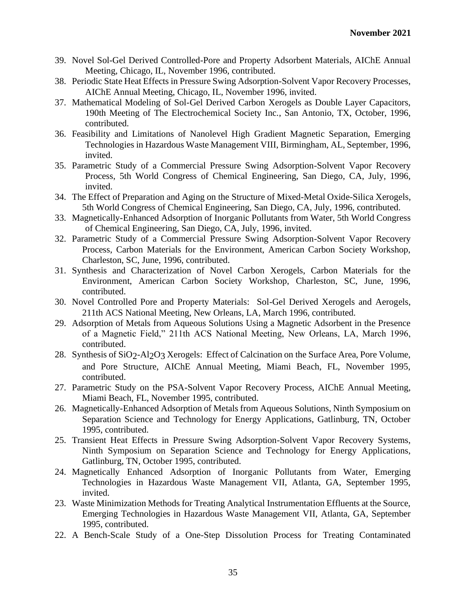- 39. Novel Sol-Gel Derived Controlled-Pore and Property Adsorbent Materials, AIChE Annual Meeting, Chicago, IL, November 1996, contributed.
- 38. Periodic State Heat Effects in Pressure Swing Adsorption-Solvent Vapor Recovery Processes, AIChE Annual Meeting, Chicago, IL, November 1996, invited.
- 37. Mathematical Modeling of Sol-Gel Derived Carbon Xerogels as Double Layer Capacitors, 190th Meeting of The Electrochemical Society Inc., San Antonio, TX, October, 1996, contributed.
- 36. Feasibility and Limitations of Nanolevel High Gradient Magnetic Separation, Emerging Technologies in Hazardous Waste Management VIII, Birmingham, AL, September, 1996, invited.
- 35. Parametric Study of a Commercial Pressure Swing Adsorption-Solvent Vapor Recovery Process, 5th World Congress of Chemical Engineering, San Diego, CA, July, 1996, invited.
- 34. The Effect of Preparation and Aging on the Structure of Mixed-Metal Oxide-Silica Xerogels, 5th World Congress of Chemical Engineering, San Diego, CA, July, 1996, contributed.
- 33. Magnetically-Enhanced Adsorption of Inorganic Pollutants from Water, 5th World Congress of Chemical Engineering, San Diego, CA, July, 1996, invited.
- 32. Parametric Study of a Commercial Pressure Swing Adsorption-Solvent Vapor Recovery Process, Carbon Materials for the Environment, American Carbon Society Workshop, Charleston, SC, June, 1996, contributed.
- 31. Synthesis and Characterization of Novel Carbon Xerogels, Carbon Materials for the Environment, American Carbon Society Workshop, Charleston, SC, June, 1996, contributed.
- 30. Novel Controlled Pore and Property Materials: Sol-Gel Derived Xerogels and Aerogels, 211th ACS National Meeting, New Orleans, LA, March 1996, contributed.
- 29. Adsorption of Metals from Aqueous Solutions Using a Magnetic Adsorbent in the Presence of a Magnetic Field," 211th ACS National Meeting, New Orleans, LA, March 1996, contributed.
- 28. Synthesis of SiO2-Al2O3 Xerogels: Effect of Calcination on the Surface Area, Pore Volume, and Pore Structure, AIChE Annual Meeting, Miami Beach, FL, November 1995, contributed.
- 27. Parametric Study on the PSA-Solvent Vapor Recovery Process, AIChE Annual Meeting, Miami Beach, FL, November 1995, contributed.
- 26. Magnetically-Enhanced Adsorption of Metals from Aqueous Solutions, Ninth Symposium on Separation Science and Technology for Energy Applications, Gatlinburg, TN, October 1995, contributed.
- 25. Transient Heat Effects in Pressure Swing Adsorption-Solvent Vapor Recovery Systems, Ninth Symposium on Separation Science and Technology for Energy Applications, Gatlinburg, TN, October 1995, contributed.
- 24. Magnetically Enhanced Adsorption of Inorganic Pollutants from Water, Emerging Technologies in Hazardous Waste Management VII, Atlanta, GA, September 1995, invited.
- 23. Waste Minimization Methods for Treating Analytical Instrumentation Effluents at the Source, Emerging Technologies in Hazardous Waste Management VII, Atlanta, GA, September 1995, contributed.
- 22. A Bench-Scale Study of a One-Step Dissolution Process for Treating Contaminated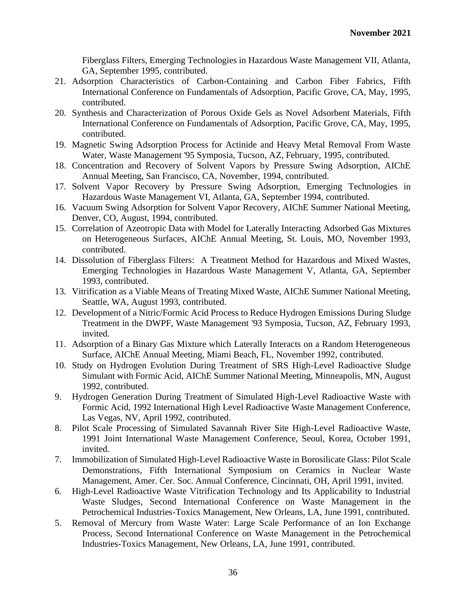Fiberglass Filters, Emerging Technologies in Hazardous Waste Management VII, Atlanta, GA, September 1995, contributed.

- 21. Adsorption Characteristics of Carbon-Containing and Carbon Fiber Fabrics, Fifth International Conference on Fundamentals of Adsorption, Pacific Grove, CA, May, 1995, contributed.
- 20. Synthesis and Characterization of Porous Oxide Gels as Novel Adsorbent Materials, Fifth International Conference on Fundamentals of Adsorption, Pacific Grove, CA, May, 1995, contributed.
- 19. Magnetic Swing Adsorption Process for Actinide and Heavy Metal Removal From Waste Water, Waste Management '95 Symposia, Tucson, AZ, February, 1995, contributed.
- 18. Concentration and Recovery of Solvent Vapors by Pressure Swing Adsorption, AIChE Annual Meeting, San Francisco, CA, November, 1994, contributed.
- 17. Solvent Vapor Recovery by Pressure Swing Adsorption, Emerging Technologies in Hazardous Waste Management VI, Atlanta, GA, September 1994, contributed.
- 16. Vacuum Swing Adsorption for Solvent Vapor Recovery, AIChE Summer National Meeting, Denver, CO, August, 1994, contributed.
- 15. Correlation of Azeotropic Data with Model for Laterally Interacting Adsorbed Gas Mixtures on Heterogeneous Surfaces, AIChE Annual Meeting, St. Louis, MO, November 1993, contributed.
- 14. Dissolution of Fiberglass Filters: A Treatment Method for Hazardous and Mixed Wastes, Emerging Technologies in Hazardous Waste Management V, Atlanta, GA, September 1993, contributed.
- 13. Vitrification as a Viable Means of Treating Mixed Waste, AIChE Summer National Meeting, Seattle, WA, August 1993, contributed.
- 12. Development of a Nitric/Formic Acid Process to Reduce Hydrogen Emissions During Sludge Treatment in the DWPF, Waste Management '93 Symposia, Tucson, AZ, February 1993, invited.
- 11. Adsorption of a Binary Gas Mixture which Laterally Interacts on a Random Heterogeneous Surface, AIChE Annual Meeting, Miami Beach, FL, November 1992, contributed.
- 10. Study on Hydrogen Evolution During Treatment of SRS High-Level Radioactive Sludge Simulant with Formic Acid, AIChE Summer National Meeting, Minneapolis, MN, August 1992, contributed.
- 9. Hydrogen Generation During Treatment of Simulated High-Level Radioactive Waste with Formic Acid, 1992 International High Level Radioactive Waste Management Conference, Las Vegas, NV, April 1992, contributed.
- 8. Pilot Scale Processing of Simulated Savannah River Site High-Level Radioactive Waste, 1991 Joint International Waste Management Conference, Seoul, Korea, October 1991, invited.
- 7. Immobilization of Simulated High-Level Radioactive Waste in Borosilicate Glass: Pilot Scale Demonstrations, Fifth International Symposium on Ceramics in Nuclear Waste Management, Amer. Cer. Soc. Annual Conference, Cincinnati, OH, April 1991, invited.
- 6. High-Level Radioactive Waste Vitrification Technology and Its Applicability to Industrial Waste Sludges, Second International Conference on Waste Management in the Petrochemical Industries-Toxics Management, New Orleans, LA, June 1991, contributed.
- 5. Removal of Mercury from Waste Water: Large Scale Performance of an Ion Exchange Process, Second International Conference on Waste Management in the Petrochemical Industries-Toxics Management, New Orleans, LA, June 1991, contributed.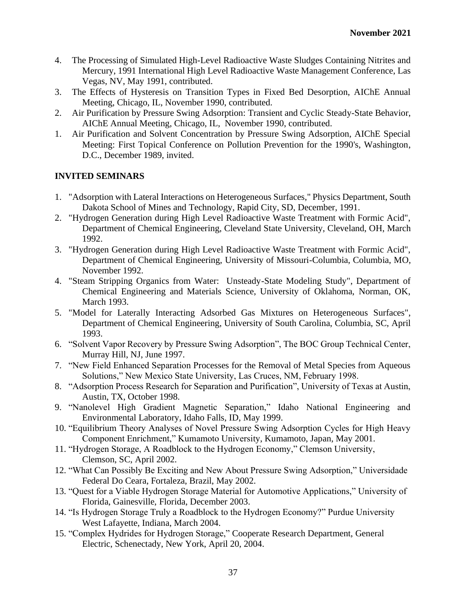- 4. The Processing of Simulated High-Level Radioactive Waste Sludges Containing Nitrites and Mercury, 1991 International High Level Radioactive Waste Management Conference, Las Vegas, NV, May 1991, contributed.
- 3. The Effects of Hysteresis on Transition Types in Fixed Bed Desorption, AIChE Annual Meeting, Chicago, IL, November 1990, contributed.
- 2. Air Purification by Pressure Swing Adsorption: Transient and Cyclic Steady-State Behavior, AIChE Annual Meeting, Chicago, IL, November 1990, contributed.
- 1. Air Purification and Solvent Concentration by Pressure Swing Adsorption, AIChE Special Meeting: First Topical Conference on Pollution Prevention for the 1990's, Washington, D.C., December 1989, invited.

# **INVITED SEMINARS**

- 1. "Adsorption with Lateral Interactions on Heterogeneous Surfaces," Physics Department, South Dakota School of Mines and Technology, Rapid City, SD, December, 1991.
- 2. "Hydrogen Generation during High Level Radioactive Waste Treatment with Formic Acid", Department of Chemical Engineering, Cleveland State University, Cleveland, OH, March 1992.
- 3. "Hydrogen Generation during High Level Radioactive Waste Treatment with Formic Acid", Department of Chemical Engineering, University of Missouri-Columbia, Columbia, MO, November 1992.
- 4. "Steam Stripping Organics from Water: Unsteady-State Modeling Study", Department of Chemical Engineering and Materials Science, University of Oklahoma, Norman, OK, March 1993.
- 5. "Model for Laterally Interacting Adsorbed Gas Mixtures on Heterogeneous Surfaces", Department of Chemical Engineering, University of South Carolina, Columbia, SC, April 1993.
- 6. "Solvent Vapor Recovery by Pressure Swing Adsorption", The BOC Group Technical Center, Murray Hill, NJ, June 1997.
- 7. "New Field Enhanced Separation Processes for the Removal of Metal Species from Aqueous Solutions," New Mexico State University, Las Cruces, NM, February 1998.
- 8. "Adsorption Process Research for Separation and Purification", University of Texas at Austin, Austin, TX, October 1998.
- 9. "Nanolevel High Gradient Magnetic Separation," Idaho National Engineering and Environmental Laboratory, Idaho Falls, ID, May 1999.
- 10. "Equilibrium Theory Analyses of Novel Pressure Swing Adsorption Cycles for High Heavy Component Enrichment," Kumamoto University, Kumamoto, Japan, May 2001.
- 11. "Hydrogen Storage, A Roadblock to the Hydrogen Economy," Clemson University, Clemson, SC, April 2002.
- 12. "What Can Possibly Be Exciting and New About Pressure Swing Adsorption," Universidade Federal Do Ceara, Fortaleza, Brazil, May 2002.
- 13. "Quest for a Viable Hydrogen Storage Material for Automotive Applications," University of Florida, Gainesville, Florida, December 2003.
- 14. "Is Hydrogen Storage Truly a Roadblock to the Hydrogen Economy?" Purdue University West Lafayette, Indiana, March 2004.
- 15. "Complex Hydrides for Hydrogen Storage," Cooperate Research Department, General Electric, Schenectady, New York, April 20, 2004.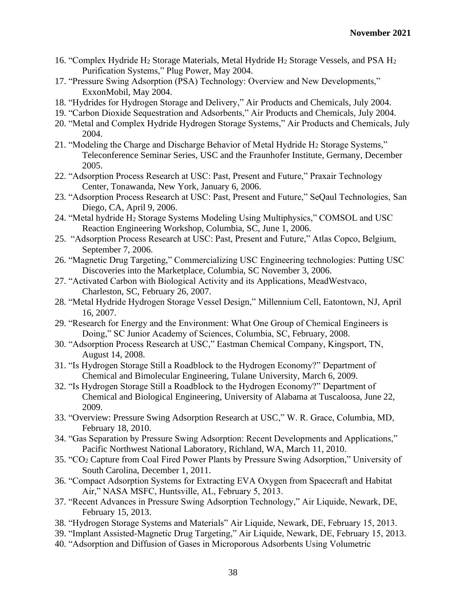- 16. "Complex Hydride H<sup>2</sup> Storage Materials, Metal Hydride H<sup>2</sup> Storage Vessels, and PSA H<sup>2</sup> Purification Systems," Plug Power, May 2004.
- 17. "Pressure Swing Adsorption (PSA) Technology: Overview and New Developments," ExxonMobil, May 2004.
- 18. "Hydrides for Hydrogen Storage and Delivery," Air Products and Chemicals, July 2004.
- 19. "Carbon Dioxide Sequestration and Adsorbents," Air Products and Chemicals, July 2004.
- 20. "Metal and Complex Hydride Hydrogen Storage Systems," Air Products and Chemicals, July 2004.
- 21. "Modeling the Charge and Discharge Behavior of Metal Hydride H<sup>2</sup> Storage Systems," Teleconference Seminar Series, USC and the Fraunhofer Institute, Germany, December 2005.
- 22. "Adsorption Process Research at USC: Past, Present and Future," Praxair Technology Center, Tonawanda, New York, January 6, 2006.
- 23. "Adsorption Process Research at USC: Past, Present and Future," SeQaul Technologies, San Diego, CA, April 9, 2006.
- 24. "Metal hydride H<sup>2</sup> Storage Systems Modeling Using Multiphysics," COMSOL and USC Reaction Engineering Workshop, Columbia, SC, June 1, 2006.
- 25. "Adsorption Process Research at USC: Past, Present and Future," Atlas Copco, Belgium, September 7, 2006.
- 26. "Magnetic Drug Targeting," Commercializing USC Engineering technologies: Putting USC Discoveries into the Marketplace, Columbia, SC November 3, 2006.
- 27. "Activated Carbon with Biological Activity and its Applications, MeadWestvaco, Charleston, SC, February 26, 2007.
- 28. "Metal Hydride Hydrogen Storage Vessel Design," Millennium Cell, Eatontown, NJ, April 16, 2007.
- 29. "Research for Energy and the Environment: What One Group of Chemical Engineers is Doing," SC Junior Academy of Sciences, Columbia, SC, February, 2008.
- 30. "Adsorption Process Research at USC," Eastman Chemical Company, Kingsport, TN, August 14, 2008.
- 31. "Is Hydrogen Storage Still a Roadblock to the Hydrogen Economy?" Department of Chemical and Bimolecular Engineering, Tulane University, March 6, 2009.
- 32. "Is Hydrogen Storage Still a Roadblock to the Hydrogen Economy?" Department of Chemical and Biological Engineering, University of Alabama at Tuscaloosa, June 22, 2009.
- 33. "Overview: Pressure Swing Adsorption Research at USC," W. R. Grace, Columbia, MD, February 18, 2010.
- 34. "Gas Separation by Pressure Swing Adsorption: Recent Developments and Applications," Pacific Northwest National Laboratory, Richland, WA, March 11, 2010.
- 35. "CO<sup>2</sup> Capture from Coal Fired Power Plants by Pressure Swing Adsorption," University of South Carolina, December 1, 2011.
- 36. "Compact Adsorption Systems for Extracting EVA Oxygen from Spacecraft and Habitat Air," NASA MSFC, Huntsville, AL, February 5, 2013.
- 37. "Recent Advances in Pressure Swing Adsorption Technology," Air Liquide, Newark, DE, February 15, 2013.
- 38. "Hydrogen Storage Systems and Materials" Air Liquide, Newark, DE, February 15, 2013.
- 39. "Implant Assisted-Magnetic Drug Targeting," Air Liquide, Newark, DE, February 15, 2013.
- 40. "Adsorption and Diffusion of Gases in Microporous Adsorbents Using Volumetric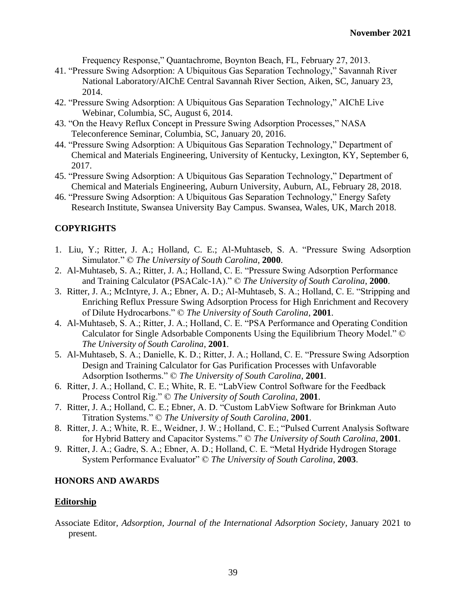Frequency Response," Quantachrome, Boynton Beach, FL, February 27, 2013.

- 41. "Pressure Swing Adsorption: A Ubiquitous Gas Separation Technology," Savannah River National Laboratory/AIChE Central Savannah River Section, Aiken, SC, January 23, 2014.
- 42. "Pressure Swing Adsorption: A Ubiquitous Gas Separation Technology," AIChE Live Webinar, Columbia, SC, August 6, 2014.
- 43. "On the Heavy Reflux Concept in Pressure Swing Adsorption Processes," NASA Teleconference Seminar, Columbia, SC, January 20, 2016.
- 44. "Pressure Swing Adsorption: A Ubiquitous Gas Separation Technology," Department of Chemical and Materials Engineering, University of Kentucky, Lexington, KY, September 6, 2017.
- 45. "Pressure Swing Adsorption: A Ubiquitous Gas Separation Technology," Department of Chemical and Materials Engineering, Auburn University, Auburn, AL, February 28, 2018.
- 46. "Pressure Swing Adsorption: A Ubiquitous Gas Separation Technology," Energy Safety Research Institute, Swansea University Bay Campus. Swansea, Wales, UK, March 2018.

# **COPYRIGHTS**

- 1. Liu, Y.; Ritter, J. A.; Holland, C. E.; Al-Muhtaseb, S. A. "Pressure Swing Adsorption Simulator." © *The University of South Carolina*, **2000**.
- 2. Al-Muhtaseb, S. A.; Ritter, J. A.; Holland, C. E. "Pressure Swing Adsorption Performance and Training Calculator (PSACalc-1A)." © *The University of South Carolina*, **2000**.
- 3. Ritter, J. A.; McIntyre, J. A.; Ebner, A. D.; Al-Muhtaseb, S. A.; Holland, C. E. "Stripping and Enriching Reflux Pressure Swing Adsorption Process for High Enrichment and Recovery of Dilute Hydrocarbons." © *The University of South Carolina*, **2001**.
- 4. Al-Muhtaseb, S. A.; Ritter, J. A.; Holland, C. E. "PSA Performance and Operating Condition Calculator for Single Adsorbable Components Using the Equilibrium Theory Model." © *The University of South Carolina*, **2001**.
- 5. Al-Muhtaseb, S. A.; Danielle, K. D.; Ritter, J. A.; Holland, C. E. "Pressure Swing Adsorption Design and Training Calculator for Gas Purification Processes with Unfavorable Adsorption Isotherms." © *The University of South Carolina*, **2001**.
- 6. Ritter, J. A.; Holland, C. E.; White, R. E. "LabView Control Software for the Feedback Process Control Rig." © *The University of South Carolina*, **2001**.
- 7. Ritter, J. A.; Holland, C. E.; Ebner, A. D. "Custom LabView Software for Brinkman Auto Titration Systems." © *The University of South Carolina*, **2001**.
- 8. Ritter, J. A.; White, R. E., Weidner, J. W.; Holland, C. E.; "Pulsed Current Analysis Software for Hybrid Battery and Capacitor Systems." © *The University of South Carolina*, **2001**.
- 9. Ritter, J. A.; Gadre, S. A.; Ebner, A. D.; Holland, C. E. "Metal Hydride Hydrogen Storage System Performance Evaluator" © *The University of South Carolina*, **2003**.

# **HONORS AND AWARDS**

### **Editorship**

Associate Editor*, Adsorption, Journal of the International Adsorption Society*, January 2021 to present.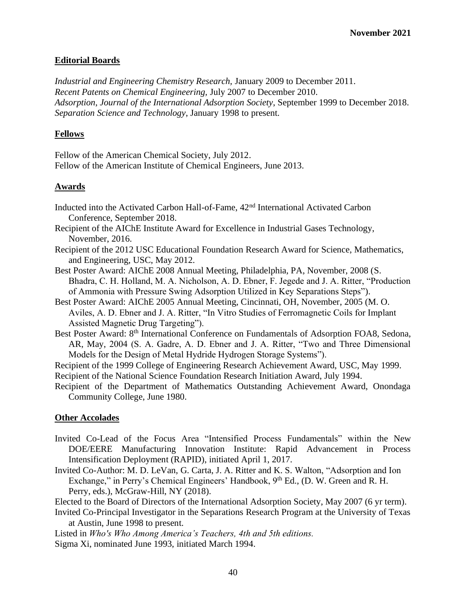### **Editorial Boards**

*Industrial and Engineering Chemistry Research,* January 2009 to December 2011. *Recent Patents on Chemical Engineering,* July 2007 to December 2010. *Adsorption*, *Journal of the International Adsorption Society*, September 1999 to December 2018. *Separation Science and Technology*, January 1998 to present.

#### **Fellows**

Fellow of the American Chemical Society, July 2012. Fellow of the American Institute of Chemical Engineers, June 2013.

#### **Awards**

Inducted into the Activated Carbon Hall-of-Fame, 42nd International Activated Carbon Conference, September 2018.

Recipient of the AIChE Institute Award for Excellence in Industrial Gases Technology, November, 2016.

Recipient of the 2012 USC Educational Foundation Research Award for Science, Mathematics, and Engineering, USC, May 2012.

Best Poster Award: AIChE 2008 Annual Meeting, Philadelphia, PA, November, 2008 (S. Bhadra, C. H. Holland, M. A. Nicholson, A. D. Ebner, F. Jegede and J. A. Ritter, "Production of Ammonia with Pressure Swing Adsorption Utilized in Key Separations Steps").

Best Poster Award: AIChE 2005 Annual Meeting, Cincinnati, OH, November, 2005 (M. O. Aviles, A. D. Ebner and J. A. Ritter, "In Vitro Studies of Ferromagnetic Coils for Implant Assisted Magnetic Drug Targeting").

Best Poster Award: 8<sup>th</sup> International Conference on Fundamentals of Adsorption FOA8, Sedona, AR, May, 2004 (S. A. Gadre, A. D. Ebner and J. A. Ritter, "Two and Three Dimensional Models for the Design of Metal Hydride Hydrogen Storage Systems").

Recipient of the 1999 College of Engineering Research Achievement Award, USC, May 1999. Recipient of the National Science Foundation Research Initiation Award, July 1994.

Recipient of the Department of Mathematics Outstanding Achievement Award, Onondaga Community College, June 1980.

#### **Other Accolades**

- Invited Co-Lead of the Focus Area "Intensified Process Fundamentals" within the New DOE/EERE Manufacturing Innovation Institute: Rapid Advancement in Process Intensification Deployment (RAPID), initiated April 1, 2017.
- Invited Co-Author: M. D. LeVan, G. Carta, J. A. Ritter and K. S. Walton, "Adsorption and Ion Exchange," in Perry's Chemical Engineers' Handbook,  $9<sup>th</sup>$  Ed., (D. W. Green and R. H. Perry, eds.), McGraw-Hill, NY (2018).

Elected to the Board of Directors of the International Adsorption Society, May 2007 (6 yr term).

Invited Co-Principal Investigator in the Separations Research Program at the University of Texas at Austin, June 1998 to present.

Listed in *Who's Who Among America's Teachers, 4th and 5th editions.*

Sigma Xi, nominated June 1993, initiated March 1994.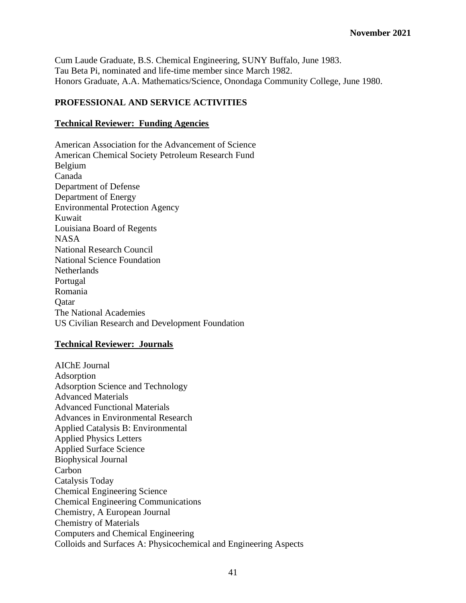Cum Laude Graduate, B.S. Chemical Engineering, SUNY Buffalo, June 1983. Tau Beta Pi, nominated and life-time member since March 1982. Honors Graduate, A.A. Mathematics/Science, Onondaga Community College, June 1980.

## **PROFESSIONAL AND SERVICE ACTIVITIES**

#### **Technical Reviewer: Funding Agencies**

American Association for the Advancement of Science American Chemical Society Petroleum Research Fund Belgium Canada Department of Defense Department of Energy Environmental Protection Agency Kuwait Louisiana Board of Regents NASA National Research Council National Science Foundation Netherlands Portugal Romania **O**atar The National Academies US Civilian Research and Development Foundation

#### **Technical Reviewer: Journals**

AIChE Journal Adsorption Adsorption Science and Technology Advanced Materials Advanced Functional Materials Advances in Environmental Research Applied Catalysis B: Environmental Applied Physics Letters Applied Surface Science Biophysical Journal Carbon Catalysis Today Chemical Engineering Science Chemical Engineering Communications Chemistry, A European Journal Chemistry of Materials Computers and Chemical Engineering Colloids and Surfaces A: Physicochemical and Engineering Aspects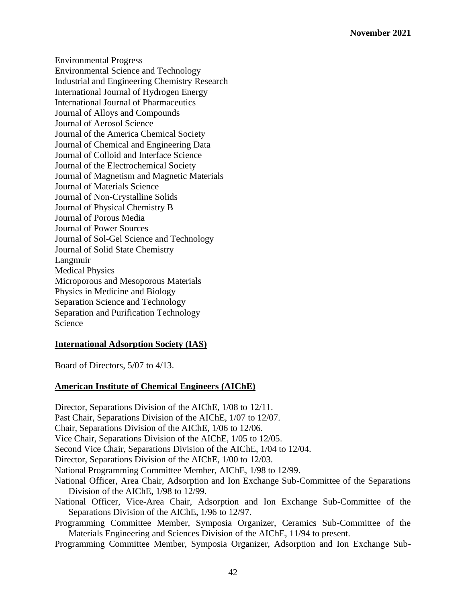Environmental Progress Environmental Science and Technology Industrial and Engineering Chemistry Research International Journal of Hydrogen Energy International Journal of Pharmaceutics Journal of Alloys and Compounds Journal of Aerosol Science Journal of the America Chemical Society Journal of Chemical and Engineering Data Journal of Colloid and Interface Science Journal of the Electrochemical Society Journal of Magnetism and Magnetic Materials Journal of Materials Science Journal of Non-Crystalline Solids Journal of Physical Chemistry B Journal of Porous Media Journal of Power Sources Journal of Sol-Gel Science and Technology Journal of Solid State Chemistry Langmuir Medical Physics Microporous and Mesoporous Materials Physics in Medicine and Biology Separation Science and Technology Separation and Purification Technology Science

### **International Adsorption Society (IAS)**

Board of Directors, 5/07 to 4/13.

### **American Institute of Chemical Engineers (AIChE)**

Director, Separations Division of the AIChE, 1/08 to 12/11. Past Chair, Separations Division of the AIChE, 1/07 to 12/07. Chair, Separations Division of the AIChE, 1/06 to 12/06. Vice Chair, Separations Division of the AIChE, 1/05 to 12/05. Second Vice Chair, Separations Division of the AIChE, 1/04 to 12/04. Director, Separations Division of the AIChE, 1/00 to 12/03. National Programming Committee Member, AIChE, 1/98 to 12/99. National Officer, Area Chair, Adsorption and Ion Exchange Sub-Committee of the Separations Division of the AIChE, 1/98 to 12/99. National Officer, Vice-Area Chair, Adsorption and Ion Exchange Sub-Committee of the Separations Division of the AIChE, 1/96 to 12/97. Programming Committee Member, Symposia Organizer, Ceramics Sub-Committee of the Materials Engineering and Sciences Division of the AIChE, 11/94 to present. Programming Committee Member, Symposia Organizer, Adsorption and Ion Exchange Sub-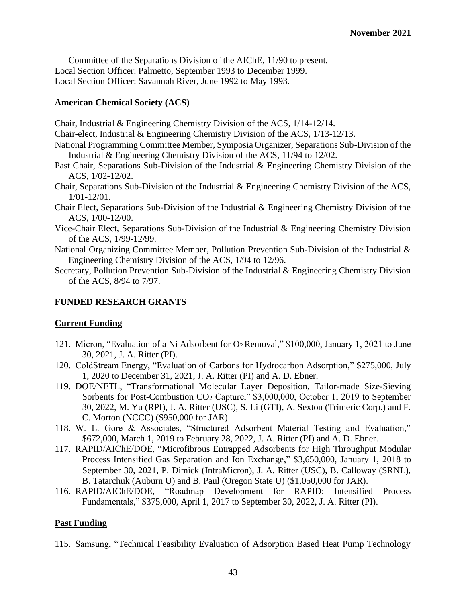Committee of the Separations Division of the AIChE, 11/90 to present. Local Section Officer: Palmetto, September 1993 to December 1999. Local Section Officer: Savannah River, June 1992 to May 1993.

### **American Chemical Society (ACS)**

Chair, Industrial & Engineering Chemistry Division of the ACS, 1/14-12/14.

Chair-elect, Industrial & Engineering Chemistry Division of the ACS, 1/13-12/13.

- National Programming Committee Member, Symposia Organizer, Separations Sub-Division of the Industrial & Engineering Chemistry Division of the ACS, 11/94 to 12/02.
- Past Chair, Separations Sub-Division of the Industrial & Engineering Chemistry Division of the ACS, 1/02-12/02.
- Chair, Separations Sub-Division of the Industrial & Engineering Chemistry Division of the ACS, 1/01-12/01.
- Chair Elect, Separations Sub-Division of the Industrial & Engineering Chemistry Division of the ACS, 1/00-12/00.
- Vice-Chair Elect, Separations Sub-Division of the Industrial & Engineering Chemistry Division of the ACS, 1/99-12/99.
- National Organizing Committee Member, Pollution Prevention Sub-Division of the Industrial & Engineering Chemistry Division of the ACS, 1/94 to 12/96.
- Secretary, Pollution Prevention Sub-Division of the Industrial & Engineering Chemistry Division of the ACS, 8/94 to 7/97.

# **FUNDED RESEARCH GRANTS**

# **Current Funding**

- 121. Micron, "Evaluation of a Ni Adsorbent for O2 Removal," \$100,000, January 1, 2021 to June 30, 2021, J. A. Ritter (PI).
- 120. ColdStream Energy, "Evaluation of Carbons for Hydrocarbon Adsorption," \$275,000, July 1, 2020 to December 31, 2021, J. A. Ritter (PI) and A. D. Ebner.
- 119. DOE/NETL, "Transformational Molecular Layer Deposition, Tailor-made Size-Sieving Sorbents for Post-Combustion CO<sub>2</sub> Capture," \$3,000,000, October 1, 2019 to September 30, 2022, M. Yu (RPI), J. A. Ritter (USC), S. Li (GTI), A. Sexton (Trimeric Corp.) and F. C. Morton (NCCC) (\$950,000 for JAR).
- 118. W. L. Gore & Associates, "Structured Adsorbent Material Testing and Evaluation," \$672,000, March 1, 2019 to February 28, 2022, J. A. Ritter (PI) and A. D. Ebner.
- 117. RAPID/AIChE/DOE, "Microfibrous Entrapped Adsorbents for High Throughput Modular Process Intensified Gas Separation and Ion Exchange," \$3,650,000, January 1, 2018 to September 30, 2021, P. Dimick (IntraMicron), J. A. Ritter (USC), B. Calloway (SRNL), B. Tatarchuk (Auburn U) and B. Paul (Oregon State U) (\$1,050,000 for JAR).
- 116. RAPID/AIChE/DOE, "Roadmap Development for RAPID: Intensified Process Fundamentals," \$375,000, April 1, 2017 to September 30, 2022, J. A. Ritter (PI).

# **Past Funding**

115. Samsung, "Technical Feasibility Evaluation of Adsorption Based Heat Pump Technology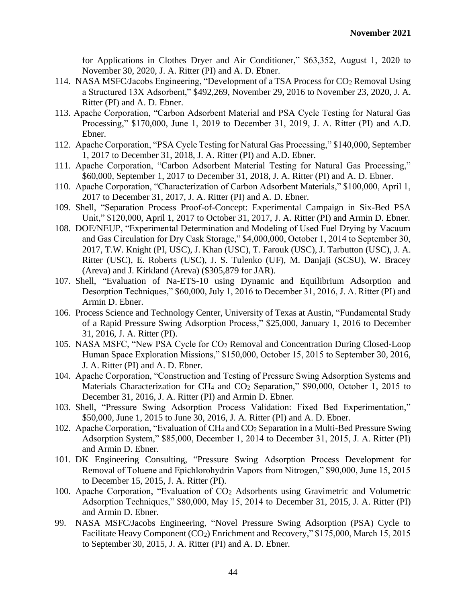for Applications in Clothes Dryer and Air Conditioner," \$63,352, August 1, 2020 to November 30, 2020, J. A. Ritter (PI) and A. D. Ebner.

- 114. NASA MSFC/Jacobs Engineering, "Development of a TSA Process for CO<sub>2</sub> Removal Using a Structured 13X Adsorbent," \$492,269, November 29, 2016 to November 23, 2020, J. A. Ritter (PI) and A. D. Ebner.
- 113. Apache Corporation, "Carbon Adsorbent Material and PSA Cycle Testing for Natural Gas Processing," \$170,000, June 1, 2019 to December 31, 2019, J. A. Ritter (PI) and A.D. Ebner.
- 112. Apache Corporation, "PSA Cycle Testing for Natural Gas Processing," \$140,000, September 1, 2017 to December 31, 2018, J. A. Ritter (PI) and A.D. Ebner.
- 111. Apache Corporation, "Carbon Adsorbent Material Testing for Natural Gas Processing," \$60,000, September 1, 2017 to December 31, 2018, J. A. Ritter (PI) and A. D. Ebner.
- 110. Apache Corporation, "Characterization of Carbon Adsorbent Materials," \$100,000, April 1, 2017 to December 31, 2017, J. A. Ritter (PI) and A. D. Ebner.
- 109. Shell, "Separation Process Proof-of-Concept: Experimental Campaign in Six-Bed PSA Unit," \$120,000, April 1, 2017 to October 31, 2017, J. A. Ritter (PI) and Armin D. Ebner.
- 108. DOE/NEUP, "Experimental Determination and Modeling of Used Fuel Drying by Vacuum and Gas Circulation for Dry Cask Storage," \$4,000,000, October 1, 2014 to September 30, 2017, T.W. Knight (PI, USC), J. Khan (USC), T. Farouk (USC), J. Tarbutton (USC), J. A. Ritter (USC), E. Roberts (USC), J. S. Tulenko (UF), M. Danjaji (SCSU), W. Bracey (Areva) and J. Kirkland (Areva) (\$305,879 for JAR).
- 107. Shell, "Evaluation of Na-ETS-10 using Dynamic and Equilibrium Adsorption and Desorption Techniques," \$60,000, July 1, 2016 to December 31, 2016, J. A. Ritter (PI) and Armin D. Ebner.
- 106. Process Science and Technology Center, University of Texas at Austin, "Fundamental Study of a Rapid Pressure Swing Adsorption Process," \$25,000, January 1, 2016 to December 31, 2016, J. A. Ritter (PI).
- 105. NASA MSFC, "New PSA Cycle for CO<sup>2</sup> Removal and Concentration During Closed-Loop Human Space Exploration Missions," \$150,000, October 15, 2015 to September 30, 2016, J. A. Ritter (PI) and A. D. Ebner.
- 104. Apache Corporation, "Construction and Testing of Pressure Swing Adsorption Systems and Materials Characterization for CH<sub>4</sub> and CO<sub>2</sub> Separation," \$90,000, October 1, 2015 to December 31, 2016, J. A. Ritter (PI) and Armin D. Ebner.
- 103. Shell, "Pressure Swing Adsorption Process Validation: Fixed Bed Experimentation," \$50,000, June 1, 2015 to June 30, 2016, J. A. Ritter (PI) and A. D. Ebner.
- 102. Apache Corporation, "Evaluation of CH<sup>4</sup> and CO<sup>2</sup> Separation in a Multi-Bed Pressure Swing Adsorption System," \$85,000, December 1, 2014 to December 31, 2015, J. A. Ritter (PI) and Armin D. Ebner.
- 101. DK Engineering Consulting, "Pressure Swing Adsorption Process Development for Removal of Toluene and Epichlorohydrin Vapors from Nitrogen," \$90,000, June 15, 2015 to December 15, 2015, J. A. Ritter (PI).
- 100. Apache Corporation, "Evaluation of CO<sup>2</sup> Adsorbents using Gravimetric and Volumetric Adsorption Techniques," \$80,000, May 15, 2014 to December 31, 2015, J. A. Ritter (PI) and Armin D. Ebner.
- 99. NASA MSFC/Jacobs Engineering, "Novel Pressure Swing Adsorption (PSA) Cycle to Facilitate Heavy Component (CO<sub>2</sub>) Enrichment and Recovery," \$175,000, March 15, 2015 to September 30, 2015, J. A. Ritter (PI) and A. D. Ebner.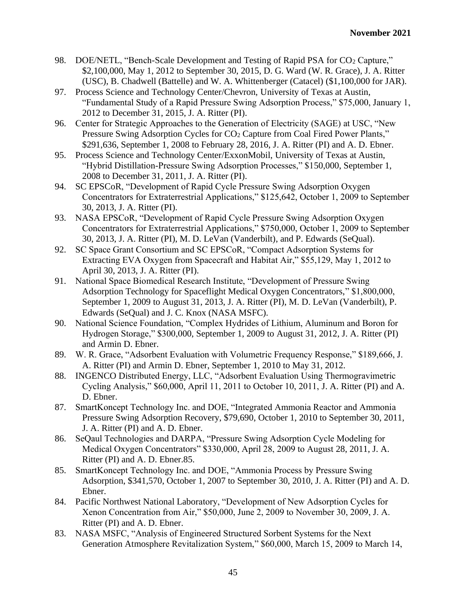- 98. DOE/NETL, "Bench-Scale Development and Testing of Rapid PSA for CO<sup>2</sup> Capture," \$2,100,000, May 1, 2012 to September 30, 2015, D. G. Ward (W. R. Grace), J. A. Ritter (USC), B. Chadwell (Battelle) and W. A. Whittenberger (Catacel) (\$1,100,000 for JAR).
- 97. Process Science and Technology Center/Chevron, University of Texas at Austin, "Fundamental Study of a Rapid Pressure Swing Adsorption Process," \$75,000, January 1, 2012 to December 31, 2015, J. A. Ritter (PI).
- 96. Center for Strategic Approaches to the Generation of Electricity (SAGE) at USC, "New Pressure Swing Adsorption Cycles for CO<sub>2</sub> Capture from Coal Fired Power Plants," \$291,636, September 1, 2008 to February 28, 2016, J. A. Ritter (PI) and A. D. Ebner.
- 95. Process Science and Technology Center/ExxonMobil, University of Texas at Austin, "Hybrid Distillation-Pressure Swing Adsorption Processes," \$150,000, September 1, 2008 to December 31, 2011, J. A. Ritter (PI).
- 94. SC EPSCoR, "Development of Rapid Cycle Pressure Swing Adsorption Oxygen Concentrators for Extraterrestrial Applications," \$125,642, October 1, 2009 to September 30, 2013, J. A. Ritter (PI).
- 93. NASA EPSCoR, "Development of Rapid Cycle Pressure Swing Adsorption Oxygen Concentrators for Extraterrestrial Applications," \$750,000, October 1, 2009 to September 30, 2013, J. A. Ritter (PI), M. D. LeVan (Vanderbilt), and P. Edwards (SeQual).
- 92. SC Space Grant Consortium and SC EPSCoR, "Compact Adsorption Systems for Extracting EVA Oxygen from Spacecraft and Habitat Air," \$55,129, May 1, 2012 to April 30, 2013, J. A. Ritter (PI).
- 91. National Space Biomedical Research Institute, "Development of Pressure Swing Adsorption Technology for Spaceflight Medical Oxygen Concentrators," \$1,800,000, September 1, 2009 to August 31, 2013, J. A. Ritter (PI), M. D. LeVan (Vanderbilt), P. Edwards (SeQual) and J. C. Knox (NASA MSFC).
- 90. National Science Foundation, "Complex Hydrides of Lithium, Aluminum and Boron for Hydrogen Storage," \$300,000, September 1, 2009 to August 31, 2012, J. A. Ritter (PI) and Armin D. Ebner.
- 89. W. R. Grace, "Adsorbent Evaluation with Volumetric Frequency Response," \$189,666, J. A. Ritter (PI) and Armin D. Ebner, September 1, 2010 to May 31, 2012.
- 88. INGENCO Distributed Energy, LLC, "Adsorbent Evaluation Using Thermogravimetric Cycling Analysis," \$60,000, April 11, 2011 to October 10, 2011, J. A. Ritter (PI) and A. D. Ebner.
- 87. SmartKoncept Technology Inc. and DOE, "Integrated Ammonia Reactor and Ammonia Pressure Swing Adsorption Recovery, \$79,690, October 1, 2010 to September 30, 2011, J. A. Ritter (PI) and A. D. Ebner.
- 86. SeQaul Technologies and DARPA, "Pressure Swing Adsorption Cycle Modeling for Medical Oxygen Concentrators" \$330,000, April 28, 2009 to August 28, 2011, J. A. Ritter (PI) and A. D. Ebner.85.
- 85. SmartKoncept Technology Inc. and DOE, "Ammonia Process by Pressure Swing Adsorption, \$341,570, October 1, 2007 to September 30, 2010, J. A. Ritter (PI) and A. D. Ebner.
- 84. Pacific Northwest National Laboratory, "Development of New Adsorption Cycles for Xenon Concentration from Air," \$50,000, June 2, 2009 to November 30, 2009, J. A. Ritter (PI) and A. D. Ebner.
- 83. NASA MSFC, "Analysis of Engineered Structured Sorbent Systems for the Next Generation Atmosphere Revitalization System," \$60,000, March 15, 2009 to March 14,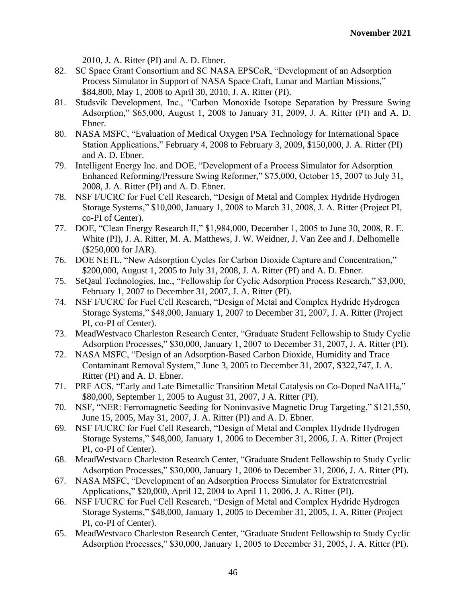2010, J. A. Ritter (PI) and A. D. Ebner.

- 82. SC Space Grant Consortium and SC NASA EPSCoR, "Development of an Adsorption Process Simulator in Support of NASA Space Craft, Lunar and Martian Missions," \$84,800, May 1, 2008 to April 30, 2010, J. A. Ritter (PI).
- 81. Studsvik Development, Inc., "Carbon Monoxide Isotope Separation by Pressure Swing Adsorption," \$65,000, August 1, 2008 to January 31, 2009, J. A. Ritter (PI) and A. D. Ebner.
- 80. NASA MSFC, "Evaluation of Medical Oxygen PSA Technology for International Space Station Applications," February 4, 2008 to February 3, 2009, \$150,000, J. A. Ritter (PI) and A. D. Ebner.
- 79. Intelligent Energy Inc. and DOE, "Development of a Process Simulator for Adsorption Enhanced Reforming/Pressure Swing Reformer," \$75,000, October 15, 2007 to July 31, 2008, J. A. Ritter (PI) and A. D. Ebner.
- 78. NSF I/UCRC for Fuel Cell Research, "Design of Metal and Complex Hydride Hydrogen Storage Systems," \$10,000, January 1, 2008 to March 31, 2008, J. A. Ritter (Project PI, co-PI of Center).
- 77. DOE, "Clean Energy Research II," \$1,984,000, December 1, 2005 to June 30, 2008, R. E. White (PI), J. A. Ritter, M. A. Matthews, J. W. Weidner, J. Van Zee and J. Delhomelle (\$250,000 for JAR).
- 76. DOE NETL, "New Adsorption Cycles for Carbon Dioxide Capture and Concentration," \$200,000, August 1, 2005 to July 31, 2008, J. A. Ritter (PI) and A. D. Ebner.
- 75. SeQaul Technologies, Inc., "Fellowship for Cyclic Adsorption Process Research," \$3,000, February 1, 2007 to December 31, 2007, J. A. Ritter (PI).
- 74. NSF I/UCRC for Fuel Cell Research, "Design of Metal and Complex Hydride Hydrogen Storage Systems," \$48,000, January 1, 2007 to December 31, 2007, J. A. Ritter (Project PI, co-PI of Center).
- 73. MeadWestvaco Charleston Research Center, "Graduate Student Fellowship to Study Cyclic Adsorption Processes," \$30,000, January 1, 2007 to December 31, 2007, J. A. Ritter (PI).
- 72. NASA MSFC, "Design of an Adsorption-Based Carbon Dioxide, Humidity and Trace Contaminant Removal System," June 3, 2005 to December 31, 2007, \$322,747, J. A. Ritter (PI) and A. D. Ebner.
- 71. PRF ACS, "Early and Late Bimetallic Transition Metal Catalysis on Co-Doped NaA1H4," \$80,000, September 1, 2005 to August 31, 2007, J A. Ritter (PI).
- 70. NSF, "NER: Ferromagnetic Seeding for Noninvasive Magnetic Drug Targeting," \$121,550, June 15, 2005, May 31, 2007, J. A. Ritter (PI) and A. D. Ebner.
- 69. NSF I/UCRC for Fuel Cell Research, "Design of Metal and Complex Hydride Hydrogen Storage Systems," \$48,000, January 1, 2006 to December 31, 2006, J. A. Ritter (Project PI, co-PI of Center).
- 68. MeadWestvaco Charleston Research Center, "Graduate Student Fellowship to Study Cyclic Adsorption Processes," \$30,000, January 1, 2006 to December 31, 2006, J. A. Ritter (PI).
- 67. NASA MSFC, "Development of an Adsorption Process Simulator for Extraterrestrial Applications," \$20,000, April 12, 2004 to April 11, 2006, J. A. Ritter (PI).
- 66. NSF I/UCRC for Fuel Cell Research, "Design of Metal and Complex Hydride Hydrogen Storage Systems," \$48,000, January 1, 2005 to December 31, 2005, J. A. Ritter (Project PI, co-PI of Center).
- 65. MeadWestvaco Charleston Research Center, "Graduate Student Fellowship to Study Cyclic Adsorption Processes," \$30,000, January 1, 2005 to December 31, 2005, J. A. Ritter (PI).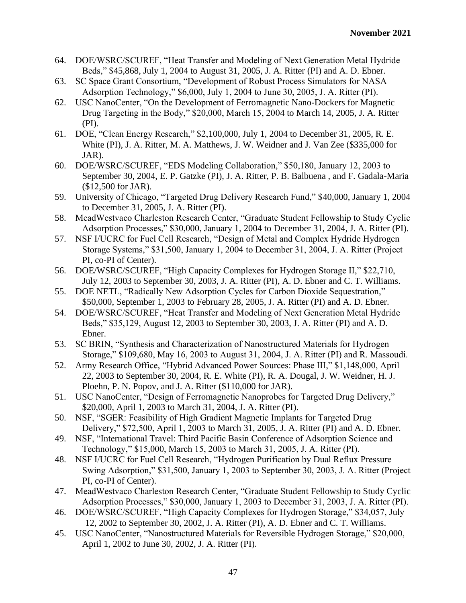- 64. DOE/WSRC/SCUREF, "Heat Transfer and Modeling of Next Generation Metal Hydride Beds," \$45,868, July 1, 2004 to August 31, 2005, J. A. Ritter (PI) and A. D. Ebner.
- 63. SC Space Grant Consortium, "Development of Robust Process Simulators for NASA Adsorption Technology," \$6,000, July 1, 2004 to June 30, 2005, J. A. Ritter (PI).
- 62. USC NanoCenter, "On the Development of Ferromagnetic Nano-Dockers for Magnetic Drug Targeting in the Body," \$20,000, March 15, 2004 to March 14, 2005, J. A. Ritter (PI).
- 61. DOE, "Clean Energy Research," \$2,100,000, July 1, 2004 to December 31, 2005, R. E. White (PI), J. A. Ritter, M. A. Matthews, J. W. Weidner and J. Van Zee (\$335,000 for JAR).
- 60. DOE/WSRC/SCUREF, "EDS Modeling Collaboration," \$50,180, January 12, 2003 to September 30, 2004, E. P. Gatzke (PI), J. A. Ritter, P. B. Balbuena , and F. Gadala-Maria (\$12,500 for JAR).
- 59. University of Chicago, "Targeted Drug Delivery Research Fund," \$40,000, January 1, 2004 to December 31, 2005, J. A. Ritter (PI).
- 58. MeadWestvaco Charleston Research Center, "Graduate Student Fellowship to Study Cyclic Adsorption Processes," \$30,000, January 1, 2004 to December 31, 2004, J. A. Ritter (PI).
- 57. NSF I/UCRC for Fuel Cell Research, "Design of Metal and Complex Hydride Hydrogen Storage Systems," \$31,500, January 1, 2004 to December 31, 2004, J. A. Ritter (Project PI, co-PI of Center).
- 56. DOE/WSRC/SCUREF, "High Capacity Complexes for Hydrogen Storage II," \$22,710, July 12, 2003 to September 30, 2003, J. A. Ritter (PI), A. D. Ebner and C. T. Williams.
- 55. DOE NETL, "Radically New Adsorption Cycles for Carbon Dioxide Sequestration," \$50,000, September 1, 2003 to February 28, 2005, J. A. Ritter (PI) and A. D. Ebner.
- 54. DOE/WSRC/SCUREF, "Heat Transfer and Modeling of Next Generation Metal Hydride Beds," \$35,129, August 12, 2003 to September 30, 2003, J. A. Ritter (PI) and A. D. Ebner.
- 53. SC BRIN, "Synthesis and Characterization of Nanostructured Materials for Hydrogen Storage," \$109,680, May 16, 2003 to August 31, 2004, J. A. Ritter (PI) and R. Massoudi.
- 52. Army Research Office, "Hybrid Advanced Power Sources: Phase III," \$1,148,000, April 22, 2003 to September 30, 2004, R. E. White (PI), R. A. Dougal, J. W. Weidner, H. J. Ploehn, P. N. Popov, and J. A. Ritter (\$110,000 for JAR).
- 51. USC NanoCenter, "Design of Ferromagnetic Nanoprobes for Targeted Drug Delivery," \$20,000, April 1, 2003 to March 31, 2004, J. A. Ritter (PI).
- 50. NSF, "SGER: Feasibility of High Gradient Magnetic Implants for Targeted Drug Delivery," \$72,500, April 1, 2003 to March 31, 2005, J. A. Ritter (PI) and A. D. Ebner.
- 49. NSF, "International Travel: Third Pacific Basin Conference of Adsorption Science and Technology," \$15,000, March 15, 2003 to March 31, 2005, J. A. Ritter (PI).
- 48. NSF I/UCRC for Fuel Cell Research, "Hydrogen Purification by Dual Reflux Pressure Swing Adsorption," \$31,500, January 1, 2003 to September 30, 2003, J. A. Ritter (Project PI, co-PI of Center).
- 47. MeadWestvaco Charleston Research Center, "Graduate Student Fellowship to Study Cyclic Adsorption Processes," \$30,000, January 1, 2003 to December 31, 2003, J. A. Ritter (PI).
- 46. DOE/WSRC/SCUREF, "High Capacity Complexes for Hydrogen Storage," \$34,057, July 12, 2002 to September 30, 2002, J. A. Ritter (PI), A. D. Ebner and C. T. Williams.
- 45. USC NanoCenter, "Nanostructured Materials for Reversible Hydrogen Storage," \$20,000, April 1, 2002 to June 30, 2002, J. A. Ritter (PI).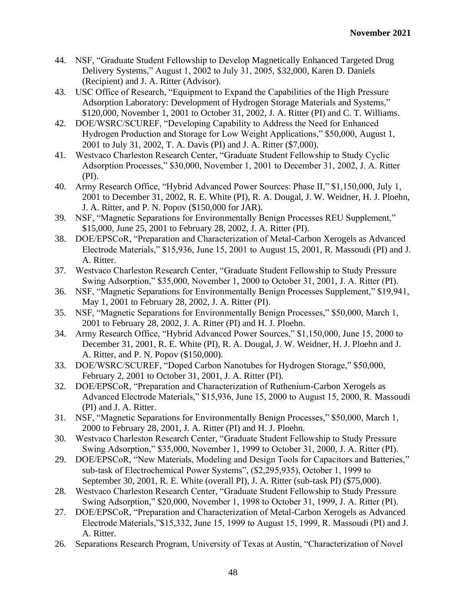- 44. NSF, "Graduate Student Fellowship to Develop Magnetically Enhanced Targeted Drug Delivery Systems," August 1, 2002 to July 31, 2005, \$32,000, Karen D. Daniels (Recipient) and J. A. Ritter (Advisor).
- 43. USC Office of Research, "Equipment to Expand the Capabilities of the High Pressure Adsorption Laboratory: Development of Hydrogen Storage Materials and Systems," \$120,000, November 1, 2001 to October 31, 2002, J. A. Ritter (PI) and C. T. Williams.
- 42. DOE/WSRC/SCUREF, "Developing Capability to Address the Need for Enhanced Hydrogen Production and Storage for Low Weight Applications," \$50,000, August 1, 2001 to July 31, 2002, T. A. Davis (PI) and J. A. Ritter (\$7,000).
- 41. Westvaco Charleston Research Center, "Graduate Student Fellowship to Study Cyclic Adsorption Processes," \$30,000, November 1, 2001 to December 31, 2002, J. A. Ritter (PI).
- 40. Army Research Office, "Hybrid Advanced Power Sources: Phase II," \$1,150,000, July 1, 2001 to December 31, 2002, R. E. White (PI), R. A. Dougal, J. W. Weidner, H. J. Ploehn, J. A. Ritter, and P. N. Popov (\$150,000 for JAR).
- 39. NSF, "Magnetic Separations for Environmentally Benign Processes REU Supplement," \$15,000, June 25, 2001 to February 28, 2002, J. A. Ritter (PI).
- 38. DOE/EPSCoR, "Preparation and Characterization of Metal-Carbon Xerogels as Advanced Electrode Materials," \$15,936, June 15, 2001 to August 15, 2001, R. Massoudi (PI) and J. A. Ritter.
- 37. Westvaco Charleston Research Center, "Graduate Student Fellowship to Study Pressure Swing Adsorption," \$35,000, November 1, 2000 to October 31, 2001, J. A. Ritter (PI).
- 36. NSF, "Magnetic Separations for Environmentally Benign Processes Supplement," \$19,941, May 1, 2001 to February 28, 2002, J. A. Ritter (PI).
- 35. NSF, "Magnetic Separations for Environmentally Benign Processes," \$50,000, March 1, 2001 to February 28, 2002, J. A. Ritter (PI) and H. J. Ploehn.
- 34. Army Research Office, "Hybrid Advanced Power Sources," \$1,150,000, June 15, 2000 to December 31, 2001, R. E. White (PI), R. A. Dougal, J. W. Weidner, H. J. Ploehn and J. A. Ritter, and P. N. Popov (\$150,000).
- 33. DOE/WSRC/SCUREF, "Doped Carbon Nanotubes for Hydrogen Storage," \$50,000, February 2, 2001 to October 31, 2001, J. A. Ritter (PI).
- 32. DOE/EPSCoR, "Preparation and Characterization of Ruthenium-Carbon Xerogels as Advanced Electrode Materials," \$15,936, June 15, 2000 to August 15, 2000, R. Massoudi (PI) and J. A. Ritter.
- 31. NSF, "Magnetic Separations for Environmentally Benign Processes," \$50,000, March 1, 2000 to February 28, 2001, J. A. Ritter (PI) and H. J. Ploehn.
- 30. Westvaco Charleston Research Center, "Graduate Student Fellowship to Study Pressure Swing Adsorption," \$35,000, November 1, 1999 to October 31, 2000, J. A. Ritter (PI).
- 29. DOE/EPSCoR, "New Materials, Modeling and Design Tools for Capacitors and Batteries," sub-task of Electrochemical Power Systems", (\$2,295,935), October 1, 1999 to September 30, 2001, R. E. White (overall PI), J. A. Ritter (sub-task PI) (\$75,000).
- 28. Westvaco Charleston Research Center, "Graduate Student Fellowship to Study Pressure Swing Adsorption," \$20,000, November 1, 1998 to October 31, 1999, J. A. Ritter (PI).
- 27. DOE/EPSCoR, "Preparation and Characterization of Metal-Carbon Xerogels as Advanced Electrode Materials,"\$15,332, June 15, 1999 to August 15, 1999, R. Massoudi (PI) and J. A. Ritter.
- 26. Separations Research Program, University of Texas at Austin, "Characterization of Novel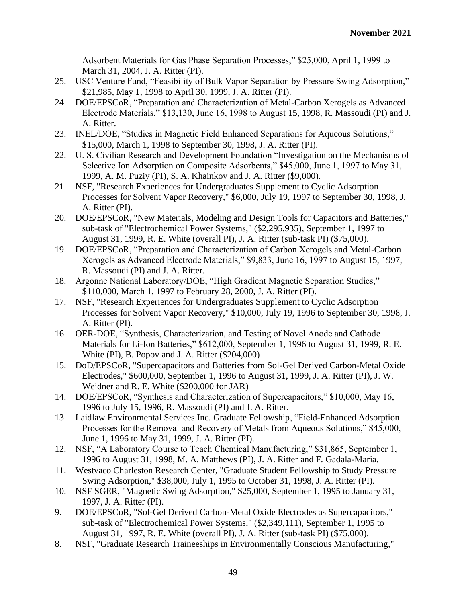Adsorbent Materials for Gas Phase Separation Processes," \$25,000, April 1, 1999 to March 31, 2004, J. A. Ritter (PI).

- 25. USC Venture Fund, "Feasibility of Bulk Vapor Separation by Pressure Swing Adsorption," \$21,985, May 1, 1998 to April 30, 1999, J. A. Ritter (PI).
- 24. DOE/EPSCoR, "Preparation and Characterization of Metal-Carbon Xerogels as Advanced Electrode Materials," \$13,130, June 16, 1998 to August 15, 1998, R. Massoudi (PI) and J. A. Ritter.
- 23. INEL/DOE, "Studies in Magnetic Field Enhanced Separations for Aqueous Solutions," \$15,000, March 1, 1998 to September 30, 1998, J. A. Ritter (PI).
- 22. U. S. Civilian Research and Development Foundation "Investigation on the Mechanisms of Selective Ion Adsorption on Composite Adsorbents," \$45,000, June 1, 1997 to May 31, 1999, A. M. Puziy (PI), S. A. Khainkov and J. A. Ritter (\$9,000).
- 21. NSF, "Research Experiences for Undergraduates Supplement to Cyclic Adsorption Processes for Solvent Vapor Recovery," \$6,000, July 19, 1997 to September 30, 1998, J. A. Ritter (PI).
- 20. DOE/EPSCoR, "New Materials, Modeling and Design Tools for Capacitors and Batteries," sub-task of "Electrochemical Power Systems," (\$2,295,935), September 1, 1997 to August 31, 1999, R. E. White (overall PI), J. A. Ritter (sub-task PI) (\$75,000).
- 19. DOE/EPSCoR, "Preparation and Characterization of Carbon Xerogels and Metal-Carbon Xerogels as Advanced Electrode Materials," \$9,833, June 16, 1997 to August 15, 1997, R. Massoudi (PI) and J. A. Ritter.
- 18. Argonne National Laboratory/DOE, "High Gradient Magnetic Separation Studies," \$110,000, March 1, 1997 to February 28, 2000, J. A. Ritter (PI).
- 17. NSF, "Research Experiences for Undergraduates Supplement to Cyclic Adsorption Processes for Solvent Vapor Recovery," \$10,000, July 19, 1996 to September 30, 1998, J. A. Ritter (PI).
- 16. OER-DOE, "Synthesis, Characterization, and Testing of Novel Anode and Cathode Materials for Li-Ion Batteries," \$612,000, September 1, 1996 to August 31, 1999, R. E. White (PI), B. Popov and J. A. Ritter (\$204,000)
- 15. DoD/EPSCoR, "Supercapacitors and Batteries from Sol-Gel Derived Carbon-Metal Oxide Electrodes," \$600,000, September 1, 1996 to August 31, 1999, J. A. Ritter (PI), J. W. Weidner and R. E. White (\$200,000 for JAR)
- 14. DOE/EPSCoR, "Synthesis and Characterization of Supercapacitors," \$10,000, May 16, 1996 to July 15, 1996, R. Massoudi (PI) and J. A. Ritter.
- 13. Laidlaw Environmental Services Inc. Graduate Fellowship, "Field-Enhanced Adsorption Processes for the Removal and Recovery of Metals from Aqueous Solutions," \$45,000, June 1, 1996 to May 31, 1999, J. A. Ritter (PI).
- 12. NSF, "A Laboratory Course to Teach Chemical Manufacturing," \$31,865, September 1, 1996 to August 31, 1998, M. A. Matthews (PI), J. A. Ritter and F. Gadala-Maria.
- 11. Westvaco Charleston Research Center, "Graduate Student Fellowship to Study Pressure Swing Adsorption," \$38,000, July 1, 1995 to October 31, 1998, J. A. Ritter (PI).
- 10. NSF SGER, "Magnetic Swing Adsorption," \$25,000, September 1, 1995 to January 31, 1997, J. A. Ritter (PI).
- 9. DOE/EPSCoR, "Sol-Gel Derived Carbon-Metal Oxide Electrodes as Supercapacitors," sub-task of "Electrochemical Power Systems," (\$2,349,111), September 1, 1995 to August 31, 1997, R. E. White (overall PI), J. A. Ritter (sub-task PI) (\$75,000).
- 8. NSF, "Graduate Research Traineeships in Environmentally Conscious Manufacturing,"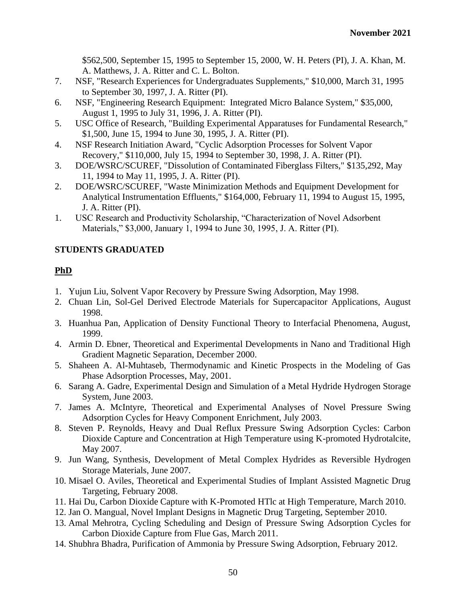\$562,500, September 15, 1995 to September 15, 2000, W. H. Peters (PI), J. A. Khan, M. A. Matthews, J. A. Ritter and C. L. Bolton.

- 7. NSF, "Research Experiences for Undergraduates Supplements," \$10,000, March 31, 1995 to September 30, 1997, J. A. Ritter (PI).
- 6. NSF, "Engineering Research Equipment: Integrated Micro Balance System," \$35,000, August 1, 1995 to July 31, 1996, J. A. Ritter (PI).
- 5. USC Office of Research, "Building Experimental Apparatuses for Fundamental Research," \$1,500, June 15, 1994 to June 30, 1995, J. A. Ritter (PI).
- 4. NSF Research Initiation Award, "Cyclic Adsorption Processes for Solvent Vapor Recovery," \$110,000, July 15, 1994 to September 30, 1998, J. A. Ritter (PI).
- 3. DOE/WSRC/SCUREF, "Dissolution of Contaminated Fiberglass Filters," \$135,292, May 11, 1994 to May 11, 1995, J. A. Ritter (PI).
- 2. DOE/WSRC/SCUREF, "Waste Minimization Methods and Equipment Development for Analytical Instrumentation Effluents," \$164,000, February 11, 1994 to August 15, 1995, J. A. Ritter (PI).
- 1. USC Research and Productivity Scholarship, "Characterization of Novel Adsorbent Materials," \$3,000, January 1, 1994 to June 30, 1995, J. A. Ritter (PI).

# **STUDENTS GRADUATED**

# **PhD**

- 1. Yujun Liu, Solvent Vapor Recovery by Pressure Swing Adsorption, May 1998.
- 2. Chuan Lin, Sol-Gel Derived Electrode Materials for Supercapacitor Applications, August 1998.
- 3. Huanhua Pan, Application of Density Functional Theory to Interfacial Phenomena, August, 1999.
- 4. Armin D. Ebner, Theoretical and Experimental Developments in Nano and Traditional High Gradient Magnetic Separation, December 2000.
- 5. Shaheen A. Al-Muhtaseb, Thermodynamic and Kinetic Prospects in the Modeling of Gas Phase Adsorption Processes, May, 2001.
- 6. Sarang A. Gadre, Experimental Design and Simulation of a Metal Hydride Hydrogen Storage System, June 2003.
- 7. James A. McIntyre, Theoretical and Experimental Analyses of Novel Pressure Swing Adsorption Cycles for Heavy Component Enrichment, July 2003.
- 8. Steven P. Reynolds, Heavy and Dual Reflux Pressure Swing Adsorption Cycles: Carbon Dioxide Capture and Concentration at High Temperature using K-promoted Hydrotalcite, May 2007.
- 9. Jun Wang, Synthesis, Development of Metal Complex Hydrides as Reversible Hydrogen Storage Materials, June 2007.
- 10. Misael O. Aviles, Theoretical and Experimental Studies of Implant Assisted Magnetic Drug Targeting, February 2008.
- 11. Hai Du, Carbon Dioxide Capture with K-Promoted HTlc at High Temperature, March 2010.
- 12. Jan O. Mangual, Novel Implant Designs in Magnetic Drug Targeting, September 2010.
- 13. Amal Mehrotra, Cycling Scheduling and Design of Pressure Swing Adsorption Cycles for Carbon Dioxide Capture from Flue Gas, March 2011.
- 14. Shubhra Bhadra, Purification of Ammonia by Pressure Swing Adsorption, February 2012.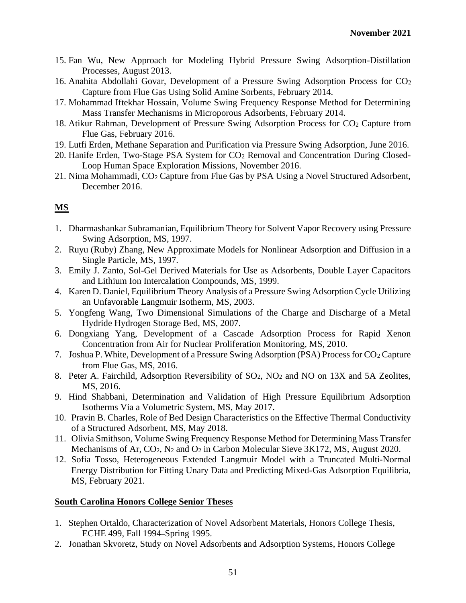- 15. Fan Wu, New Approach for Modeling Hybrid Pressure Swing Adsorption-Distillation Processes, August 2013.
- 16. Anahita Abdollahi Govar, Development of a Pressure Swing Adsorption Process for  $CO<sub>2</sub>$ Capture from Flue Gas Using Solid Amine Sorbents, February 2014.
- 17. Mohammad Iftekhar Hossain, Volume Swing Frequency Response Method for Determining Mass Transfer Mechanisms in Microporous Adsorbents, February 2014.
- 18. Atikur Rahman, Development of Pressure Swing Adsorption Process for CO<sup>2</sup> Capture from Flue Gas, February 2016.
- 19. Lutfi Erden, Methane Separation and Purification via Pressure Swing Adsorption, June 2016.
- 20. Hanife Erden, Two-Stage PSA System for CO<sup>2</sup> Removal and Concentration During Closed-Loop Human Space Exploration Missions, November 2016.
- 21. Nima Mohammadi, CO<sup>2</sup> Capture from Flue Gas by PSA Using a Novel Structured Adsorbent, December 2016.

# **MS**

- 1. Dharmashankar Subramanian, Equilibrium Theory for Solvent Vapor Recovery using Pressure Swing Adsorption, MS, 1997.
- 2. Ruyu (Ruby) Zhang, New Approximate Models for Nonlinear Adsorption and Diffusion in a Single Particle, MS, 1997.
- 3. Emily J. Zanto, Sol-Gel Derived Materials for Use as Adsorbents, Double Layer Capacitors and Lithium Ion Intercalation Compounds, MS, 1999.
- 4. Karen D. Daniel, Equilibrium Theory Analysis of a Pressure Swing Adsorption Cycle Utilizing an Unfavorable Langmuir Isotherm, MS, 2003.
- 5. Yongfeng Wang, Two Dimensional Simulations of the Charge and Discharge of a Metal Hydride Hydrogen Storage Bed, MS, 2007.
- 6. Dongxiang Yang, Development of a Cascade Adsorption Process for Rapid Xenon Concentration from Air for Nuclear Proliferation Monitoring, MS, 2010.
- 7. Joshua P. White, Development of a Pressure Swing Adsorption (PSA) Process for CO<sub>2</sub> Capture from Flue Gas, MS, 2016.
- 8. Peter A. Fairchild, Adsorption Reversibility of SO2, NO<sup>2</sup> and NO on 13X and 5A Zeolites, MS, 2016.
- 9. Hind Shabbani, Determination and Validation of High Pressure Equilibrium Adsorption Isotherms Via a Volumetric System, MS, May 2017.
- 10. Pravin B. Charles, Role of Bed Design Characteristics on the Effective Thermal Conductivity of a Structured Adsorbent, MS, May 2018.
- 11. Olivia Smithson, Volume Swing Frequency Response Method for Determining Mass Transfer Mechanisms of Ar, CO<sub>2</sub>, N<sub>2</sub> and O<sub>2</sub> in Carbon Molecular Sieve 3K172, MS, August 2020.
- 12. Sofia Tosso, Heterogeneous Extended Langmuir Model with a Truncated Multi-Normal Energy Distribution for Fitting Unary Data and Predicting Mixed-Gas Adsorption Equilibria, MS, February 2021.

# **South Carolina Honors College Senior Theses**

- 1. Stephen Ortaldo, Characterization of Novel Adsorbent Materials, Honors College Thesis, ECHE 499, Fall 1994–Spring 1995.
- 2. Jonathan Skvoretz, Study on Novel Adsorbents and Adsorption Systems, Honors College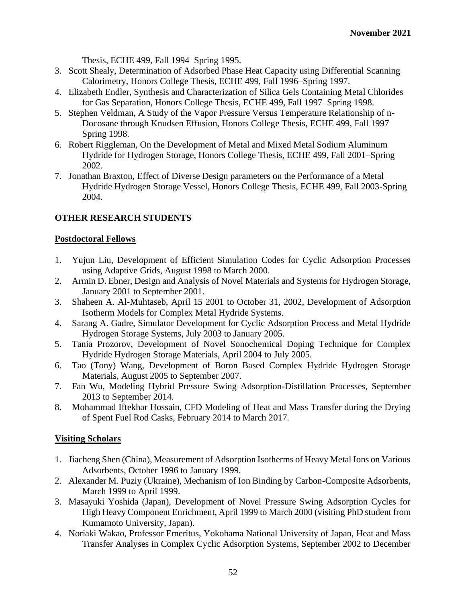Thesis, ECHE 499, Fall 1994–Spring 1995.

- 3. Scott Shealy, Determination of Adsorbed Phase Heat Capacity using Differential Scanning Calorimetry, Honors College Thesis, ECHE 499, Fall 1996–Spring 1997.
- 4. Elizabeth Endler, Synthesis and Characterization of Silica Gels Containing Metal Chlorides for Gas Separation, Honors College Thesis, ECHE 499, Fall 1997–Spring 1998.
- 5. Stephen Veldman, A Study of the Vapor Pressure Versus Temperature Relationship of n-Docosane through Knudsen Effusion, Honors College Thesis, ECHE 499, Fall 1997– Spring 1998.
- 6. Robert Riggleman, On the Development of Metal and Mixed Metal Sodium Aluminum Hydride for Hydrogen Storage, Honors College Thesis, ECHE 499, Fall 2001–Spring 2002.
- 7. Jonathan Braxton, Effect of Diverse Design parameters on the Performance of a Metal Hydride Hydrogen Storage Vessel, Honors College Thesis, ECHE 499, Fall 2003-Spring 2004.

# **OTHER RESEARCH STUDENTS**

## **Postdoctoral Fellows**

- 1. Yujun Liu, Development of Efficient Simulation Codes for Cyclic Adsorption Processes using Adaptive Grids, August 1998 to March 2000.
- 2. Armin D. Ebner, Design and Analysis of Novel Materials and Systems for Hydrogen Storage, January 2001 to September 2001.
- 3. Shaheen A. Al-Muhtaseb, April 15 2001 to October 31, 2002, Development of Adsorption Isotherm Models for Complex Metal Hydride Systems.
- 4. Sarang A. Gadre, Simulator Development for Cyclic Adsorption Process and Metal Hydride Hydrogen Storage Systems, July 2003 to January 2005.
- 5. Tania Prozorov, Development of Novel Sonochemical Doping Technique for Complex Hydride Hydrogen Storage Materials, April 2004 to July 2005.
- 6. Tao (Tony) Wang, Development of Boron Based Complex Hydride Hydrogen Storage Materials, August 2005 to September 2007.
- 7. Fan Wu, Modeling Hybrid Pressure Swing Adsorption-Distillation Processes, September 2013 to September 2014.
- 8. Mohammad Iftekhar Hossain, CFD Modeling of Heat and Mass Transfer during the Drying of Spent Fuel Rod Casks, February 2014 to March 2017.

# **Visiting Scholars**

- 1. Jiacheng Shen (China), Measurement of Adsorption Isotherms of Heavy Metal Ions on Various Adsorbents, October 1996 to January 1999.
- 2. Alexander M. Puziy (Ukraine), Mechanism of Ion Binding by Carbon-Composite Adsorbents, March 1999 to April 1999.
- 3. Masayuki Yoshida (Japan), Development of Novel Pressure Swing Adsorption Cycles for High Heavy Component Enrichment, April 1999 to March 2000 (visiting PhD student from Kumamoto University, Japan).
- 4. Noriaki Wakao, Professor Emeritus, Yokohama National University of Japan, Heat and Mass Transfer Analyses in Complex Cyclic Adsorption Systems, September 2002 to December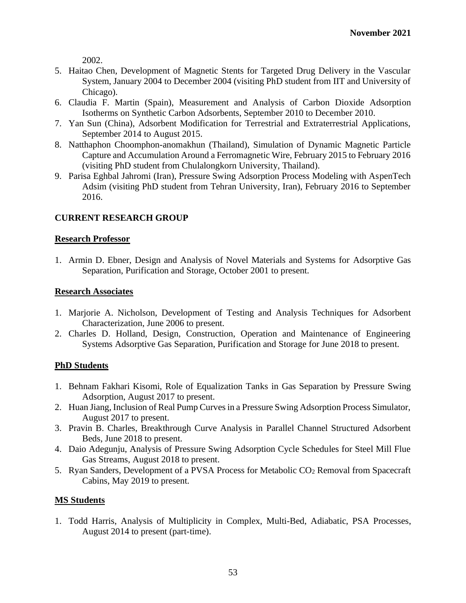2002.

- 5. Haitao Chen, Development of Magnetic Stents for Targeted Drug Delivery in the Vascular System, January 2004 to December 2004 (visiting PhD student from IIT and University of Chicago).
- 6. Claudia F. Martin (Spain), Measurement and Analysis of Carbon Dioxide Adsorption Isotherms on Synthetic Carbon Adsorbents, September 2010 to December 2010.
- 7. Yan Sun (China), Adsorbent Modification for Terrestrial and Extraterrestrial Applications, September 2014 to August 2015.
- 8. Natthaphon Choomphon-anomakhun (Thailand), Simulation of Dynamic Magnetic Particle Capture and Accumulation Around a Ferromagnetic Wire, February 2015 to February 2016 (visiting PhD student from Chulalongkorn University, Thailand).
- 9. Parisa Eghbal Jahromi (Iran), Pressure Swing Adsorption Process Modeling with AspenTech Adsim (visiting PhD student from Tehran University, Iran), February 2016 to September 2016.

## **CURRENT RESEARCH GROUP**

### **Research Professor**

1. Armin D. Ebner, Design and Analysis of Novel Materials and Systems for Adsorptive Gas Separation, Purification and Storage, October 2001 to present.

#### **Research Associates**

- 1. Marjorie A. Nicholson, Development of Testing and Analysis Techniques for Adsorbent Characterization, June 2006 to present.
- 2. Charles D. Holland, Design, Construction, Operation and Maintenance of Engineering Systems Adsorptive Gas Separation, Purification and Storage for June 2018 to present.

### **PhD Students**

- 1. Behnam Fakhari Kisomi, Role of Equalization Tanks in Gas Separation by Pressure Swing Adsorption, August 2017 to present.
- 2. Huan Jiang, Inclusion of Real Pump Curves in a Pressure Swing Adsorption Process Simulator, August 2017 to present.
- 3. Pravin B. Charles, Breakthrough Curve Analysis in Parallel Channel Structured Adsorbent Beds, June 2018 to present.
- 4. Daio Adegunju, Analysis of Pressure Swing Adsorption Cycle Schedules for Steel Mill Flue Gas Streams, August 2018 to present.
- 5. Ryan Sanders, Development of a PVSA Process for Metabolic CO<sup>2</sup> Removal from Spacecraft Cabins, May 2019 to present.

### **MS Students**

1. Todd Harris, Analysis of Multiplicity in Complex, Multi-Bed, Adiabatic, PSA Processes, August 2014 to present (part-time).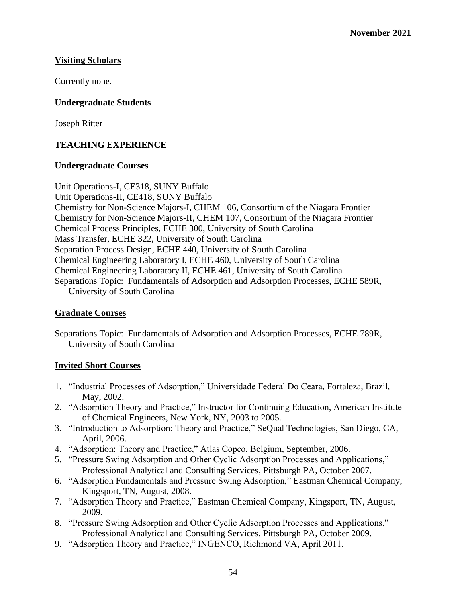# **Visiting Scholars**

Currently none.

# **Undergraduate Students**

Joseph Ritter

# **TEACHING EXPERIENCE**

### **Undergraduate Courses**

Unit Operations-I, CE318, SUNY Buffalo Unit Operations-II, CE418, SUNY Buffalo Chemistry for Non-Science Majors-I, CHEM 106, Consortium of the Niagara Frontier Chemistry for Non-Science Majors-II, CHEM 107, Consortium of the Niagara Frontier Chemical Process Principles, ECHE 300, University of South Carolina Mass Transfer, ECHE 322, University of South Carolina Separation Process Design, ECHE 440, University of South Carolina Chemical Engineering Laboratory I, ECHE 460, University of South Carolina Chemical Engineering Laboratory II, ECHE 461, University of South Carolina Separations Topic: Fundamentals of Adsorption and Adsorption Processes, ECHE 589R, University of South Carolina

### **Graduate Courses**

Separations Topic: Fundamentals of Adsorption and Adsorption Processes, ECHE 789R, University of South Carolina

### **Invited Short Courses**

- 1. "Industrial Processes of Adsorption," Universidade Federal Do Ceara, Fortaleza, Brazil, May, 2002.
- 2. "Adsorption Theory and Practice," Instructor for Continuing Education, American Institute of Chemical Engineers, New York, NY, 2003 to 2005.
- 3. "Introduction to Adsorption: Theory and Practice," SeQual Technologies, San Diego, CA, April, 2006.
- 4. "Adsorption: Theory and Practice," Atlas Copco, Belgium, September, 2006.
- 5. "Pressure Swing Adsorption and Other Cyclic Adsorption Processes and Applications," Professional Analytical and Consulting Services, Pittsburgh PA, October 2007.
- 6. "Adsorption Fundamentals and Pressure Swing Adsorption," Eastman Chemical Company, Kingsport, TN, August, 2008.
- 7. "Adsorption Theory and Practice," Eastman Chemical Company, Kingsport, TN, August, 2009.
- 8. "Pressure Swing Adsorption and Other Cyclic Adsorption Processes and Applications," Professional Analytical and Consulting Services, Pittsburgh PA, October 2009.
- 9. "Adsorption Theory and Practice," INGENCO, Richmond VA, April 2011.